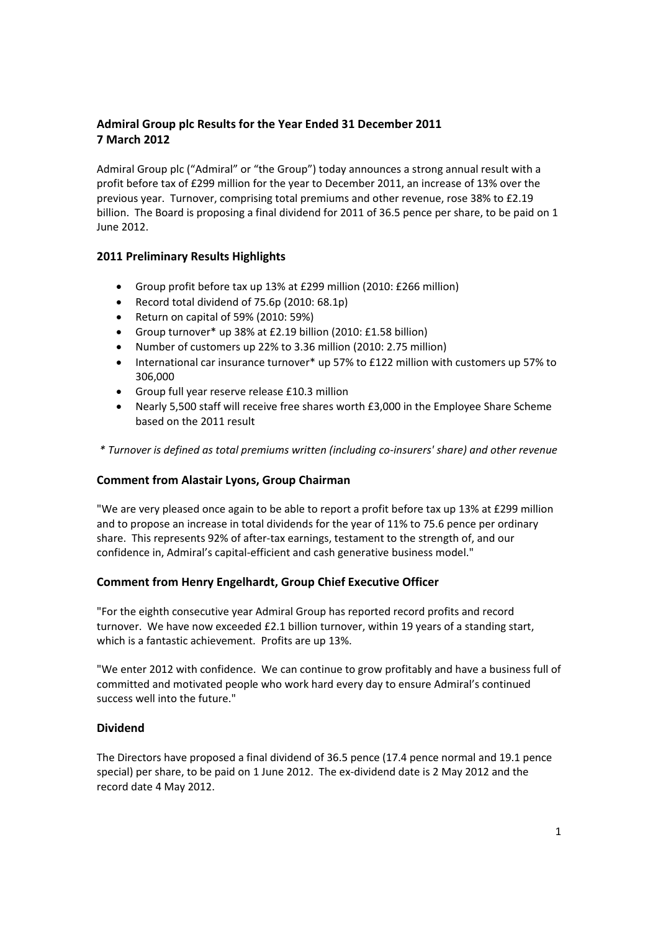## **Admiral Group plc Results for the Year Ended 31 December 2011 7 March 2012**

Admiral Group plc ("Admiral" or "the Group") today announces a strong annual result with a profit before tax of £299 million for the year to December 2011, an increase of 13% over the previous year. Turnover, comprising total premiums and other revenue, rose 38% to £2.19 billion. The Board is proposing a final dividend for 2011 of 36.5 pence per share, to be paid on 1 June 2012.

## **2011 Preliminary Results Highlights**

- Group profit before tax up 13% at £299 million (2010: £266 million)
- Record total dividend of 75.6p (2010: 68.1p)
- Return on capital of 59% (2010: 59%)
- Group turnover\* up 38% at £2.19 billion (2010: £1.58 billion)
- Number of customers up 22% to 3.36 million (2010: 2.75 million)
- International car insurance turnover\* up 57% to £122 million with customers up 57% to 306,000
- Group full year reserve release £10.3 million
- Nearly 5,500 staff will receive free shares worth £3,000 in the Employee Share Scheme based on the 2011 result
- *\* Turnover is defined as total premiums written (including co‐insurers' share) and other revenue*

#### **Comment from Alastair Lyons, Group Chairman**

"We are very pleased once again to be able to report a profit before tax up 13% at £299 million and to propose an increase in total dividends for the year of 11% to 75.6 pence per ordinary share. This represents 92% of after-tax earnings, testament to the strength of, and our confidence in, Admiral's capital‐efficient and cash generative business model."

#### **Comment from Henry Engelhardt, Group Chief Executive Officer**

"For the eighth consecutive year Admiral Group has reported record profits and record turnover. We have now exceeded £2.1 billion turnover, within 19 years of a standing start, which is a fantastic achievement. Profits are up 13%.

"We enter 2012 with confidence. We can continue to grow profitably and have a business full of committed and motivated people who work hard every day to ensure Admiral's continued success well into the future."

#### **Dividend**

The Directors have proposed a final dividend of 36.5 pence (17.4 pence normal and 19.1 pence special) per share, to be paid on 1 June 2012. The ex-dividend date is 2 May 2012 and the record date 4 May 2012.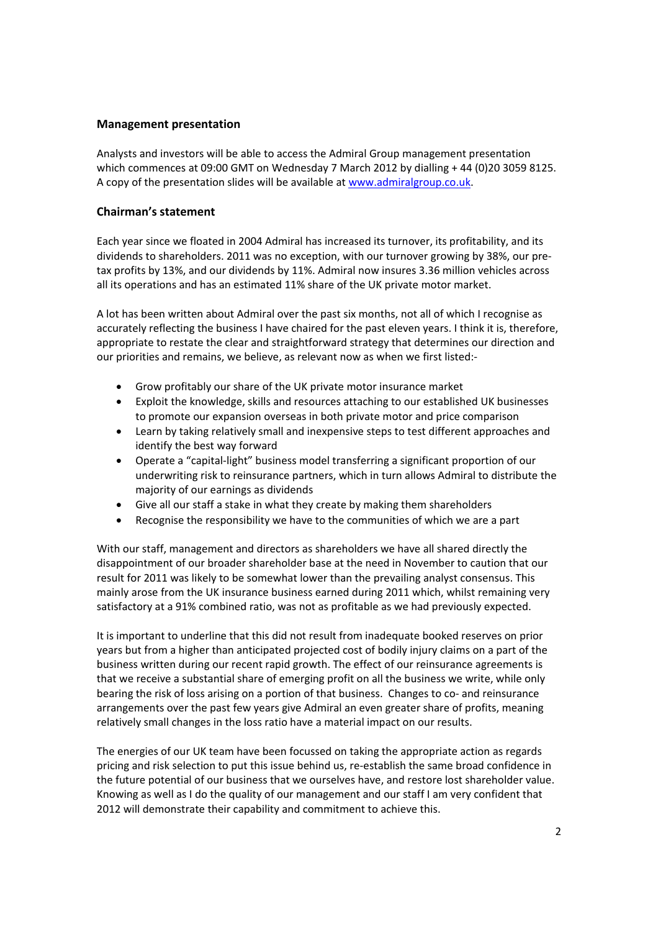#### **Management presentation**

Analysts and investors will be able to access the Admiral Group management presentation which commences at 09:00 GMT on Wednesday 7 March 2012 by dialling + 44 (0)20 3059 8125. A copy of the presentation slides will be available at www.admiralgroup.co.uk.

#### **Chairman's statement**

Each year since we floated in 2004 Admiral has increased its turnover, its profitability, and its dividends to shareholders. 2011 was no exception, with our turnover growing by 38%, our pre‐ tax profits by 13%, and our dividends by 11%. Admiral now insures 3.36 million vehicles across all its operations and has an estimated 11% share of the UK private motor market.

A lot has been written about Admiral over the past six months, not all of which I recognise as accurately reflecting the business I have chaired for the past eleven years. I think it is, therefore, appropriate to restate the clear and straightforward strategy that determines our direction and our priorities and remains, we believe, as relevant now as when we first listed:‐

- Grow profitably our share of the UK private motor insurance market
- Exploit the knowledge, skills and resources attaching to our established UK businesses to promote our expansion overseas in both private motor and price comparison
- Learn by taking relatively small and inexpensive steps to test different approaches and identify the best way forward
- Operate a "capital‐light" business model transferring a significant proportion of our underwriting risk to reinsurance partners, which in turn allows Admiral to distribute the majority of our earnings as dividends
- Give all our staff a stake in what they create by making them shareholders
- Recognise the responsibility we have to the communities of which we are a part

With our staff, management and directors as shareholders we have all shared directly the disappointment of our broader shareholder base at the need in November to caution that our result for 2011 was likely to be somewhat lower than the prevailing analyst consensus. This mainly arose from the UK insurance business earned during 2011 which, whilst remaining very satisfactory at a 91% combined ratio, was not as profitable as we had previously expected.

It is important to underline that this did not result from inadequate booked reserves on prior years but from a higher than anticipated projected cost of bodily injury claims on a part of the business written during our recent rapid growth. The effect of our reinsurance agreements is that we receive a substantial share of emerging profit on all the business we write, while only bearing the risk of loss arising on a portion of that business. Changes to co- and reinsurance arrangements over the past few years give Admiral an even greater share of profits, meaning relatively small changes in the loss ratio have a material impact on our results.

The energies of our UK team have been focussed on taking the appropriate action as regards pricing and risk selection to put this issue behind us, re‐establish the same broad confidence in the future potential of our business that we ourselves have, and restore lost shareholder value. Knowing as well as I do the quality of our management and our staff I am very confident that 2012 will demonstrate their capability and commitment to achieve this.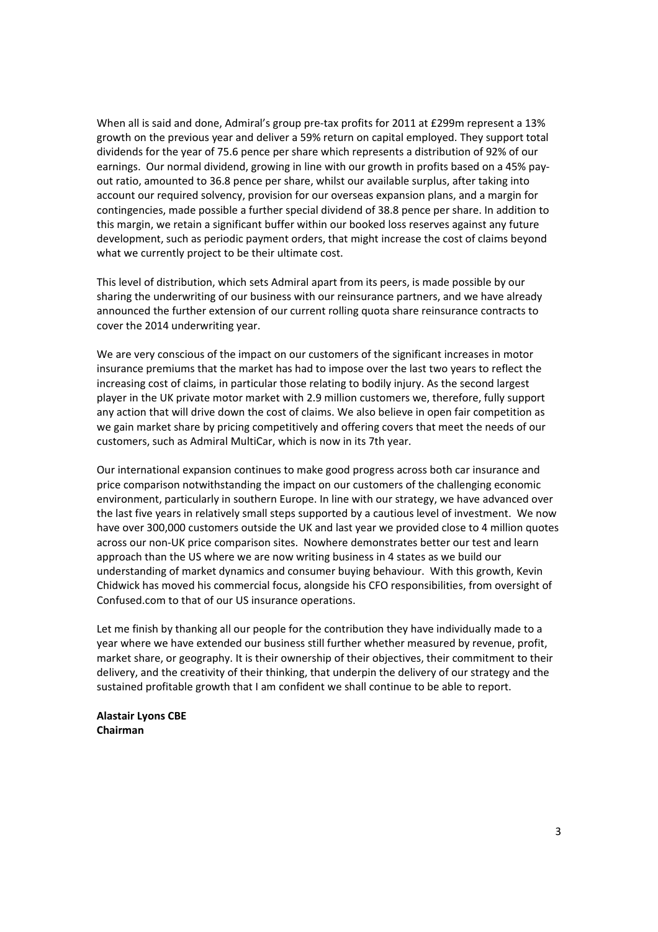When all is said and done, Admiral's group pre-tax profits for 2011 at £299m represent a 13% growth on the previous year and deliver a 59% return on capital employed. They support total dividends for the year of 75.6 pence per share which represents a distribution of 92% of our earnings. Our normal dividend, growing in line with our growth in profits based on a 45% pay‐ out ratio, amounted to 36.8 pence per share, whilst our available surplus, after taking into account our required solvency, provision for our overseas expansion plans, and a margin for contingencies, made possible a further special dividend of 38.8 pence per share. In addition to this margin, we retain a significant buffer within our booked loss reserves against any future development, such as periodic payment orders, that might increase the cost of claims beyond what we currently project to be their ultimate cost.

This level of distribution, which sets Admiral apart from its peers, is made possible by our sharing the underwriting of our business with our reinsurance partners, and we have already announced the further extension of our current rolling quota share reinsurance contracts to cover the 2014 underwriting year.

We are very conscious of the impact on our customers of the significant increases in motor insurance premiums that the market has had to impose over the last two years to reflect the increasing cost of claims, in particular those relating to bodily injury. As the second largest player in the UK private motor market with 2.9 million customers we, therefore, fully support any action that will drive down the cost of claims. We also believe in open fair competition as we gain market share by pricing competitively and offering covers that meet the needs of our customers, such as Admiral MultiCar, which is now in its 7th year.

Our international expansion continues to make good progress across both car insurance and price comparison notwithstanding the impact on our customers of the challenging economic environment, particularly in southern Europe. In line with our strategy, we have advanced over the last five years in relatively small steps supported by a cautious level of investment. We now have over 300,000 customers outside the UK and last year we provided close to 4 million quotes across our non‐UK price comparison sites. Nowhere demonstrates better our test and learn approach than the US where we are now writing business in 4 states as we build our understanding of market dynamics and consumer buying behaviour. With this growth, Kevin Chidwick has moved his commercial focus, alongside his CFO responsibilities, from oversight of Confused.com to that of our US insurance operations.

Let me finish by thanking all our people for the contribution they have individually made to a year where we have extended our business still further whether measured by revenue, profit, market share, or geography. It is their ownership of their objectives, their commitment to their delivery, and the creativity of their thinking, that underpin the delivery of our strategy and the sustained profitable growth that I am confident we shall continue to be able to report.

**Alastair Lyons CBE Chairman**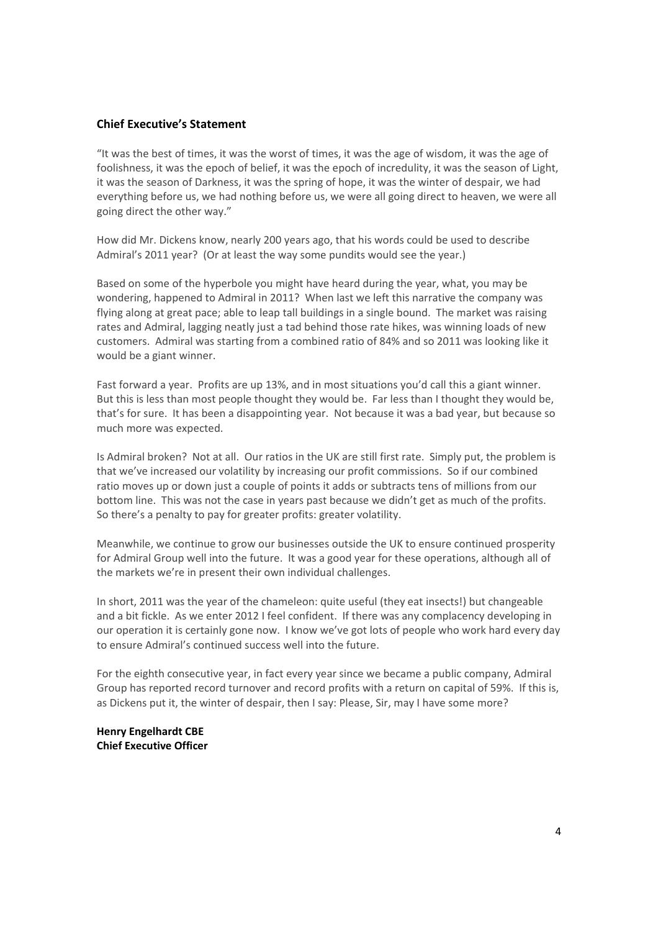#### **Chief Executive's Statement**

"It was the best of times, it was the worst of times, it was the age of wisdom, it was the age of foolishness, it was the epoch of belief, it was the epoch of incredulity, it was the season of Light, it was the season of Darkness, it was the spring of hope, it was the winter of despair, we had everything before us, we had nothing before us, we were all going direct to heaven, we were all going direct the other way."

How did Mr. Dickens know, nearly 200 years ago, that his words could be used to describe Admiral's 2011 year? (Or at least the way some pundits would see the year.)

Based on some of the hyperbole you might have heard during the year, what, you may be wondering, happened to Admiral in 2011? When last we left this narrative the company was flying along at great pace; able to leap tall buildings in a single bound. The market was raising rates and Admiral, lagging neatly just a tad behind those rate hikes, was winning loads of new customers. Admiral was starting from a combined ratio of 84% and so 2011 was looking like it would be a giant winner.

Fast forward a year. Profits are up 13%, and in most situations you'd call this a giant winner. But this is less than most people thought they would be. Far less than I thought they would be, that's for sure. It has been a disappointing year. Not because it was a bad year, but because so much more was expected.

Is Admiral broken? Not at all. Our ratios in the UK are still first rate. Simply put, the problem is that we've increased our volatility by increasing our profit commissions. So if our combined ratio moves up or down just a couple of points it adds or subtracts tens of millions from our bottom line. This was not the case in years past because we didn't get as much of the profits. So there's a penalty to pay for greater profits: greater volatility.

Meanwhile, we continue to grow our businesses outside the UK to ensure continued prosperity for Admiral Group well into the future. It was a good year for these operations, although all of the markets we're in present their own individual challenges.

In short, 2011 was the year of the chameleon: quite useful (they eat insects!) but changeable and a bit fickle. As we enter 2012 I feel confident. If there was any complacency developing in our operation it is certainly gone now. I know we've got lots of people who work hard every day to ensure Admiral's continued success well into the future.

For the eighth consecutive year, in fact every year since we became a public company, Admiral Group has reported record turnover and record profits with a return on capital of 59%. If this is, as Dickens put it, the winter of despair, then I say: Please, Sir, may I have some more?

**Henry Engelhardt CBE Chief Executive Officer**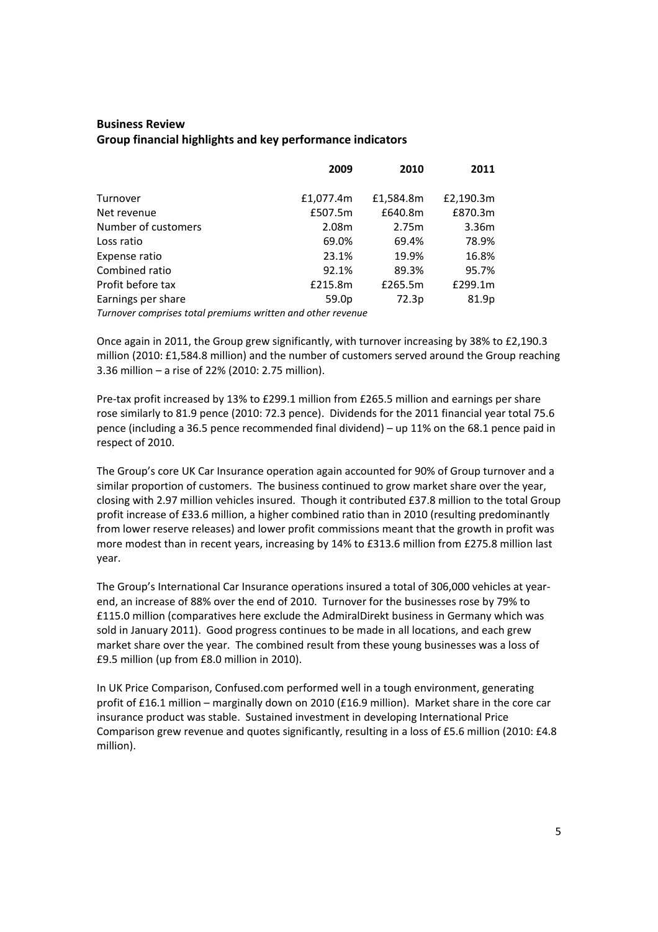## **Business Review Group financial highlights and key performance indicators**

|                                                             | 2009              | 2010      | 2011      |
|-------------------------------------------------------------|-------------------|-----------|-----------|
| Turnover                                                    | £1,077.4m         | £1,584.8m | £2,190.3m |
| Net revenue                                                 | £507.5m           | £640.8m   | £870.3m   |
| Number of customers                                         | 2.08 <sub>m</sub> | 2.75m     | 3.36m     |
| Loss ratio                                                  | 69.0%             | 69.4%     | 78.9%     |
| Expense ratio                                               | 23.1%             | 19.9%     | 16.8%     |
| Combined ratio                                              | 92.1%             | 89.3%     | 95.7%     |
| Profit before tax                                           | £215.8m           | £265.5m   | £299.1m   |
| Earnings per share                                          | 59.0 <sub>p</sub> | 72.3p     | 81.9p     |
| Turnover comprises total premiums written and other revenue |                   |           |           |

Once again in 2011, the Group grew significantly, with turnover increasing by 38% to £2,190.3 million (2010: £1,584.8 million) and the number of customers served around the Group reaching 3.36 million – a rise of 22% (2010: 2.75 million).

Pre‐tax profit increased by 13% to £299.1 million from £265.5 million and earnings per share rose similarly to 81.9 pence (2010: 72.3 pence). Dividends for the 2011 financial year total 75.6 pence (including a 36.5 pence recommended final dividend) – up 11% on the 68.1 pence paid in respect of 2010.

The Group's core UK Car Insurance operation again accounted for 90% of Group turnover and a similar proportion of customers. The business continued to grow market share over the year, closing with 2.97 million vehicles insured. Though it contributed £37.8 million to the total Group profit increase of £33.6 million, a higher combined ratio than in 2010 (resulting predominantly from lower reserve releases) and lower profit commissions meant that the growth in profit was more modest than in recent years, increasing by 14% to £313.6 million from £275.8 million last year.

The Group's International Car Insurance operations insured a total of 306,000 vehicles at year‐ end, an increase of 88% over the end of 2010. Turnover for the businesses rose by 79% to £115.0 million (comparatives here exclude the AdmiralDirekt business in Germany which was sold in January 2011). Good progress continues to be made in all locations, and each grew market share over the year. The combined result from these young businesses was a loss of £9.5 million (up from £8.0 million in 2010).

In UK Price Comparison, Confused.com performed well in a tough environment, generating profit of £16.1 million – marginally down on 2010 (£16.9 million). Market share in the core car insurance product was stable. Sustained investment in developing International Price Comparison grew revenue and quotes significantly, resulting in a loss of £5.6 million (2010: £4.8 million).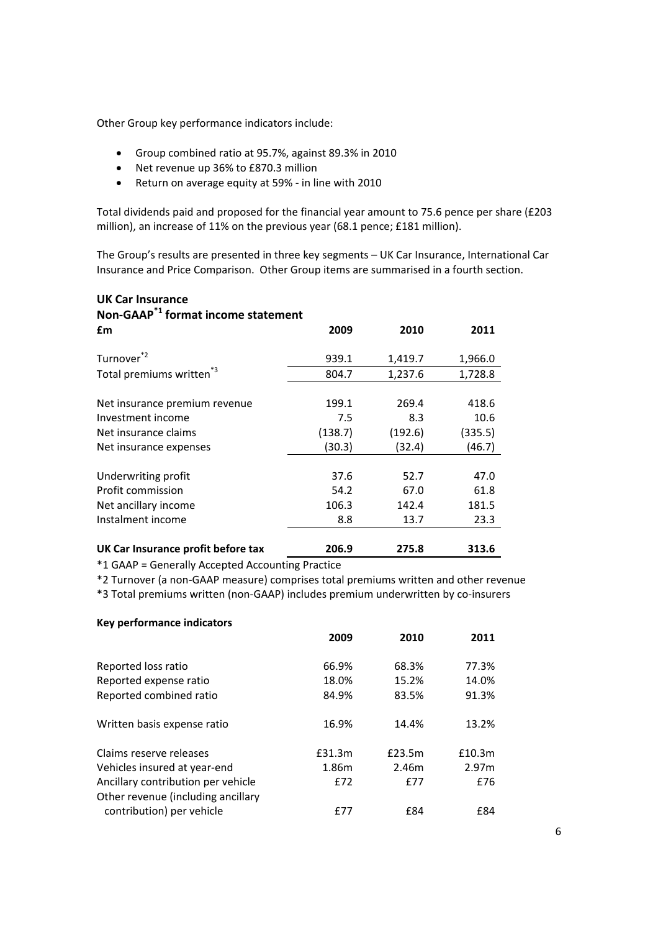Other Group key performance indicators include:

- Group combined ratio at 95.7%, against 89.3% in 2010
- Net revenue up 36% to £870.3 million
- Return on average equity at 59% ‐ in line with 2010

Total dividends paid and proposed for the financial year amount to 75.6 pence per share (£203 million), an increase of 11% on the previous year (68.1 pence; £181 million).

The Group's results are presented in three key segments – UK Car Insurance, International Car Insurance and Price Comparison. Other Group items are summarised in a fourth section.

# **UK Car Insurance Non‐GAAP\*1 format income statement**

| 2009    | 2010    | 2011    |
|---------|---------|---------|
| 939.1   | 1,419.7 | 1,966.0 |
| 804.7   | 1,237.6 | 1,728.8 |
|         |         | 418.6   |
| 7.5     | 8.3     | 10.6    |
| (138.7) | (192.6) | (335.5) |
| (30.3)  | (32.4)  | (46.7)  |
|         |         |         |
| 37.6    | 52.7    | 47.0    |
| 54.2    | 67.0    | 61.8    |
| 106.3   | 142.4   | 181.5   |
| 8.8     | 13.7    | 23.3    |
| 206.9   | 275.8   | 313.6   |
|         | 199.1   | 269.4   |

\*1 GAAP = Generally Accepted Accounting Practice

\*2 Turnover (a non‐GAAP measure) comprises total premiums written and other revenue

\*3 Total premiums written (non‐GAAP) includes premium underwritten by co‐insurers

#### **Key performance indicators**

|                                                                          | 2009   | 2010   | 2011   |
|--------------------------------------------------------------------------|--------|--------|--------|
| Reported loss ratio                                                      | 66.9%  | 68.3%  | 77.3%  |
| Reported expense ratio                                                   | 18.0%  | 15.2%  | 14.0%  |
| Reported combined ratio                                                  | 84.9%  | 83.5%  | 91.3%  |
| Written basis expense ratio                                              | 16.9%  | 14.4%  | 13.2%  |
| Claims reserve releases                                                  | £31.3m | £23.5m | £10.3m |
| Vehicles insured at year-end                                             | 1.86m  | 2.46m  | 2.97m  |
| Ancillary contribution per vehicle<br>Other revenue (including ancillary | £72    | f77    | £76    |
| contribution) per vehicle                                                | f77    | £84    | £84    |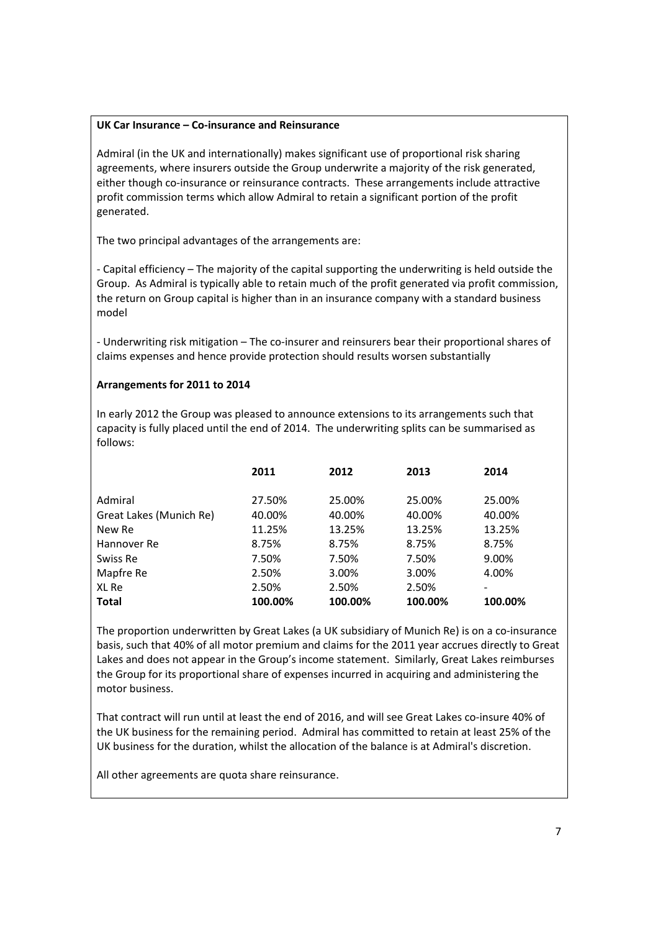#### **UK Car Insurance – Co‐insurance and Reinsurance**

Admiral (in the UK and internationally) makes significant use of proportional risk sharing agreements, where insurers outside the Group underwrite a majority of the risk generated, either though co-insurance or reinsurance contracts. These arrangements include attractive profit commission terms which allow Admiral to retain a significant portion of the profit generated.

The two principal advantages of the arrangements are:

‐ Capital efficiency – The majority of the capital supporting the underwriting is held outside the Group. As Admiral is typically able to retain much of the profit generated via profit commission, the return on Group capital is higher than in an insurance company with a standard business model

‐ Underwriting risk mitigation – The co‐insurer and reinsurers bear their proportional shares of claims expenses and hence provide protection should results worsen substantially

#### **Arrangements for 2011 to 2014**

In early 2012 the Group was pleased to announce extensions to its arrangements such that capacity is fully placed until the end of 2014. The underwriting splits can be summarised as follows:

|                         | 2011    | 2012    | 2013    | 2014                         |
|-------------------------|---------|---------|---------|------------------------------|
|                         |         |         |         |                              |
| Admiral                 | 27.50%  | 25.00%  | 25.00%  | 25.00%                       |
| Great Lakes (Munich Re) | 40.00%  | 40.00%  | 40.00%  | 40.00%                       |
| New Re                  | 11.25%  | 13.25%  | 13.25%  | 13.25%                       |
| Hannover Re             | 8.75%   | 8.75%   | 8.75%   | 8.75%                        |
| Swiss Re                | 7.50%   | 7.50%   | 7.50%   | 9.00%                        |
| Mapfre Re               | 2.50%   | 3.00%   | 3.00%   | 4.00%                        |
| XL Re                   | 2.50%   | 2.50%   | 2.50%   | $\qquad \qquad \blacksquare$ |
| <b>Total</b>            | 100.00% | 100.00% | 100.00% | 100.00%                      |

The proportion underwritten by Great Lakes (a UK subsidiary of Munich Re) is on a co-insurance basis, such that 40% of all motor premium and claims for the 2011 year accrues directly to Great Lakes and does not appear in the Group's income statement. Similarly, Great Lakes reimburses the Group for its proportional share of expenses incurred in acquiring and administering the motor business.

That contract will run until at least the end of 2016, and will see Great Lakes co‐insure 40% of the UK business for the remaining period. Admiral has committed to retain at least 25% of the UK business for the duration, whilst the allocation of the balance is at Admiral's discretion.

All other agreements are quota share reinsurance.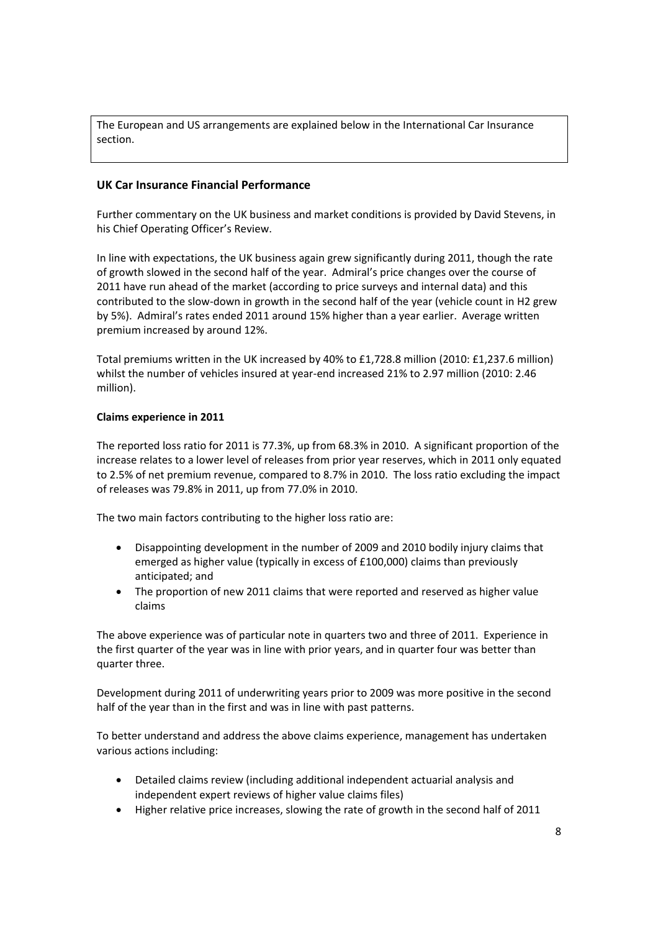The European and US arrangements are explained below in the International Car Insurance section.

#### **UK Car Insurance Financial Performance**

Further commentary on the UK business and market conditions is provided by David Stevens, in his Chief Operating Officer's Review.

In line with expectations, the UK business again grew significantly during 2011, though the rate of growth slowed in the second half of the year. Admiral's price changes over the course of 2011 have run ahead of the market (according to price surveys and internal data) and this contributed to the slow-down in growth in the second half of the year (vehicle count in H2 grew by 5%). Admiral's rates ended 2011 around 15% higher than a year earlier. Average written premium increased by around 12%.

Total premiums written in the UK increased by 40% to £1,728.8 million (2010: £1,237.6 million) whilst the number of vehicles insured at year-end increased 21% to 2.97 million (2010: 2.46 million).

#### **Claims experience in 2011**

The reported loss ratio for 2011 is 77.3%, up from 68.3% in 2010. A significant proportion of the increase relates to a lower level of releases from prior year reserves, which in 2011 only equated to 2.5% of net premium revenue, compared to 8.7% in 2010. The loss ratio excluding the impact of releases was 79.8% in 2011, up from 77.0% in 2010.

The two main factors contributing to the higher loss ratio are:

- Disappointing development in the number of 2009 and 2010 bodily injury claims that emerged as higher value (typically in excess of £100,000) claims than previously anticipated; and
- The proportion of new 2011 claims that were reported and reserved as higher value claims

The above experience was of particular note in quarters two and three of 2011. Experience in the first quarter of the year was in line with prior years, and in quarter four was better than quarter three.

Development during 2011 of underwriting years prior to 2009 was more positive in the second half of the year than in the first and was in line with past patterns.

To better understand and address the above claims experience, management has undertaken various actions including:

- Detailed claims review (including additional independent actuarial analysis and independent expert reviews of higher value claims files)
- Higher relative price increases, slowing the rate of growth in the second half of 2011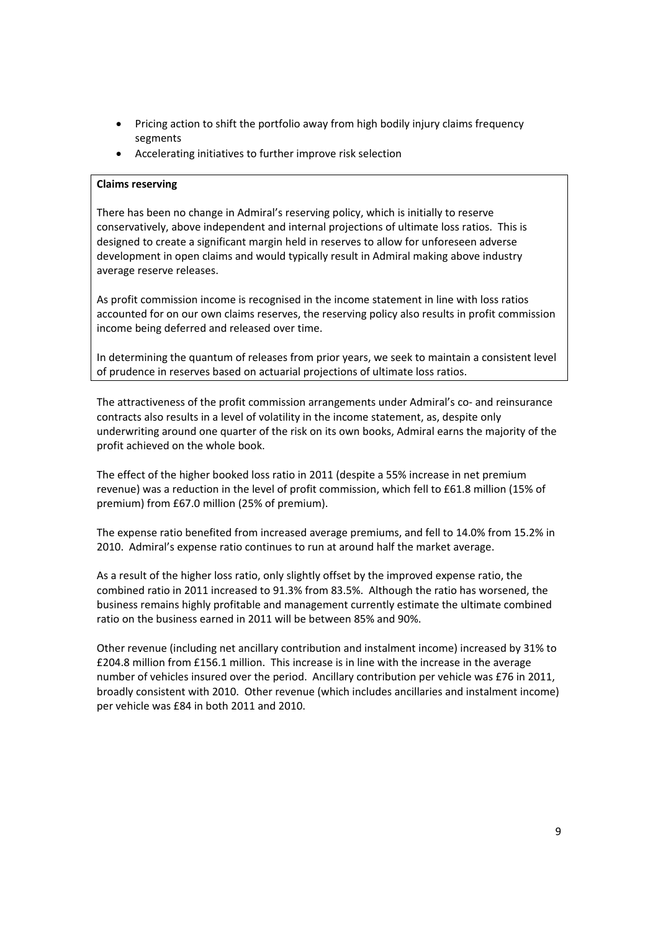- Pricing action to shift the portfolio away from high bodily injury claims frequency segments
- Accelerating initiatives to further improve risk selection

#### **Claims reserving**

There has been no change in Admiral's reserving policy, which is initially to reserve conservatively, above independent and internal projections of ultimate loss ratios. This is designed to create a significant margin held in reserves to allow for unforeseen adverse development in open claims and would typically result in Admiral making above industry average reserve releases.

As profit commission income is recognised in the income statement in line with loss ratios accounted for on our own claims reserves, the reserving policy also results in profit commission income being deferred and released over time.

In determining the quantum of releases from prior years, we seek to maintain a consistent level of prudence in reserves based on actuarial projections of ultimate loss ratios.

The attractiveness of the profit commission arrangements under Admiral's co‐ and reinsurance contracts also results in a level of volatility in the income statement, as, despite only underwriting around one quarter of the risk on its own books, Admiral earns the majority of the profit achieved on the whole book.

The effect of the higher booked loss ratio in 2011 (despite a 55% increase in net premium revenue) was a reduction in the level of profit commission, which fell to £61.8 million (15% of premium) from £67.0 million (25% of premium).

The expense ratio benefited from increased average premiums, and fell to 14.0% from 15.2% in 2010. Admiral's expense ratio continues to run at around half the market average.

As a result of the higher loss ratio, only slightly offset by the improved expense ratio, the combined ratio in 2011 increased to 91.3% from 83.5%. Although the ratio has worsened, the business remains highly profitable and management currently estimate the ultimate combined ratio on the business earned in 2011 will be between 85% and 90%.

Other revenue (including net ancillary contribution and instalment income) increased by 31% to £204.8 million from £156.1 million. This increase is in line with the increase in the average number of vehicles insured over the period. Ancillary contribution per vehicle was £76 in 2011, broadly consistent with 2010. Other revenue (which includes ancillaries and instalment income) per vehicle was £84 in both 2011 and 2010.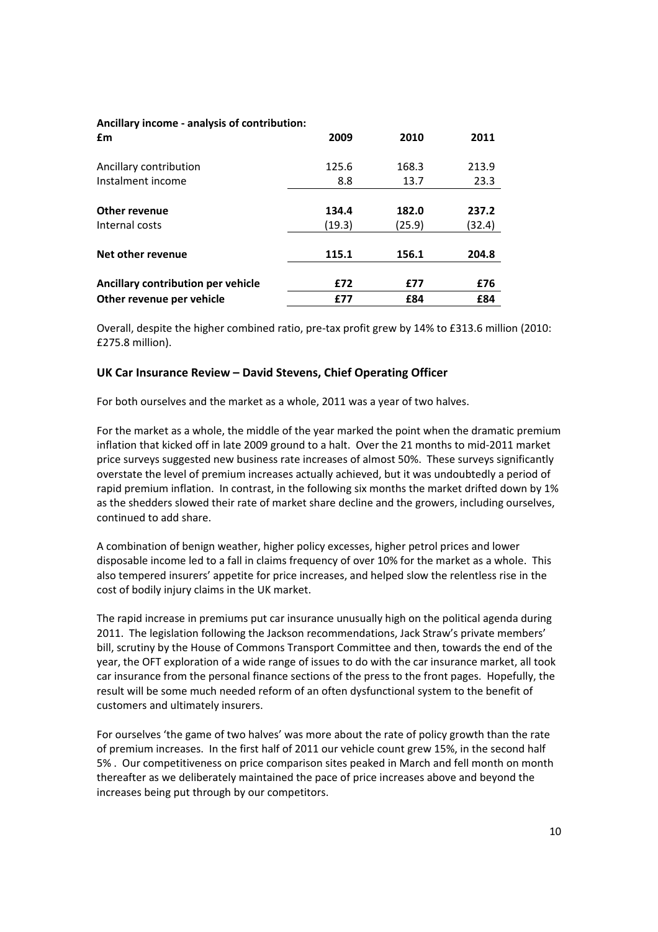| Ancillary income - analysis of contribution: |        |        |        |
|----------------------------------------------|--------|--------|--------|
| £m                                           | 2009   | 2010   | 2011   |
| Ancillary contribution                       | 125.6  | 168.3  | 213.9  |
| Instalment income                            | 8.8    | 13.7   | 23.3   |
|                                              |        |        |        |
| Other revenue                                | 134.4  | 182.0  | 237.2  |
| Internal costs                               | (19.3) | (25.9) | (32.4) |
|                                              |        |        |        |
| Net other revenue                            | 115.1  | 156.1  | 204.8  |
| Ancillary contribution per vehicle           | £72    | £77    | £76    |
| Other revenue per vehicle                    | £77    | £84    | £84    |

Overall, despite the higher combined ratio, pre‐tax profit grew by 14% to £313.6 million (2010: £275.8 million).

#### **UK Car Insurance Review – David Stevens, Chief Operating Officer**

For both ourselves and the market as a whole, 2011 was a year of two halves.

For the market as a whole, the middle of the year marked the point when the dramatic premium inflation that kicked off in late 2009 ground to a halt. Over the 21 months to mid‐2011 market price surveys suggested new business rate increases of almost 50%. These surveys significantly overstate the level of premium increases actually achieved, but it was undoubtedly a period of rapid premium inflation. In contrast, in the following six months the market drifted down by 1% as the shedders slowed their rate of market share decline and the growers, including ourselves, continued to add share.

A combination of benign weather, higher policy excesses, higher petrol prices and lower disposable income led to a fall in claims frequency of over 10% for the market as a whole. This also tempered insurers' appetite for price increases, and helped slow the relentless rise in the cost of bodily injury claims in the UK market.

The rapid increase in premiums put car insurance unusually high on the political agenda during 2011. The legislation following the Jackson recommendations, Jack Straw's private members' bill, scrutiny by the House of Commons Transport Committee and then, towards the end of the year, the OFT exploration of a wide range of issues to do with the car insurance market, all took car insurance from the personal finance sections of the press to the front pages. Hopefully, the result will be some much needed reform of an often dysfunctional system to the benefit of customers and ultimately insurers.

For ourselves 'the game of two halves' was more about the rate of policy growth than the rate of premium increases. In the first half of 2011 our vehicle count grew 15%, in the second half 5% . Our competitiveness on price comparison sites peaked in March and fell month on month thereafter as we deliberately maintained the pace of price increases above and beyond the increases being put through by our competitors.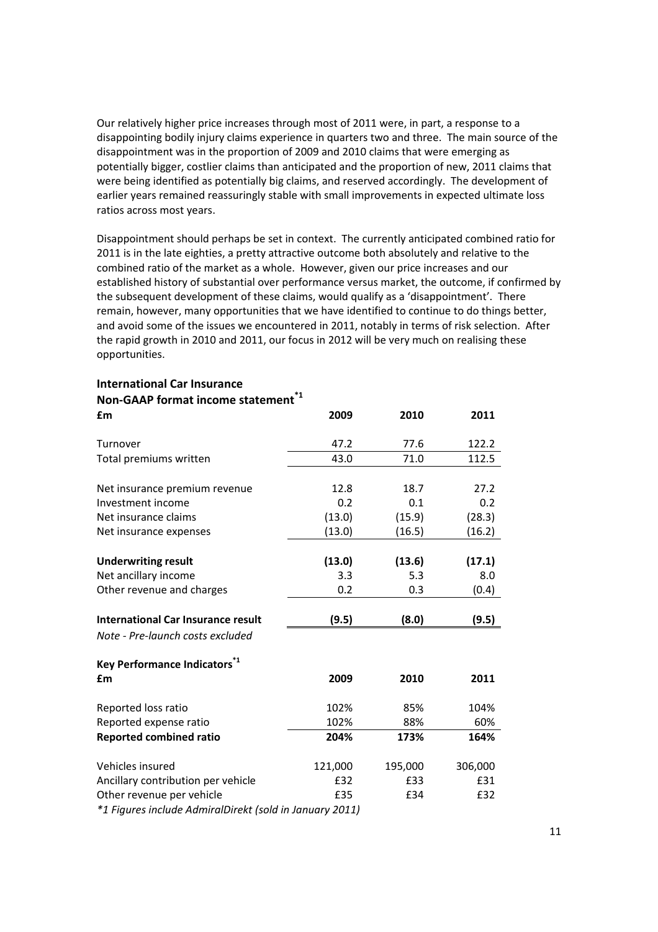Our relatively higher price increases through most of 2011 were, in part, a response to a disappointing bodily injury claims experience in quarters two and three. The main source of the disappointment was in the proportion of 2009 and 2010 claims that were emerging as potentially bigger, costlier claims than anticipated and the proportion of new, 2011 claims that were being identified as potentially big claims, and reserved accordingly. The development of earlier years remained reassuringly stable with small improvements in expected ultimate loss ratios across most years.

Disappointment should perhaps be set in context. The currently anticipated combined ratio for 2011 is in the late eighties, a pretty attractive outcome both absolutely and relative to the combined ratio of the market as a whole. However, given our price increases and our established history of substantial over performance versus market, the outcome, if confirmed by the subsequent development of these claims, would qualify as a 'disappointment'. There remain, however, many opportunities that we have identified to continue to do things better, and avoid some of the issues we encountered in 2011, notably in terms of risk selection. After the rapid growth in 2010 and 2011, our focus in 2012 will be very much on realising these opportunities.

## **International Car Insurance Non‐GAAP format income statement\*1**

| £m                                                      | 2009    | 2010    | 2011    |
|---------------------------------------------------------|---------|---------|---------|
| Turnover                                                | 47.2    | 77.6    | 122.2   |
| Total premiums written                                  | 43.0    | 71.0    | 112.5   |
|                                                         |         |         |         |
| Net insurance premium revenue                           | 12.8    | 18.7    | 27.2    |
| Investment income                                       | 0.2     | 0.1     | 0.2     |
| Net insurance claims                                    | (13.0)  | (15.9)  | (28.3)  |
| Net insurance expenses                                  | (13.0)  | (16.5)  | (16.2)  |
| <b>Underwriting result</b>                              | (13.0)  | (13.6)  | (17.1)  |
| Net ancillary income                                    | 3.3     | 5.3     | 8.0     |
| Other revenue and charges                               | 0.2     | 0.3     | (0.4)   |
| <b>International Car Insurance result</b>               | (9.5)   | (8.0)   | (9.5)   |
| Note - Pre-launch costs excluded                        |         |         |         |
| Key Performance Indicators <sup>*1</sup>                |         |         |         |
| £m                                                      | 2009    | 2010    | 2011    |
| Reported loss ratio                                     | 102%    | 85%     | 104%    |
| Reported expense ratio                                  | 102%    | 88%     | 60%     |
| <b>Reported combined ratio</b>                          | 204%    | 173%    | 164%    |
| Vehicles insured                                        | 121,000 | 195,000 | 306,000 |
| Ancillary contribution per vehicle                      | £32     | £33     | £31     |
| Other revenue per vehicle                               | £35     | £34     | £32     |
| *1 Figures include AdmiralDirekt (sold in January 2011) |         |         |         |
|                                                         |         |         |         |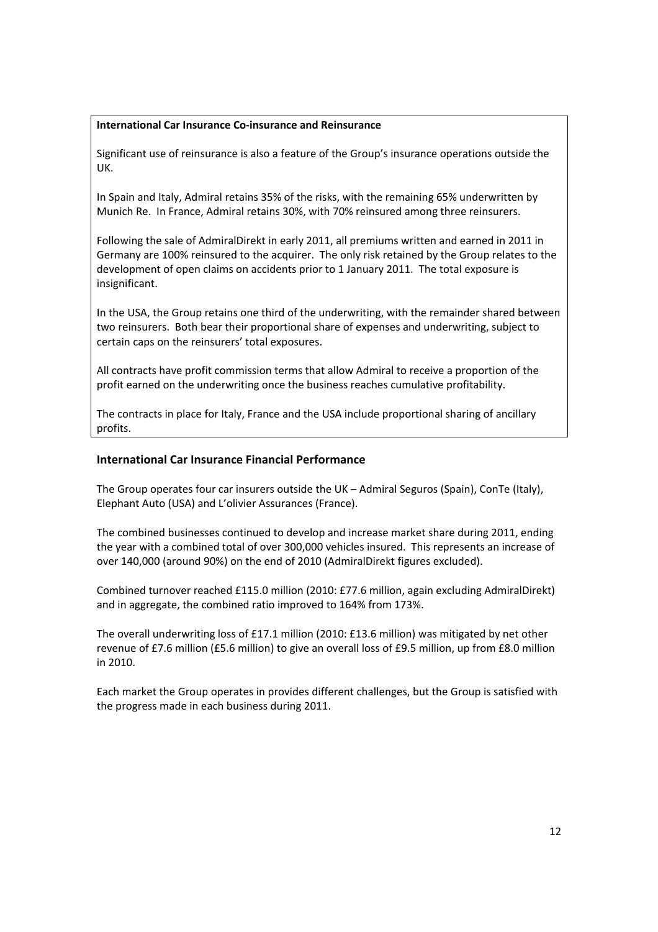#### **International Car Insurance Co‐insurance and Reinsurance**

Significant use of reinsurance is also a feature of the Group's insurance operations outside the UK.

In Spain and Italy, Admiral retains 35% of the risks, with the remaining 65% underwritten by Munich Re. In France, Admiral retains 30%, with 70% reinsured among three reinsurers.

Following the sale of AdmiralDirekt in early 2011, all premiums written and earned in 2011 in Germany are 100% reinsured to the acquirer. The only risk retained by the Group relates to the development of open claims on accidents prior to 1 January 2011. The total exposure is insignificant.

In the USA, the Group retains one third of the underwriting, with the remainder shared between two reinsurers. Both bear their proportional share of expenses and underwriting, subject to certain caps on the reinsurers' total exposures.

All contracts have profit commission terms that allow Admiral to receive a proportion of the profit earned on the underwriting once the business reaches cumulative profitability.

The contracts in place for Italy, France and the USA include proportional sharing of ancillary profits.

#### **International Car Insurance Financial Performance**

The Group operates four car insurers outside the UK – Admiral Seguros (Spain), ConTe (Italy), Elephant Auto (USA) and L'olivier Assurances (France).

The combined businesses continued to develop and increase market share during 2011, ending the year with a combined total of over 300,000 vehicles insured. This represents an increase of over 140,000 (around 90%) on the end of 2010 (AdmiralDirekt figures excluded).

Combined turnover reached £115.0 million (2010: £77.6 million, again excluding AdmiralDirekt) and in aggregate, the combined ratio improved to 164% from 173%.

The overall underwriting loss of £17.1 million (2010: £13.6 million) was mitigated by net other revenue of £7.6 million (£5.6 million) to give an overall loss of £9.5 million, up from £8.0 million in 2010.

Each market the Group operates in provides different challenges, but the Group is satisfied with the progress made in each business during 2011.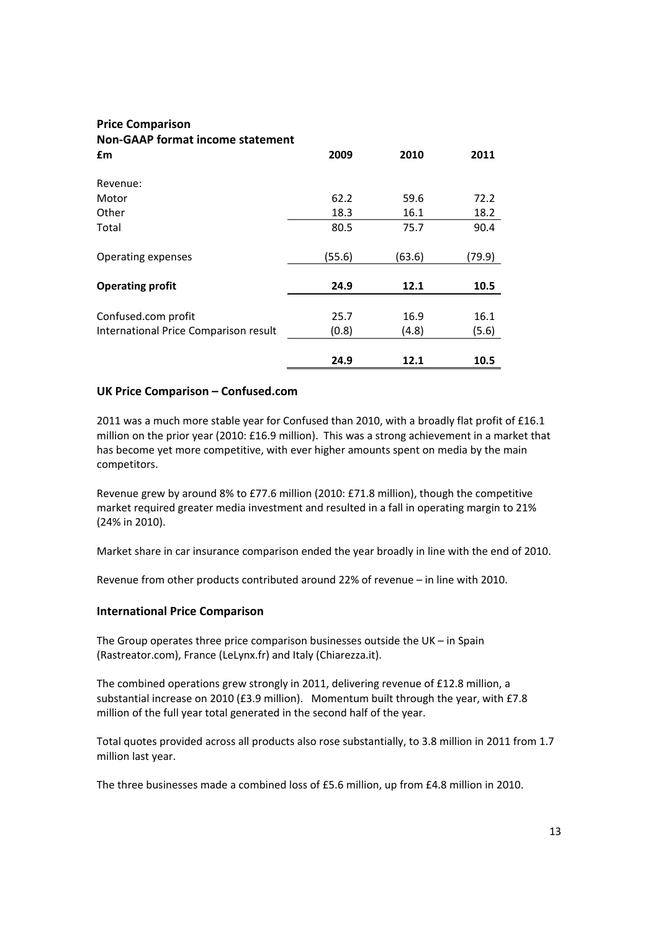| <b>Price Comparison</b>                 |        |        |        |
|-----------------------------------------|--------|--------|--------|
| <b>Non-GAAP format income statement</b> |        |        |        |
| £m                                      | 2009   | 2010   | 2011   |
| Revenue:                                |        |        |        |
| Motor                                   | 62.2   | 59.6   | 72.2   |
| Other                                   | 18.3   | 16.1   | 18.2   |
| Total                                   | 80.5   | 75.7   | 90.4   |
| Operating expenses                      | (55.6) | (63.6) | (79.9) |
| <b>Operating profit</b>                 | 24.9   | 12.1   | 10.5   |
|                                         |        |        |        |
| Confused.com profit                     | 25.7   | 16.9   | 16.1   |
| International Price Comparison result   | (0.8)  | (4.8)  | (5.6)  |
|                                         | 24.9   | 12.1   | 10.5   |

#### **UK Price Comparison – Confused.com**

2011 was a much more stable year for Confused than 2010, with a broadly flat profit of £16.1 million on the prior year (2010: £16.9 million). This was a strong achievement in a market that has become yet more competitive, with ever higher amounts spent on media by the main competitors.

Revenue grew by around 8% to £77.6 million (2010: £71.8 million), though the competitive market required greater media investment and resulted in a fall in operating margin to 21% (24% in 2010).

Market share in car insurance comparison ended the year broadly in line with the end of 2010.

Revenue from other products contributed around 22% of revenue – in line with 2010.

#### **International Price Comparison**

The Group operates three price comparison businesses outside the UK – in Spain (Rastreator.com), France (LeLynx.fr) and Italy (Chiarezza.it).

The combined operations grew strongly in 2011, delivering revenue of £12.8 million, a substantial increase on 2010 (£3.9 million). Momentum built through the year, with £7.8 million of the full year total generated in the second half of the year.

Total quotes provided across all products also rose substantially, to 3.8 million in 2011 from 1.7 million last year.

The three businesses made a combined loss of £5.6 million, up from £4.8 million in 2010.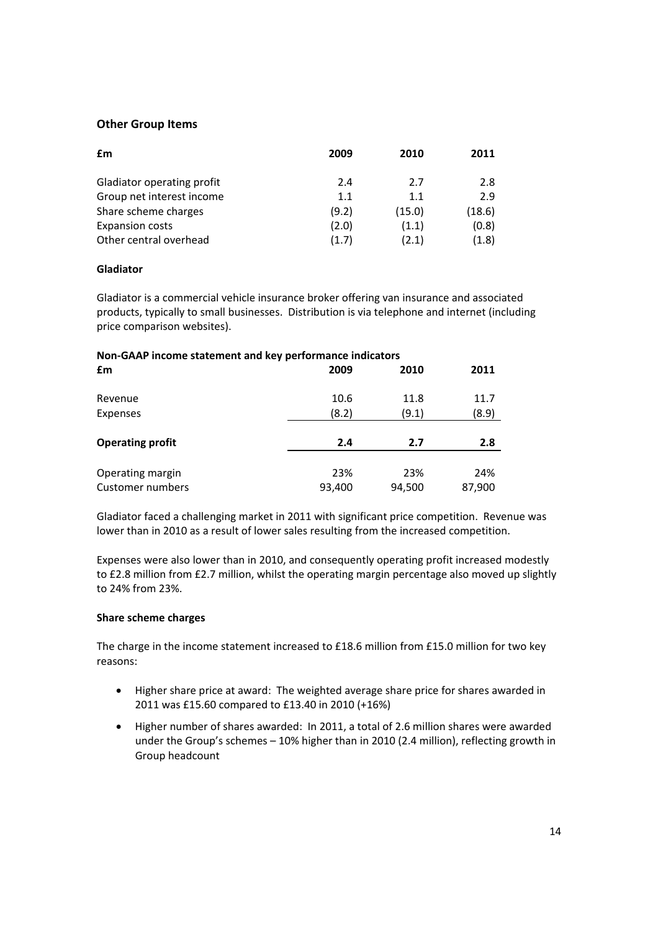## **Other Group Items**

| £m                         | 2009  | 2010   | 2011   |
|----------------------------|-------|--------|--------|
| Gladiator operating profit | 2.4   | 2.7    | 2.8    |
| Group net interest income  | 1.1   | 1.1    | 2.9    |
| Share scheme charges       | (9.2) | (15.0) | (18.6) |
| <b>Expansion costs</b>     | (2.0) | (1.1)  | (0.8)  |
| Other central overhead     | (1.7) | (2.1)  | (1.8)  |

#### **Gladiator**

Gladiator is a commercial vehicle insurance broker offering van insurance and associated products, typically to small businesses. Distribution is via telephone and internet (including price comparison websites).

| Non-GAAP income statement and key performance indicators |        |        |        |  |  |  |
|----------------------------------------------------------|--------|--------|--------|--|--|--|
| £m                                                       | 2009   | 2010   | 2011   |  |  |  |
| Revenue                                                  | 10.6   | 11.8   | 11.7   |  |  |  |
| Expenses                                                 | (8.2)  | (9.1)  | (8.9)  |  |  |  |
|                                                          |        |        |        |  |  |  |
| <b>Operating profit</b>                                  | 2.4    | 2.7    | 2.8    |  |  |  |
|                                                          |        |        |        |  |  |  |
| Operating margin                                         | 23%    | 23%    | 24%    |  |  |  |
| Customer numbers                                         | 93,400 | 94,500 | 87,900 |  |  |  |

Gladiator faced a challenging market in 2011 with significant price competition. Revenue was lower than in 2010 as a result of lower sales resulting from the increased competition.

Expenses were also lower than in 2010, and consequently operating profit increased modestly to £2.8 million from £2.7 million, whilst the operating margin percentage also moved up slightly to 24% from 23%.

#### **Share scheme charges**

The charge in the income statement increased to £18.6 million from £15.0 million for two key reasons:

- Higher share price at award: The weighted average share price for shares awarded in 2011 was £15.60 compared to £13.40 in 2010 (+16%)
- Higher number of shares awarded: In 2011, a total of 2.6 million shares were awarded under the Group's schemes – 10% higher than in 2010 (2.4 million), reflecting growth in Group headcount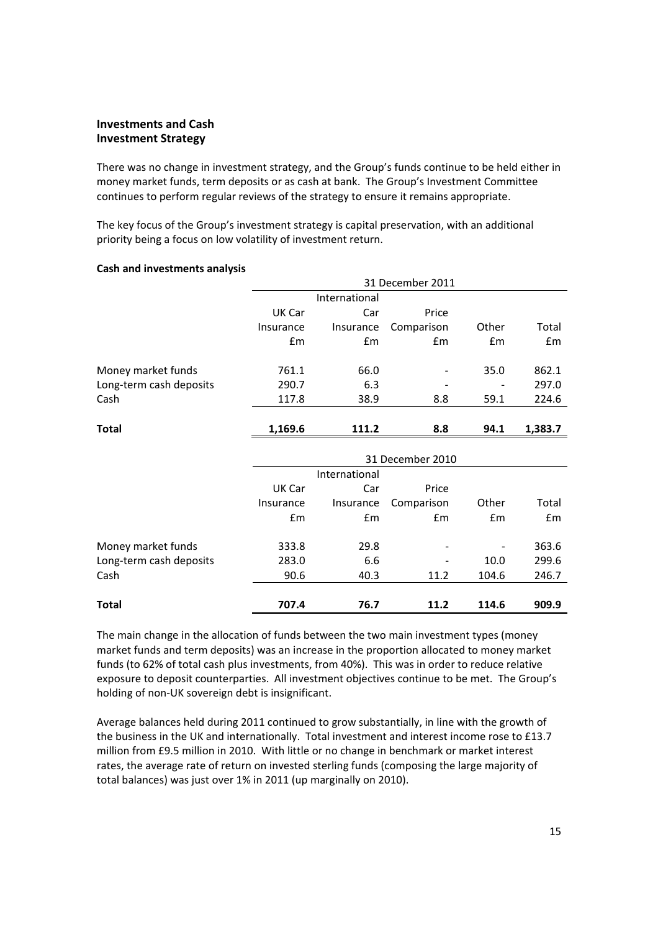## **Investments and Cash Investment Strategy**

There was no change in investment strategy, and the Group's funds continue to be held either in money market funds, term deposits or as cash at bank. The Group's Investment Committee continues to perform regular reviews of the strategy to ensure it remains appropriate.

The key focus of the Group's investment strategy is capital preservation, with an additional priority being a focus on low volatility of investment return.

#### **Cash and investments analysis**

|                         | 31 December 2011 |               |            |       |         |
|-------------------------|------------------|---------------|------------|-------|---------|
|                         |                  | International |            |       |         |
|                         | UK Car           | Car           | Price      |       |         |
|                         | Insurance        | Insurance     | Comparison | Other | Total   |
|                         | Em               | £m            | Em         | Em    | Em      |
| Money market funds      | 761.1            | 66.0          |            | 35.0  | 862.1   |
| Long-term cash deposits | 290.7            | 6.3           |            | -     | 297.0   |
| Cash                    | 117.8            | 38.9          | 8.8        | 59.1  | 224.6   |
| <b>Total</b>            | 1,169.6          | 111.2         | 8.8        | 94.1  | 1,383.7 |

|                         | 31 December 2010 |               |                 |                |       |
|-------------------------|------------------|---------------|-----------------|----------------|-------|
|                         |                  | International |                 |                |       |
|                         | UK Car           | Car           | Price           |                |       |
|                         | Insurance        | Insurance     | Comparison      | Other          | Total |
|                         | Em               | Em            | £m              | $\mathbf{f}$ m | Em    |
| Money market funds      | 333.8            | 29.8          |                 |                | 363.6 |
| Long-term cash deposits | 283.0            | 6.6           | $\qquad \qquad$ | 10.0           | 299.6 |
| Cash                    | 90.6             | 40.3          | 11.2            | 104.6          | 246.7 |
|                         |                  |               |                 |                |       |
| <b>Total</b>            | 707.4            | 76.7          | 11.2            | 114.6          | 909.9 |

The main change in the allocation of funds between the two main investment types (money market funds and term deposits) was an increase in the proportion allocated to money market funds (to 62% of total cash plus investments, from 40%). This was in order to reduce relative exposure to deposit counterparties. All investment objectives continue to be met. The Group's holding of non‐UK sovereign debt is insignificant.

Average balances held during 2011 continued to grow substantially, in line with the growth of the business in the UK and internationally. Total investment and interest income rose to £13.7 million from £9.5 million in 2010. With little or no change in benchmark or market interest rates, the average rate of return on invested sterling funds (composing the large majority of total balances) was just over 1% in 2011 (up marginally on 2010).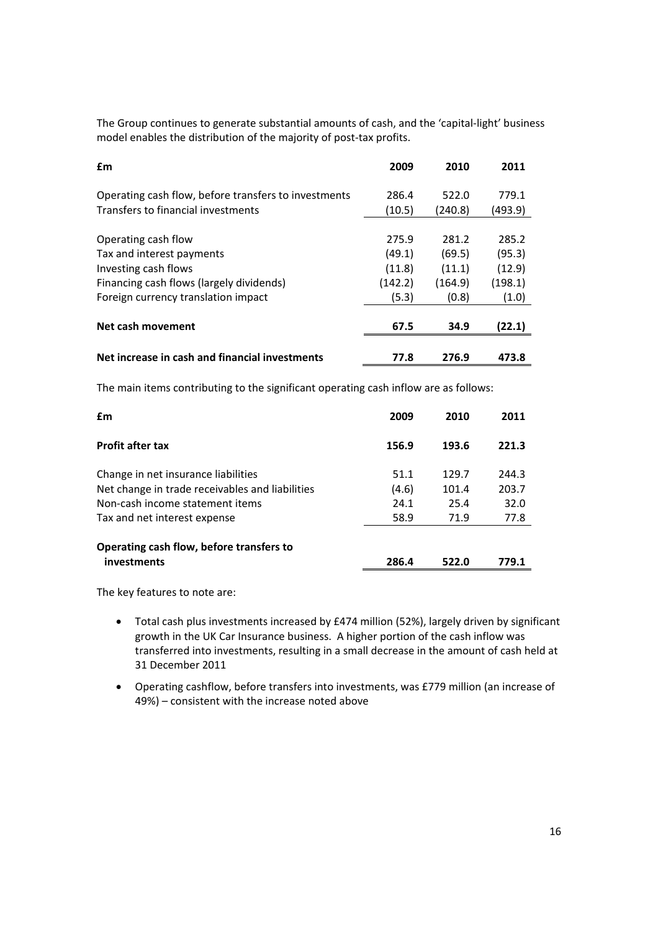The Group continues to generate substantial amounts of cash, and the 'capital‐light' business model enables the distribution of the majority of post-tax profits.

| £m                                                   | 2009    | 2010    | 2011    |
|------------------------------------------------------|---------|---------|---------|
| Operating cash flow, before transfers to investments | 286.4   | 522.0   | 779.1   |
| Transfers to financial investments                   | (10.5)  | (240.8) | (493.9) |
|                                                      |         |         |         |
| Operating cash flow                                  | 275.9   | 281.2   | 285.2   |
| Tax and interest payments                            | (49.1)  | (69.5)  | (95.3)  |
| Investing cash flows                                 | (11.8)  | (11.1)  | (12.9)  |
| Financing cash flows (largely dividends)             | (142.2) | (164.9) | (198.1) |
| Foreign currency translation impact                  | (5.3)   | (0.8)   | (1.0)   |
|                                                      |         |         |         |
| Net cash movement                                    | 67.5    | 34.9    | (22.1)  |
|                                                      |         |         |         |
| Net increase in cash and financial investments       | 77.8    | 276.9   | 473.8   |

The main items contributing to the significant operating cash inflow are as follows:

| 2009  | 2010  | 2011  |
|-------|-------|-------|
| 156.9 | 193.6 | 221.3 |
| 51.1  | 129.7 | 244.3 |
| (4.6) | 101.4 | 203.7 |
| 24.1  | 25.4  | 32.0  |
| 58.9  | 71.9  | 77.8  |
| 286.4 | 522.0 | 779.1 |
|       |       |       |

The key features to note are:

- Total cash plus investments increased by £474 million (52%), largely driven by significant growth in the UK Car Insurance business. A higher portion of the cash inflow was transferred into investments, resulting in a small decrease in the amount of cash held at 31 December 2011
- Operating cashflow, before transfers into investments, was £779 million (an increase of 49%) – consistent with the increase noted above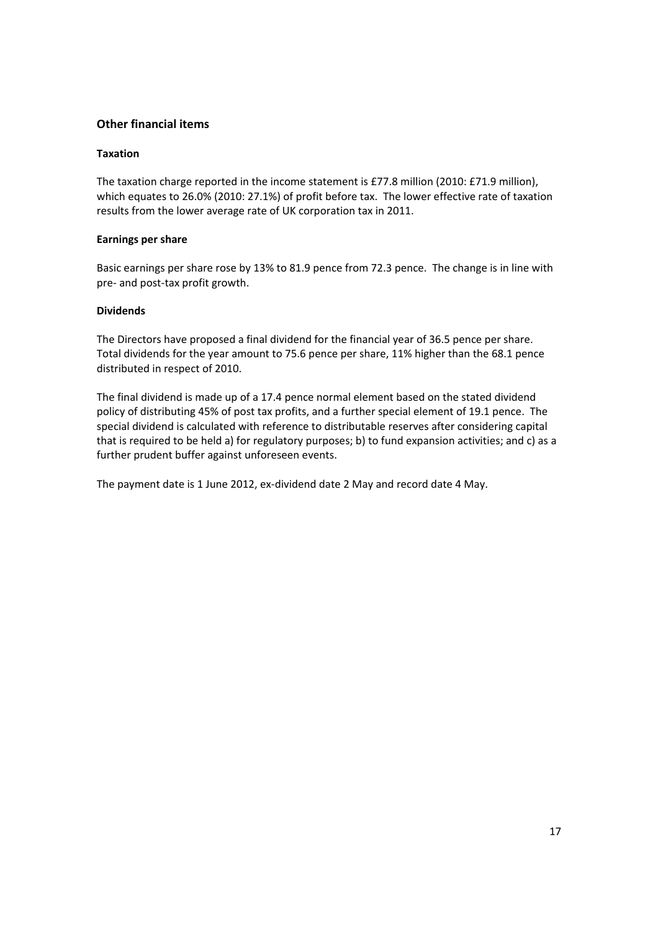## **Other financial items**

#### **Taxation**

The taxation charge reported in the income statement is £77.8 million (2010: £71.9 million), which equates to 26.0% (2010: 27.1%) of profit before tax. The lower effective rate of taxation results from the lower average rate of UK corporation tax in 2011.

#### **Earnings per share**

Basic earnings per share rose by 13% to 81.9 pence from 72.3 pence. The change is in line with pre‐ and post‐tax profit growth.

#### **Dividends**

The Directors have proposed a final dividend for the financial year of 36.5 pence per share. Total dividends for the year amount to 75.6 pence per share, 11% higher than the 68.1 pence distributed in respect of 2010.

The final dividend is made up of a 17.4 pence normal element based on the stated dividend policy of distributing 45% of post tax profits, and a further special element of 19.1 pence. The special dividend is calculated with reference to distributable reserves after considering capital that is required to be held a) for regulatory purposes; b) to fund expansion activities; and c) as a further prudent buffer against unforeseen events.

The payment date is 1 June 2012, ex-dividend date 2 May and record date 4 May.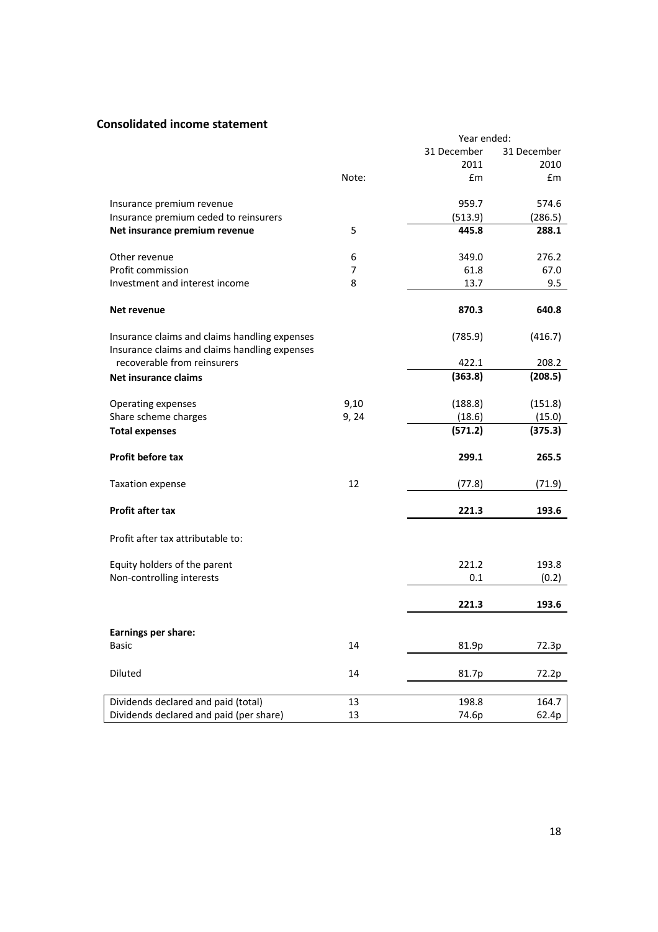## **Consolidated income statement**

|                                                                              |       | Year ended: |             |
|------------------------------------------------------------------------------|-------|-------------|-------------|
|                                                                              |       | 31 December | 31 December |
|                                                                              |       | 2011        | 2010        |
|                                                                              | Note: | £m          | £m          |
| Insurance premium revenue                                                    |       | 959.7       | 574.6       |
| Insurance premium ceded to reinsurers                                        |       | (513.9)     | (286.5)     |
| Net insurance premium revenue                                                | 5     | 445.8       | 288.1       |
| Other revenue                                                                | 6     | 349.0       | 276.2       |
| Profit commission                                                            | 7     | 61.8        | 67.0        |
| Investment and interest income                                               | 8     | 13.7        | 9.5         |
| Net revenue                                                                  |       | 870.3       | 640.8       |
| Insurance claims and claims handling expenses                                |       | (785.9)     | (416.7)     |
| Insurance claims and claims handling expenses<br>recoverable from reinsurers |       | 422.1       | 208.2       |
| Net insurance claims                                                         |       | (363.8)     | (208.5)     |
| Operating expenses                                                           | 9,10  | (188.8)     | (151.8)     |
| Share scheme charges                                                         | 9, 24 | (18.6)      | (15.0)      |
| <b>Total expenses</b>                                                        |       | (571.2)     | (375.3)     |
| <b>Profit before tax</b>                                                     |       | 299.1       | 265.5       |
| Taxation expense                                                             | 12    | (77.8)      | (71.9)      |
| Profit after tax                                                             |       | 221.3       | 193.6       |
| Profit after tax attributable to:                                            |       |             |             |
| Equity holders of the parent                                                 |       | 221.2       | 193.8       |
| Non-controlling interests                                                    |       | 0.1         | (0.2)       |
|                                                                              |       | 221.3       | 193.6       |
| <b>Earnings per share:</b>                                                   |       |             |             |
| <b>Basic</b>                                                                 | 14    | 81.9p       | 72.3p       |
| Diluted                                                                      | 14    | 81.7p       | 72.2p       |
|                                                                              |       |             |             |
| Dividends declared and paid (total)                                          | 13    | 198.8       | 164.7       |
| Dividends declared and paid (per share)                                      | 13    | 74.6p       | 62.4p       |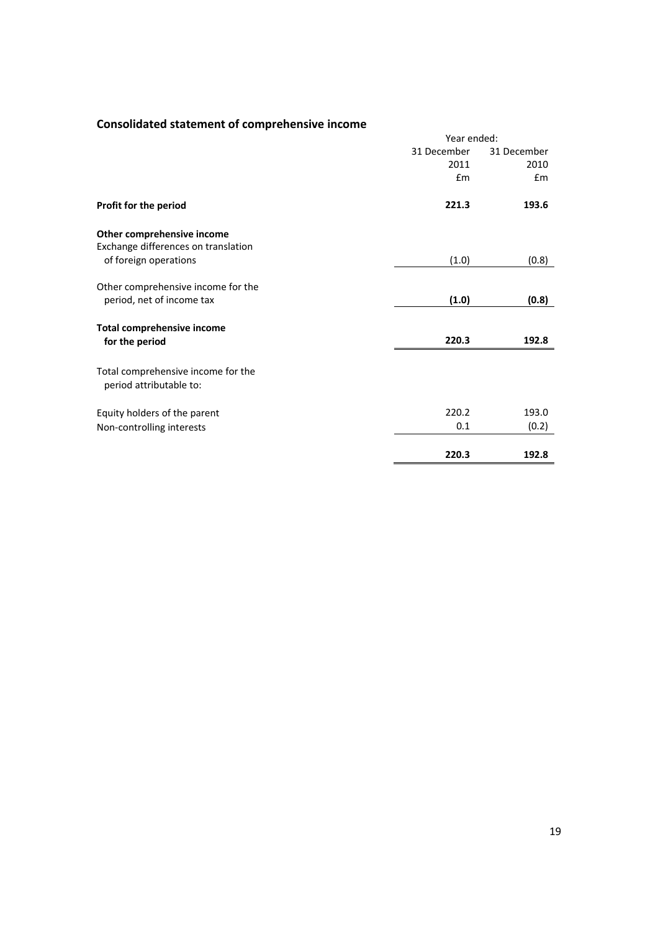## **Consolidated statement of comprehensive income**

| consolidated statement of comprehensive income                |             |             |  |
|---------------------------------------------------------------|-------------|-------------|--|
|                                                               | Year ended: |             |  |
|                                                               | 31 December | 31 December |  |
|                                                               | 2011        | 2010        |  |
|                                                               | £m          | £m          |  |
| Profit for the period                                         | 221.3       | 193.6       |  |
| Other comprehensive income                                    |             |             |  |
| Exchange differences on translation                           |             |             |  |
| of foreign operations                                         | (1.0)       | (0.8)       |  |
| Other comprehensive income for the                            |             |             |  |
| period, net of income tax                                     | (1.0)       | (0.8)       |  |
| <b>Total comprehensive income</b>                             |             |             |  |
| for the period                                                | 220.3       | 192.8       |  |
| Total comprehensive income for the<br>period attributable to: |             |             |  |
| Equity holders of the parent                                  | 220.2       | 193.0       |  |
| Non-controlling interests                                     | 0.1         | (0.2)       |  |
|                                                               |             |             |  |
|                                                               | 220.3       | 192.8       |  |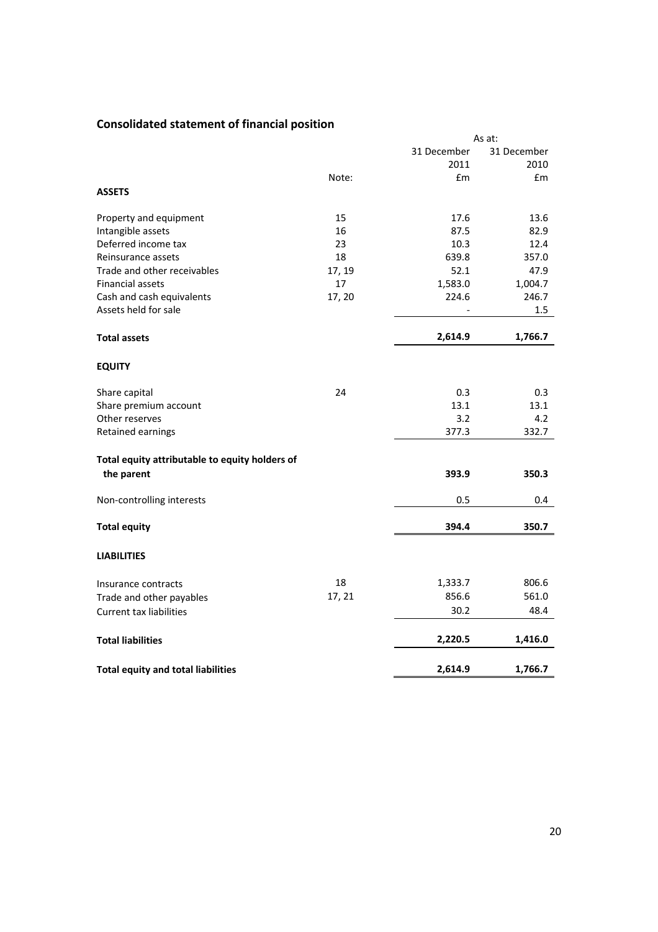## **Consolidated statement of financial position**

|                                                |        |             | As at:      |
|------------------------------------------------|--------|-------------|-------------|
|                                                |        | 31 December | 31 December |
|                                                |        | 2011        | 2010        |
|                                                | Note:  | £m          | £m          |
| <b>ASSETS</b>                                  |        |             |             |
| Property and equipment                         | 15     | 17.6        | 13.6        |
| Intangible assets                              | 16     | 87.5        | 82.9        |
| Deferred income tax                            | 23     | 10.3        | 12.4        |
| Reinsurance assets                             | 18     | 639.8       | 357.0       |
| Trade and other receivables                    | 17, 19 | 52.1        | 47.9        |
| <b>Financial assets</b>                        | 17     | 1,583.0     | 1,004.7     |
| Cash and cash equivalents                      | 17, 20 | 224.6       | 246.7       |
| Assets held for sale                           |        |             | 1.5         |
| <b>Total assets</b>                            |        | 2,614.9     | 1,766.7     |
| <b>EQUITY</b>                                  |        |             |             |
| Share capital                                  | 24     | 0.3         | 0.3         |
| Share premium account                          |        | 13.1        | 13.1        |
| Other reserves                                 |        | 3.2         | 4.2         |
| Retained earnings                              |        | 377.3       | 332.7       |
| Total equity attributable to equity holders of |        |             |             |
| the parent                                     |        | 393.9       | 350.3       |
| Non-controlling interests                      |        | 0.5         | 0.4         |
| <b>Total equity</b>                            |        | 394.4       | 350.7       |
| <b>LIABILITIES</b>                             |        |             |             |
| Insurance contracts                            | 18     | 1,333.7     | 806.6       |
| Trade and other payables                       | 17, 21 | 856.6       | 561.0       |
| <b>Current tax liabilities</b>                 |        | 30.2        | 48.4        |
| <b>Total liabilities</b>                       |        | 2,220.5     | 1,416.0     |
| <b>Total equity and total liabilities</b>      |        | 2,614.9     | 1,766.7     |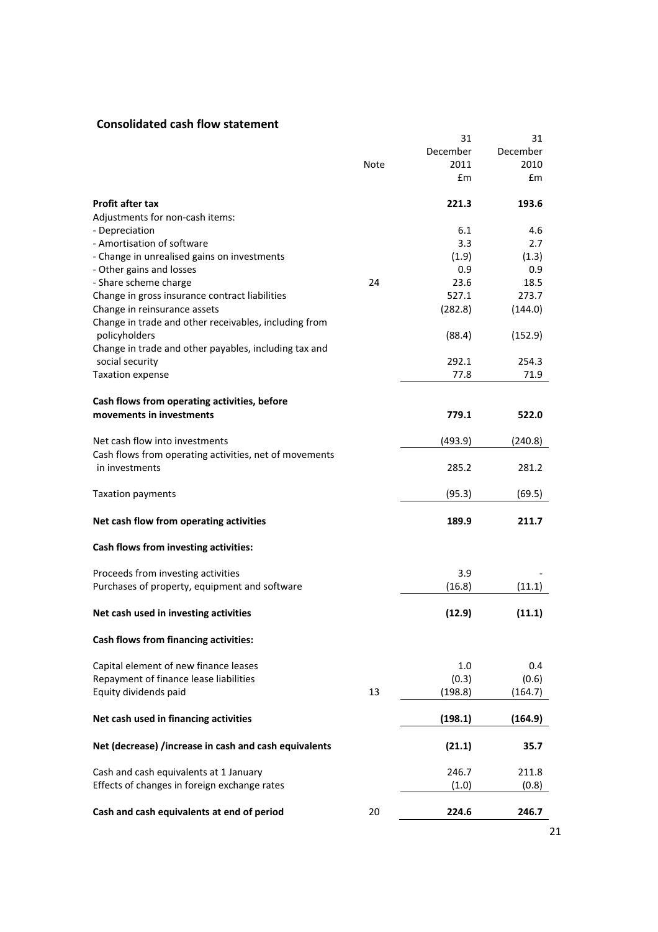## **Consolidated cash flow statement**

|                                                        |             | 31       | 31       |
|--------------------------------------------------------|-------------|----------|----------|
|                                                        |             | December | December |
|                                                        | <b>Note</b> | 2011     | 2010     |
|                                                        |             | £m       | £m       |
| <b>Profit after tax</b>                                |             | 221.3    | 193.6    |
| Adjustments for non-cash items:                        |             |          |          |
| - Depreciation                                         |             | 6.1      | 4.6      |
| - Amortisation of software                             |             | 3.3      | 2.7      |
| - Change in unrealised gains on investments            |             | (1.9)    | (1.3)    |
| - Other gains and losses                               |             | 0.9      | 0.9      |
| - Share scheme charge                                  | 24          | 23.6     | 18.5     |
| Change in gross insurance contract liabilities         |             | 527.1    | 273.7    |
| Change in reinsurance assets                           |             | (282.8)  | (144.0)  |
| Change in trade and other receivables, including from  |             |          |          |
| policyholders                                          |             | (88.4)   | (152.9)  |
| Change in trade and other payables, including tax and  |             |          |          |
| social security                                        |             | 292.1    | 254.3    |
| <b>Taxation expense</b>                                |             | 77.8     | 71.9     |
|                                                        |             |          |          |
| Cash flows from operating activities, before           |             |          |          |
| movements in investments                               |             | 779.1    | 522.0    |
| Net cash flow into investments                         |             | (493.9)  | (240.8)  |
| Cash flows from operating activities, net of movements |             |          |          |
| in investments                                         |             | 285.2    | 281.2    |
| <b>Taxation payments</b>                               |             | (95.3)   | (69.5)   |
|                                                        |             |          |          |
| Net cash flow from operating activities                |             | 189.9    | 211.7    |
| Cash flows from investing activities:                  |             |          |          |
| Proceeds from investing activities                     |             | 3.9      |          |
| Purchases of property, equipment and software          |             | (16.8)   | (11.1)   |
| Net cash used in investing activities                  |             | (12.9)   | (11.1)   |
| Cash flows from financing activities:                  |             |          |          |
|                                                        |             |          |          |
| Capital element of new finance leases                  |             | 1.0      | 0.4      |
| Repayment of finance lease liabilities                 |             | (0.3)    | (0.6)    |
| Equity dividends paid                                  | 13          | (198.8)  | (164.7)  |
| Net cash used in financing activities                  |             | (198.1)  | (164.9)  |
| Net (decrease) /increase in cash and cash equivalents  |             | (21.1)   | 35.7     |
|                                                        |             |          |          |
| Cash and cash equivalents at 1 January                 |             | 246.7    | 211.8    |
| Effects of changes in foreign exchange rates           |             | (1.0)    | (0.8)    |
| Cash and cash equivalents at end of period             | 20          | 224.6    | 246.7    |
|                                                        |             |          |          |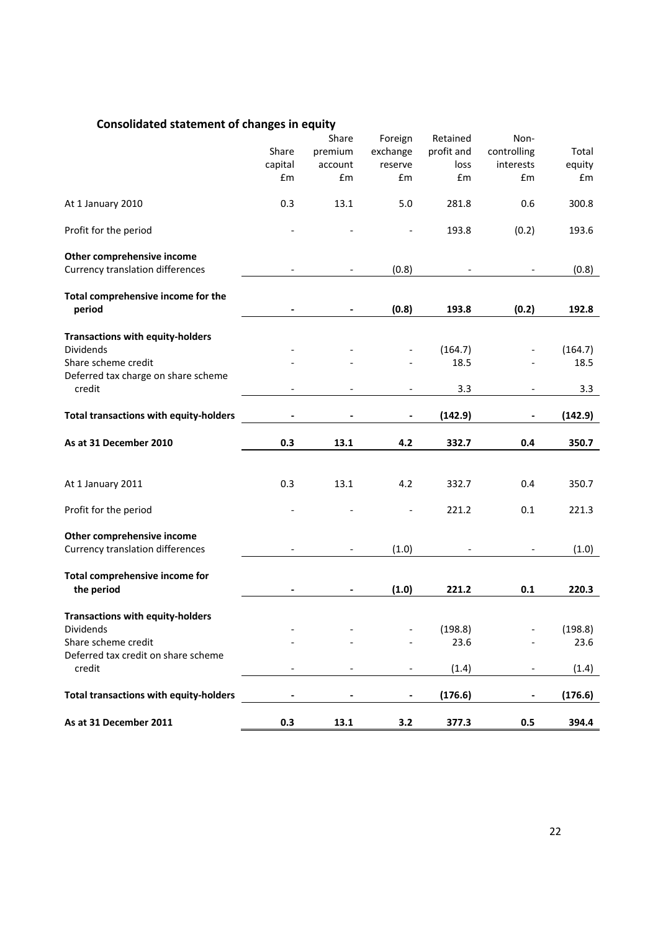# **Consolidated statement of changes in equity**

|                                                                       |         | Share   | Foreign                  | Retained   | Non-                     |         |
|-----------------------------------------------------------------------|---------|---------|--------------------------|------------|--------------------------|---------|
|                                                                       | Share   | premium | exchange                 | profit and | controlling              | Total   |
|                                                                       | capital | account | reserve                  | loss       | interests                | equity  |
|                                                                       | £m      | £m      | Em                       | £m         | £m                       | £m      |
| At 1 January 2010                                                     | 0.3     | 13.1    | 5.0                      | 281.8      | 0.6                      | 300.8   |
| Profit for the period                                                 |         |         |                          | 193.8      | (0.2)                    | 193.6   |
| Other comprehensive income<br><b>Currency translation differences</b> |         |         | (0.8)                    |            |                          | (0.8)   |
|                                                                       |         |         |                          |            |                          |         |
| Total comprehensive income for the<br>period                          |         |         | (0.8)                    | 193.8      | (0.2)                    | 192.8   |
| <b>Transactions with equity-holders</b>                               |         |         |                          |            |                          |         |
| <b>Dividends</b>                                                      |         |         |                          | (164.7)    |                          | (164.7) |
| Share scheme credit                                                   |         |         |                          | 18.5       |                          | 18.5    |
| Deferred tax charge on share scheme<br>credit                         |         |         |                          | 3.3        | $\overline{\phantom{a}}$ | 3.3     |
| <b>Total transactions with equity-holders</b>                         |         |         | $\overline{\phantom{a}}$ | (142.9)    | $\overline{\phantom{a}}$ | (142.9) |
| As at 31 December 2010                                                | 0.3     | 13.1    | 4.2                      | 332.7      | 0.4                      | 350.7   |
|                                                                       |         |         |                          |            |                          |         |
| At 1 January 2011                                                     | 0.3     | 13.1    | 4.2                      | 332.7      | 0.4                      | 350.7   |
| Profit for the period                                                 |         |         |                          | 221.2      | 0.1                      | 221.3   |
| Other comprehensive income                                            |         |         |                          |            |                          |         |
| <b>Currency translation differences</b>                               |         |         | (1.0)                    |            |                          | (1.0)   |
| Total comprehensive income for                                        |         |         |                          |            |                          |         |
| the period                                                            |         |         | (1.0)                    | 221.2      | 0.1                      | 220.3   |
| <b>Transactions with equity-holders</b>                               |         |         |                          |            |                          |         |
| Dividends                                                             |         |         |                          | (198.8)    |                          | (198.8) |
| Share scheme credit                                                   |         |         |                          | 23.6       |                          | 23.6    |
| Deferred tax credit on share scheme                                   |         |         |                          |            |                          |         |
| credit                                                                |         |         |                          | (1.4)      |                          | (1.4)   |
|                                                                       |         |         |                          |            |                          |         |
| <b>Total transactions with equity-holders</b>                         |         |         |                          | (176.6)    |                          | (176.6) |
| As at 31 December 2011                                                | 0.3     | 13.1    | 3.2                      | 377.3      | 0.5                      | 394.4   |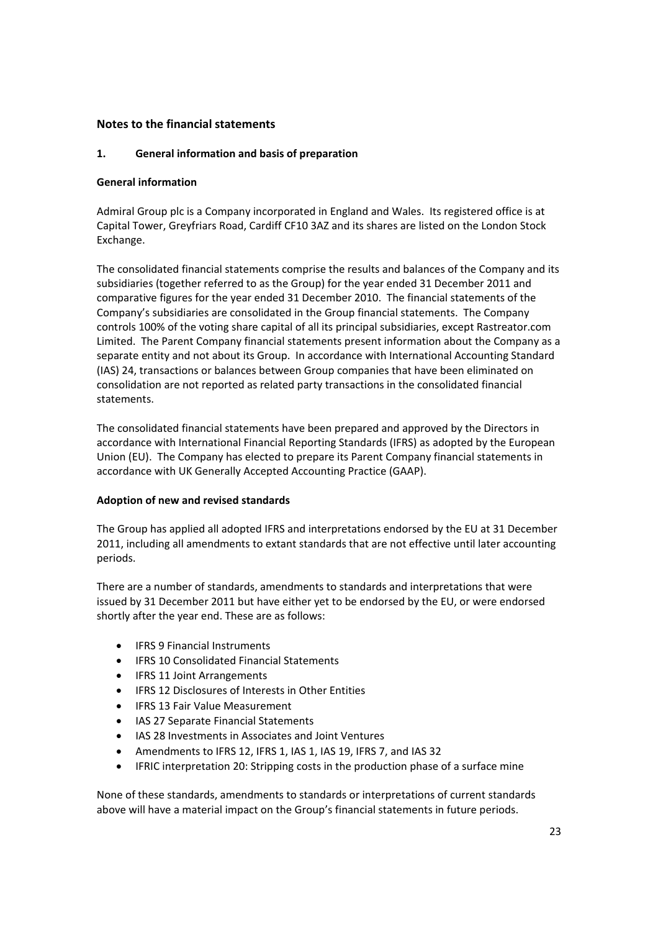## **Notes to the financial statements**

#### **1. General information and basis of preparation**

#### **General information**

Admiral Group plc is a Company incorporated in England and Wales. Its registered office is at Capital Tower, Greyfriars Road, Cardiff CF10 3AZ and its shares are listed on the London Stock Exchange.

The consolidated financial statements comprise the results and balances of the Company and its subsidiaries (together referred to as the Group) for the year ended 31 December 2011 and comparative figures for the year ended 31 December 2010. The financial statements of the Company's subsidiaries are consolidated in the Group financial statements. The Company controls 100% of the voting share capital of all its principal subsidiaries, except Rastreator.com Limited. The Parent Company financial statements present information about the Company as a separate entity and not about its Group. In accordance with International Accounting Standard (IAS) 24, transactions or balances between Group companies that have been eliminated on consolidation are not reported as related party transactions in the consolidated financial statements.

The consolidated financial statements have been prepared and approved by the Directors in accordance with International Financial Reporting Standards (IFRS) as adopted by the European Union (EU). The Company has elected to prepare its Parent Company financial statements in accordance with UK Generally Accepted Accounting Practice (GAAP).

#### **Adoption of new and revised standards**

The Group has applied all adopted IFRS and interpretations endorsed by the EU at 31 December 2011, including all amendments to extant standards that are not effective until later accounting periods.

There are a number of standards, amendments to standards and interpretations that were issued by 31 December 2011 but have either yet to be endorsed by the EU, or were endorsed shortly after the year end. These are as follows:

- IFRS 9 Financial Instruments
- IFRS 10 Consolidated Financial Statements
- IFRS 11 Joint Arrangements
- IFRS 12 Disclosures of Interests in Other Entities
- IFRS 13 Fair Value Measurement
- IAS 27 Separate Financial Statements
- IAS 28 Investments in Associates and Joint Ventures
- Amendments to IFRS 12, IFRS 1, IAS 1, IAS 19, IFRS 7, and IAS 32
- IFRIC interpretation 20: Stripping costs in the production phase of a surface mine

None of these standards, amendments to standards or interpretations of current standards above will have a material impact on the Group's financial statements in future periods.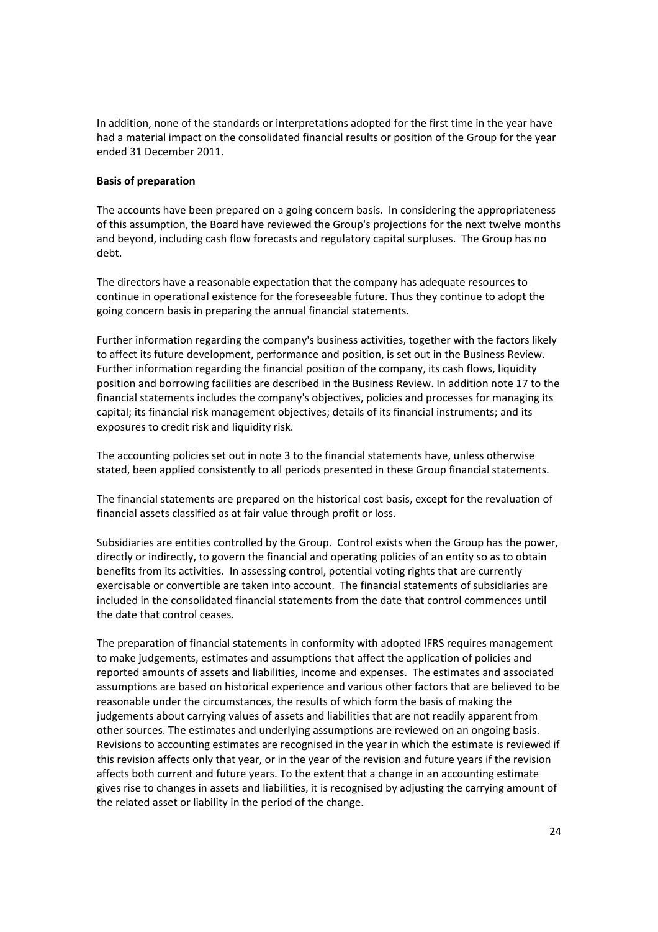In addition, none of the standards or interpretations adopted for the first time in the year have had a material impact on the consolidated financial results or position of the Group for the year ended 31 December 2011.

#### **Basis of preparation**

The accounts have been prepared on a going concern basis. In considering the appropriateness of this assumption, the Board have reviewed the Group's projections for the next twelve months and beyond, including cash flow forecasts and regulatory capital surpluses. The Group has no debt.

The directors have a reasonable expectation that the company has adequate resources to continue in operational existence for the foreseeable future. Thus they continue to adopt the going concern basis in preparing the annual financial statements.

Further information regarding the company's business activities, together with the factors likely to affect its future development, performance and position, is set out in the Business Review. Further information regarding the financial position of the company, its cash flows, liquidity position and borrowing facilities are described in the Business Review. In addition note 17 to the financial statements includes the company's objectives, policies and processes for managing its capital; its financial risk management objectives; details of its financial instruments; and its exposures to credit risk and liquidity risk.

The accounting policies set out in note 3 to the financial statements have, unless otherwise stated, been applied consistently to all periods presented in these Group financial statements.

The financial statements are prepared on the historical cost basis, except for the revaluation of financial assets classified as at fair value through profit or loss.

Subsidiaries are entities controlled by the Group. Control exists when the Group has the power, directly or indirectly, to govern the financial and operating policies of an entity so as to obtain benefits from its activities. In assessing control, potential voting rights that are currently exercisable or convertible are taken into account. The financial statements of subsidiaries are included in the consolidated financial statements from the date that control commences until the date that control ceases.

The preparation of financial statements in conformity with adopted IFRS requires management to make judgements, estimates and assumptions that affect the application of policies and reported amounts of assets and liabilities, income and expenses. The estimates and associated assumptions are based on historical experience and various other factors that are believed to be reasonable under the circumstances, the results of which form the basis of making the judgements about carrying values of assets and liabilities that are not readily apparent from other sources. The estimates and underlying assumptions are reviewed on an ongoing basis. Revisions to accounting estimates are recognised in the year in which the estimate is reviewed if this revision affects only that year, or in the year of the revision and future years if the revision affects both current and future years. To the extent that a change in an accounting estimate gives rise to changes in assets and liabilities, it is recognised by adjusting the carrying amount of the related asset or liability in the period of the change.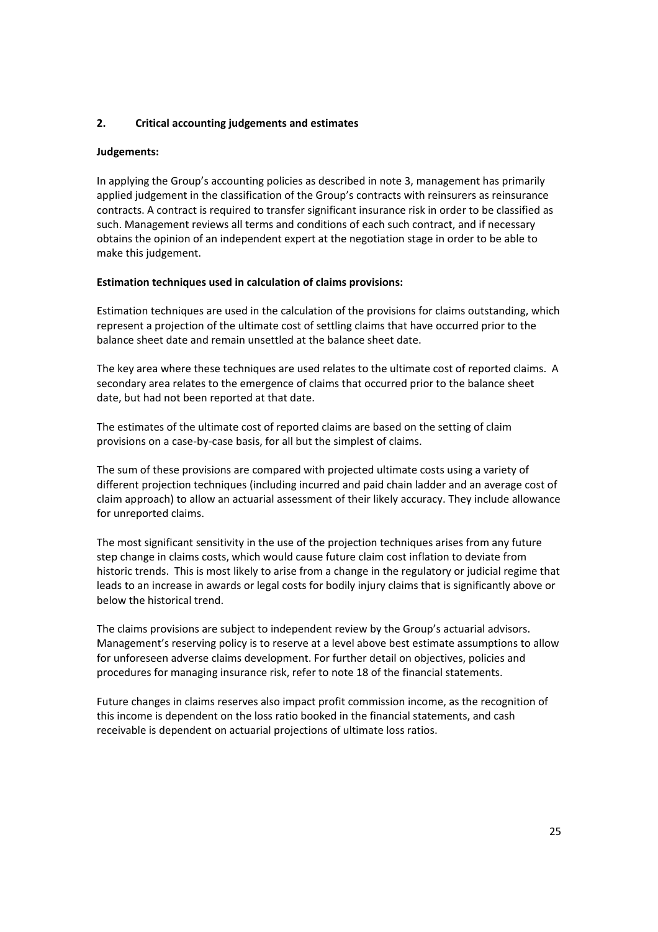## **2. Critical accounting judgements and estimates**

#### **Judgements:**

In applying the Group's accounting policies as described in note 3, management has primarily applied judgement in the classification of the Group's contracts with reinsurers as reinsurance contracts. A contract is required to transfer significant insurance risk in order to be classified as such. Management reviews all terms and conditions of each such contract, and if necessary obtains the opinion of an independent expert at the negotiation stage in order to be able to make this judgement.

#### **Estimation techniques used in calculation of claims provisions:**

Estimation techniques are used in the calculation of the provisions for claims outstanding, which represent a projection of the ultimate cost of settling claims that have occurred prior to the balance sheet date and remain unsettled at the balance sheet date.

The key area where these techniques are used relates to the ultimate cost of reported claims. A secondary area relates to the emergence of claims that occurred prior to the balance sheet date, but had not been reported at that date.

The estimates of the ultimate cost of reported claims are based on the setting of claim provisions on a case‐by‐case basis, for all but the simplest of claims.

The sum of these provisions are compared with projected ultimate costs using a variety of different projection techniques (including incurred and paid chain ladder and an average cost of claim approach) to allow an actuarial assessment of their likely accuracy. They include allowance for unreported claims.

The most significant sensitivity in the use of the projection techniques arises from any future step change in claims costs, which would cause future claim cost inflation to deviate from historic trends. This is most likely to arise from a change in the regulatory or judicial regime that leads to an increase in awards or legal costs for bodily injury claims that is significantly above or below the historical trend.

The claims provisions are subject to independent review by the Group's actuarial advisors. Management's reserving policy is to reserve at a level above best estimate assumptions to allow for unforeseen adverse claims development. For further detail on objectives, policies and procedures for managing insurance risk, refer to note 18 of the financial statements.

Future changes in claims reserves also impact profit commission income, as the recognition of this income is dependent on the loss ratio booked in the financial statements, and cash receivable is dependent on actuarial projections of ultimate loss ratios.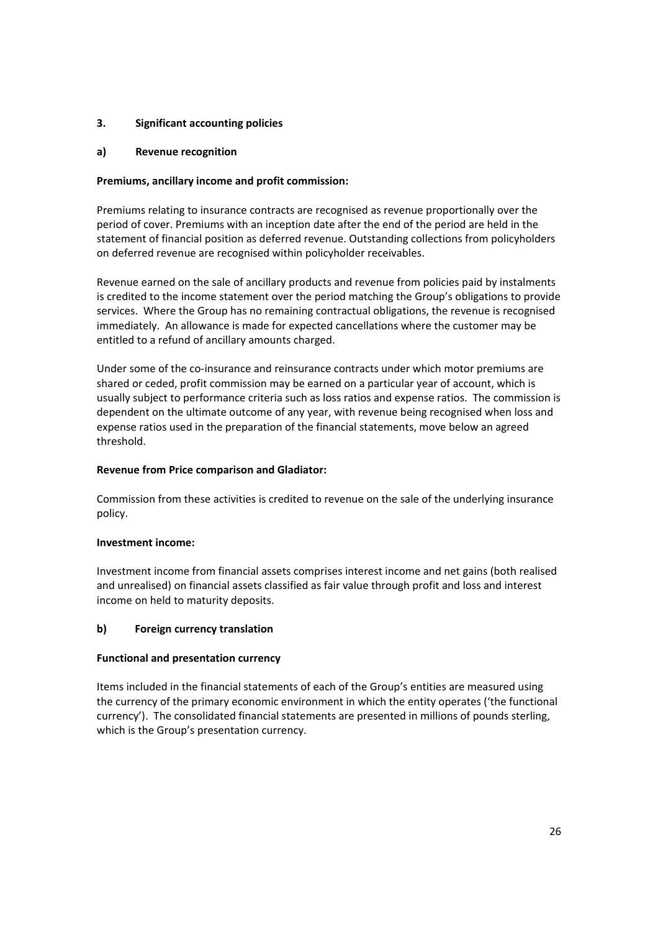## **3. Significant accounting policies**

#### **a) Revenue recognition**

#### **Premiums, ancillary income and profit commission:**

Premiums relating to insurance contracts are recognised as revenue proportionally over the period of cover. Premiums with an inception date after the end of the period are held in the statement of financial position as deferred revenue. Outstanding collections from policyholders on deferred revenue are recognised within policyholder receivables.

Revenue earned on the sale of ancillary products and revenue from policies paid by instalments is credited to the income statement over the period matching the Group's obligations to provide services. Where the Group has no remaining contractual obligations, the revenue is recognised immediately. An allowance is made for expected cancellations where the customer may be entitled to a refund of ancillary amounts charged.

Under some of the co-insurance and reinsurance contracts under which motor premiums are shared or ceded, profit commission may be earned on a particular year of account, which is usually subject to performance criteria such as loss ratios and expense ratios. The commission is dependent on the ultimate outcome of any year, with revenue being recognised when loss and expense ratios used in the preparation of the financial statements, move below an agreed threshold.

#### **Revenue from Price comparison and Gladiator:**

Commission from these activities is credited to revenue on the sale of the underlying insurance policy.

#### **Investment income:**

Investment income from financial assets comprises interest income and net gains (both realised and unrealised) on financial assets classified as fair value through profit and loss and interest income on held to maturity deposits.

## **b) Foreign currency translation**

#### **Functional and presentation currency**

Items included in the financial statements of each of the Group's entities are measured using the currency of the primary economic environment in which the entity operates ('the functional currency'). The consolidated financial statements are presented in millions of pounds sterling, which is the Group's presentation currency.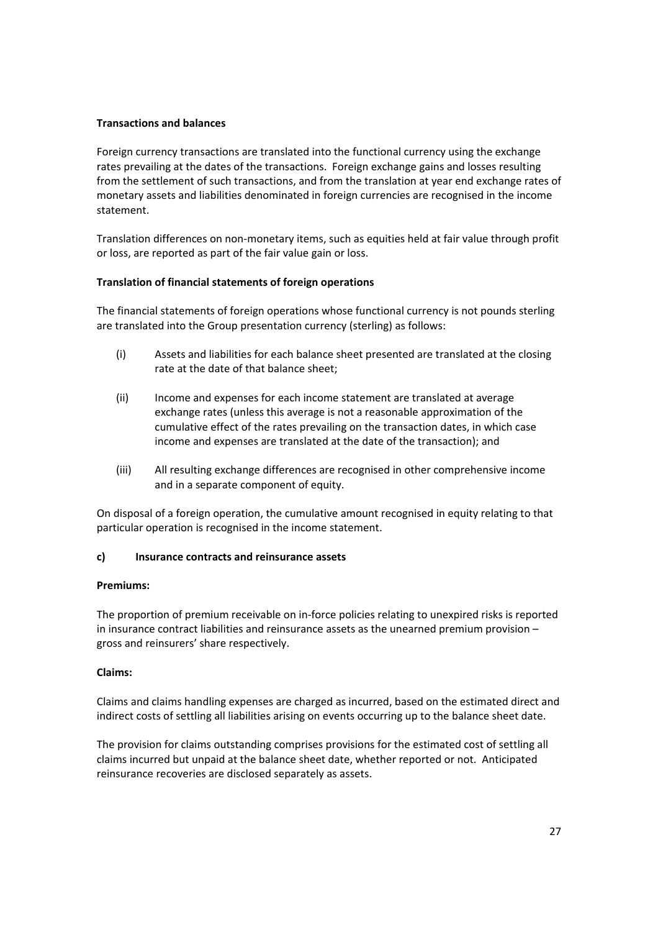#### **Transactions and balances**

Foreign currency transactions are translated into the functional currency using the exchange rates prevailing at the dates of the transactions. Foreign exchange gains and losses resulting from the settlement of such transactions, and from the translation at year end exchange rates of monetary assets and liabilities denominated in foreign currencies are recognised in the income statement.

Translation differences on non‐monetary items, such as equities held at fair value through profit or loss, are reported as part of the fair value gain or loss.

#### **Translation of financial statements of foreign operations**

The financial statements of foreign operations whose functional currency is not pounds sterling are translated into the Group presentation currency (sterling) as follows:

- (i) Assets and liabilities for each balance sheet presented are translated at the closing rate at the date of that balance sheet;
- (ii) Income and expenses for each income statement are translated at average exchange rates (unless this average is not a reasonable approximation of the cumulative effect of the rates prevailing on the transaction dates, in which case income and expenses are translated at the date of the transaction); and
- (iii) All resulting exchange differences are recognised in other comprehensive income and in a separate component of equity.

On disposal of a foreign operation, the cumulative amount recognised in equity relating to that particular operation is recognised in the income statement.

#### **c) Insurance contracts and reinsurance assets**

#### **Premiums:**

The proportion of premium receivable on in-force policies relating to unexpired risks is reported in insurance contract liabilities and reinsurance assets as the unearned premium provision – gross and reinsurers' share respectively.

#### **Claims:**

Claims and claims handling expenses are charged as incurred, based on the estimated direct and indirect costs of settling all liabilities arising on events occurring up to the balance sheet date.

The provision for claims outstanding comprises provisions for the estimated cost of settling all claims incurred but unpaid at the balance sheet date, whether reported or not. Anticipated reinsurance recoveries are disclosed separately as assets.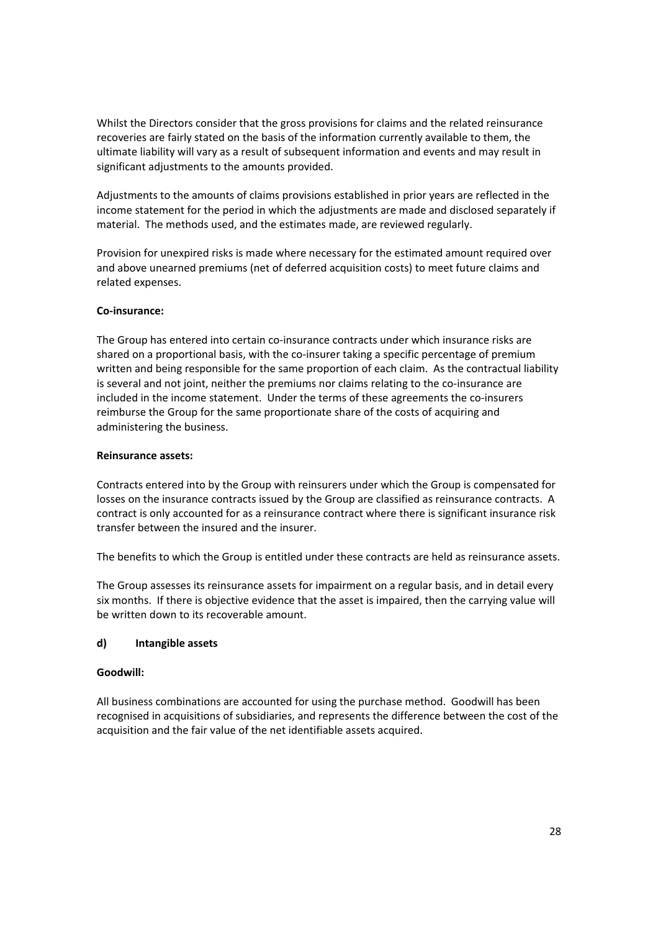Whilst the Directors consider that the gross provisions for claims and the related reinsurance recoveries are fairly stated on the basis of the information currently available to them, the ultimate liability will vary as a result of subsequent information and events and may result in significant adjustments to the amounts provided.

Adjustments to the amounts of claims provisions established in prior years are reflected in the income statement for the period in which the adjustments are made and disclosed separately if material. The methods used, and the estimates made, are reviewed regularly.

Provision for unexpired risks is made where necessary for the estimated amount required over and above unearned premiums (net of deferred acquisition costs) to meet future claims and related expenses.

#### **Co‐insurance:**

The Group has entered into certain co-insurance contracts under which insurance risks are shared on a proportional basis, with the co-insurer taking a specific percentage of premium written and being responsible for the same proportion of each claim. As the contractual liability is several and not joint, neither the premiums nor claims relating to the co-insurance are included in the income statement. Under the terms of these agreements the co-insurers reimburse the Group for the same proportionate share of the costs of acquiring and administering the business.

#### **Reinsurance assets:**

Contracts entered into by the Group with reinsurers under which the Group is compensated for losses on the insurance contracts issued by the Group are classified as reinsurance contracts. A contract is only accounted for as a reinsurance contract where there is significant insurance risk transfer between the insured and the insurer.

The benefits to which the Group is entitled under these contracts are held as reinsurance assets.

The Group assesses its reinsurance assets for impairment on a regular basis, and in detail every six months. If there is objective evidence that the asset is impaired, then the carrying value will be written down to its recoverable amount.

#### **d) Intangible assets**

#### **Goodwill:**

All business combinations are accounted for using the purchase method. Goodwill has been recognised in acquisitions of subsidiaries, and represents the difference between the cost of the acquisition and the fair value of the net identifiable assets acquired.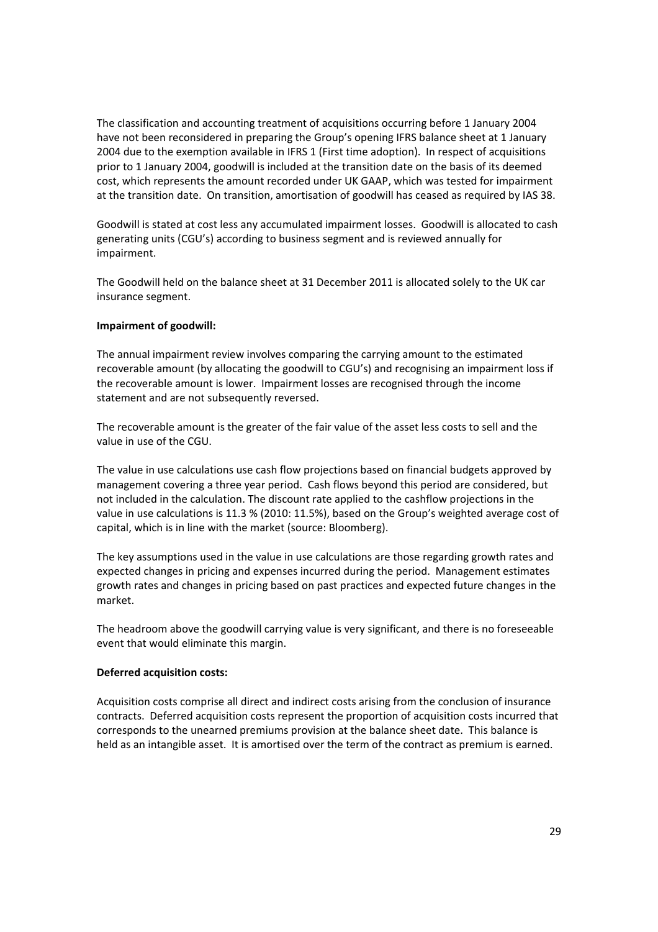The classification and accounting treatment of acquisitions occurring before 1 January 2004 have not been reconsidered in preparing the Group's opening IFRS balance sheet at 1 January 2004 due to the exemption available in IFRS 1 (First time adoption). In respect of acquisitions prior to 1 January 2004, goodwill is included at the transition date on the basis of its deemed cost, which represents the amount recorded under UK GAAP, which was tested for impairment at the transition date. On transition, amortisation of goodwill has ceased as required by IAS 38.

Goodwill is stated at cost less any accumulated impairment losses. Goodwill is allocated to cash generating units (CGU's) according to business segment and is reviewed annually for impairment.

The Goodwill held on the balance sheet at 31 December 2011 is allocated solely to the UK car insurance segment.

#### **Impairment of goodwill:**

The annual impairment review involves comparing the carrying amount to the estimated recoverable amount (by allocating the goodwill to CGU's) and recognising an impairment loss if the recoverable amount is lower. Impairment losses are recognised through the income statement and are not subsequently reversed.

The recoverable amount is the greater of the fair value of the asset less costs to sell and the value in use of the CGU.

The value in use calculations use cash flow projections based on financial budgets approved by management covering a three year period. Cash flows beyond this period are considered, but not included in the calculation. The discount rate applied to the cashflow projections in the value in use calculations is 11.3 % (2010: 11.5%), based on the Group's weighted average cost of capital, which is in line with the market (source: Bloomberg).

The key assumptions used in the value in use calculations are those regarding growth rates and expected changes in pricing and expenses incurred during the period. Management estimates growth rates and changes in pricing based on past practices and expected future changes in the market.

The headroom above the goodwill carrying value is very significant, and there is no foreseeable event that would eliminate this margin.

#### **Deferred acquisition costs:**

Acquisition costs comprise all direct and indirect costs arising from the conclusion of insurance contracts. Deferred acquisition costs represent the proportion of acquisition costs incurred that corresponds to the unearned premiums provision at the balance sheet date. This balance is held as an intangible asset. It is amortised over the term of the contract as premium is earned.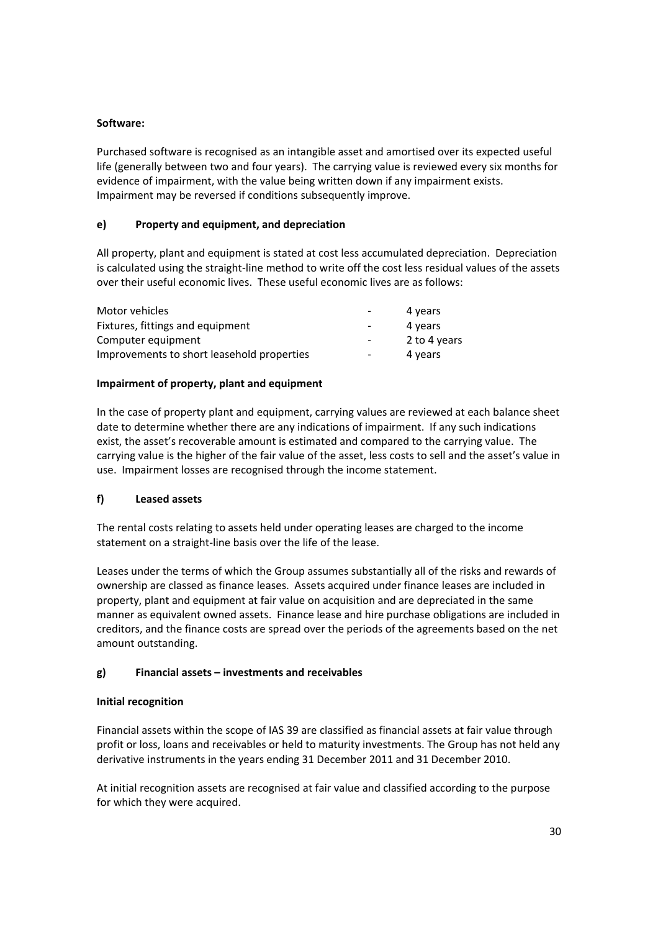#### **Software:**

Purchased software is recognised as an intangible asset and amortised over its expected useful life (generally between two and four years). The carrying value is reviewed every six months for evidence of impairment, with the value being written down if any impairment exists. Impairment may be reversed if conditions subsequently improve.

## **e) Property and equipment, and depreciation**

All property, plant and equipment is stated at cost less accumulated depreciation. Depreciation is calculated using the straight‐line method to write off the cost less residual values of the assets over their useful economic lives. These useful economic lives are as follows:

| Motor vehicles                             | $\qquad \qquad \blacksquare$ | 4 years      |
|--------------------------------------------|------------------------------|--------------|
| Fixtures, fittings and equipment           | -                            | 4 years      |
| Computer equipment                         | $\overline{\phantom{a}}$     | 2 to 4 years |
| Improvements to short leasehold properties | $\overline{\phantom{a}}$     | 4 years      |

## **Impairment of property, plant and equipment**

In the case of property plant and equipment, carrying values are reviewed at each balance sheet date to determine whether there are any indications of impairment. If any such indications exist, the asset's recoverable amount is estimated and compared to the carrying value. The carrying value is the higher of the fair value of the asset, less costs to sell and the asset's value in use. Impairment losses are recognised through the income statement.

#### **f) Leased assets**

The rental costs relating to assets held under operating leases are charged to the income statement on a straight‐line basis over the life of the lease.

Leases under the terms of which the Group assumes substantially all of the risks and rewards of ownership are classed as finance leases. Assets acquired under finance leases are included in property, plant and equipment at fair value on acquisition and are depreciated in the same manner as equivalent owned assets. Finance lease and hire purchase obligations are included in creditors, and the finance costs are spread over the periods of the agreements based on the net amount outstanding.

#### **g) Financial assets – investments and receivables**

#### **Initial recognition**

Financial assets within the scope of IAS 39 are classified as financial assets at fair value through profit or loss, loans and receivables or held to maturity investments. The Group has not held any derivative instruments in the years ending 31 December 2011 and 31 December 2010.

At initial recognition assets are recognised at fair value and classified according to the purpose for which they were acquired.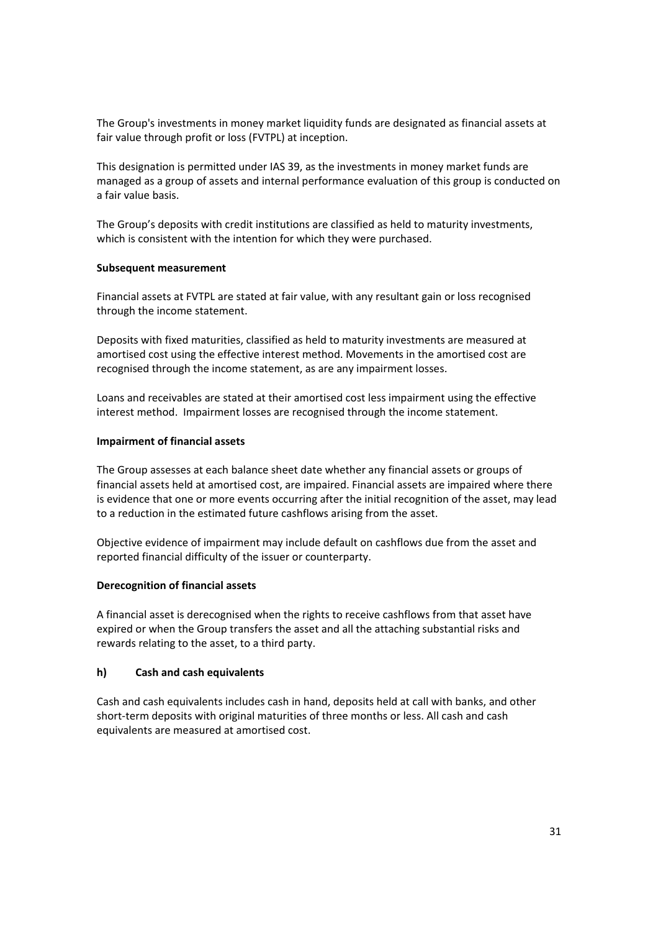The Group's investments in money market liquidity funds are designated as financial assets at fair value through profit or loss (FVTPL) at inception.

This designation is permitted under IAS 39, as the investments in money market funds are managed as a group of assets and internal performance evaluation of this group is conducted on a fair value basis.

The Group's deposits with credit institutions are classified as held to maturity investments, which is consistent with the intention for which they were purchased.

#### **Subsequent measurement**

Financial assets at FVTPL are stated at fair value, with any resultant gain or loss recognised through the income statement.

Deposits with fixed maturities, classified as held to maturity investments are measured at amortised cost using the effective interest method. Movements in the amortised cost are recognised through the income statement, as are any impairment losses.

Loans and receivables are stated at their amortised cost less impairment using the effective interest method. Impairment losses are recognised through the income statement.

#### **Impairment of financial assets**

The Group assesses at each balance sheet date whether any financial assets or groups of financial assets held at amortised cost, are impaired. Financial assets are impaired where there is evidence that one or more events occurring after the initial recognition of the asset, may lead to a reduction in the estimated future cashflows arising from the asset.

Objective evidence of impairment may include default on cashflows due from the asset and reported financial difficulty of the issuer or counterparty.

#### **Derecognition of financial assets**

A financial asset is derecognised when the rights to receive cashflows from that asset have expired or when the Group transfers the asset and all the attaching substantial risks and rewards relating to the asset, to a third party.

#### **h) Cash and cash equivalents**

Cash and cash equivalents includes cash in hand, deposits held at call with banks, and other short-term deposits with original maturities of three months or less. All cash and cash equivalents are measured at amortised cost.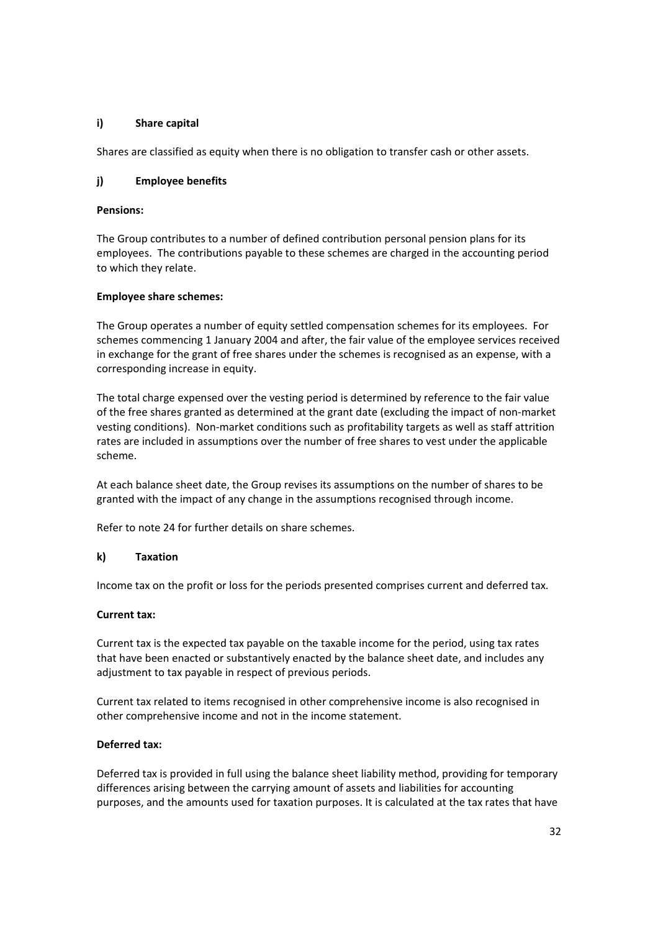#### **i) Share capital**

Shares are classified as equity when there is no obligation to transfer cash or other assets.

#### **j) Employee benefits**

#### **Pensions:**

The Group contributes to a number of defined contribution personal pension plans for its employees. The contributions payable to these schemes are charged in the accounting period to which they relate.

#### **Employee share schemes:**

The Group operates a number of equity settled compensation schemes for its employees. For schemes commencing 1 January 2004 and after, the fair value of the employee services received in exchange for the grant of free shares under the schemes is recognised as an expense, with a corresponding increase in equity.

The total charge expensed over the vesting period is determined by reference to the fair value of the free shares granted as determined at the grant date (excluding the impact of non‐market vesting conditions). Non‐market conditions such as profitability targets as well as staff attrition rates are included in assumptions over the number of free shares to vest under the applicable scheme.

At each balance sheet date, the Group revises its assumptions on the number of shares to be granted with the impact of any change in the assumptions recognised through income.

Refer to note 24 for further details on share schemes.

#### **k) Taxation**

Income tax on the profit or loss for the periods presented comprises current and deferred tax.

#### **Current tax:**

Current tax is the expected tax payable on the taxable income for the period, using tax rates that have been enacted or substantively enacted by the balance sheet date, and includes any adjustment to tax payable in respect of previous periods.

Current tax related to items recognised in other comprehensive income is also recognised in other comprehensive income and not in the income statement.

#### **Deferred tax:**

Deferred tax is provided in full using the balance sheet liability method, providing for temporary differences arising between the carrying amount of assets and liabilities for accounting purposes, and the amounts used for taxation purposes. It is calculated at the tax rates that have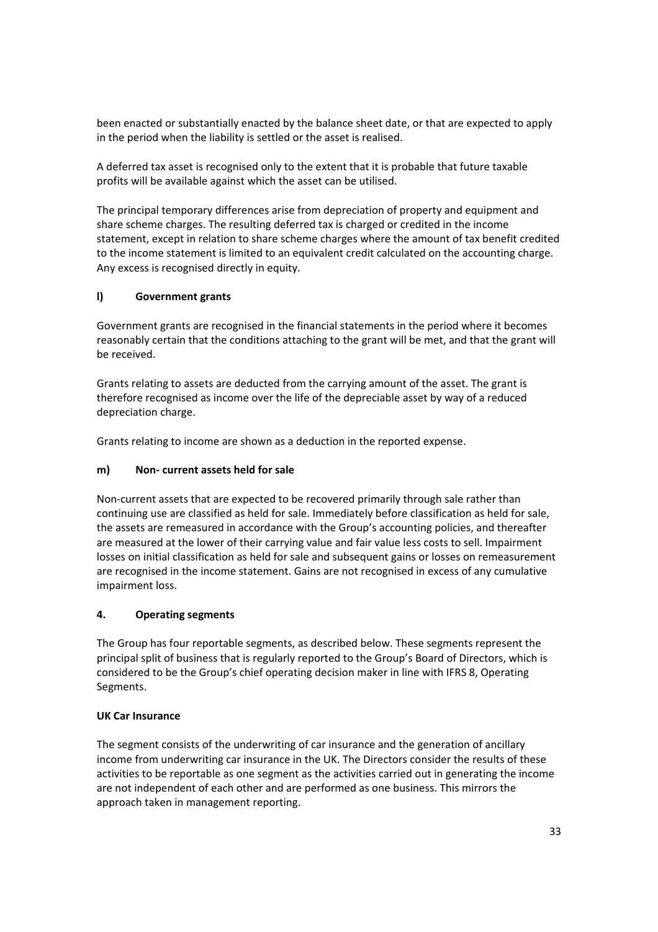been enacted or substantially enacted by the balance sheet date, or that are expected to apply in the period when the liability is settled or the asset is realised.

A deferred tax asset is recognised only to the extent that it is probable that future taxable profits will be available against which the asset can be utilised.

The principal temporary differences arise from depreciation of property and equipment and share scheme charges. The resulting deferred tax is charged or credited in the income statement, except in relation to share scheme charges where the amount of tax benefit credited to the income statement is limited to an equivalent credit calculated on the accounting charge. Any excess is recognised directly in equity.

## **l) Government grants**

Government grants are recognised in the financial statements in the period where it becomes reasonably certain that the conditions attaching to the grant will be met, and that the grant will be received.

Grants relating to assets are deducted from the carrying amount of the asset. The grant is therefore recognised as income over the life of the depreciable asset by way of a reduced depreciation charge.

Grants relating to income are shown as a deduction in the reported expense.

## **m) Non‐ current assets held for sale**

Non-current assets that are expected to be recovered primarily through sale rather than continuing use are classified as held for sale. Immediately before classification as held for sale, the assets are remeasured in accordance with the Group's accounting policies, and thereafter are measured at the lower of their carrying value and fair value less costs to sell. Impairment losses on initial classification as held for sale and subsequent gains or losses on remeasurement are recognised in the income statement. Gains are not recognised in excess of any cumulative impairment loss.

#### **4. Operating segments**

The Group has four reportable segments, as described below. These segments represent the principal split of business that is regularly reported to the Group's Board of Directors, which is considered to be the Group's chief operating decision maker in line with IFRS 8, Operating Segments.

#### **UK Car Insurance**

The segment consists of the underwriting of car insurance and the generation of ancillary income from underwriting car insurance in the UK. The Directors consider the results of these activities to be reportable as one segment as the activities carried out in generating the income are not independent of each other and are performed as one business. This mirrors the approach taken in management reporting.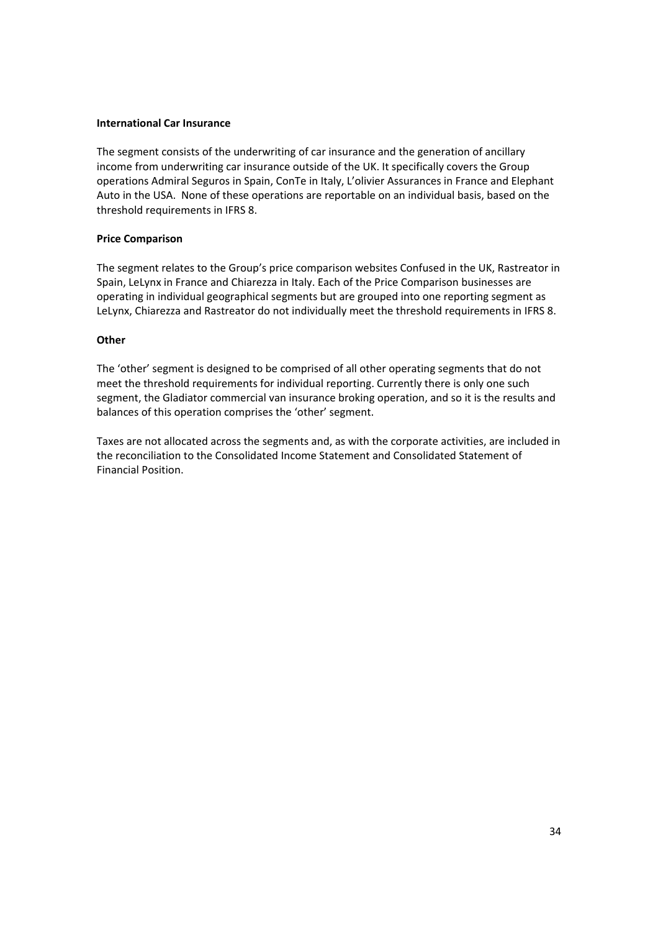#### **International Car Insurance**

The segment consists of the underwriting of car insurance and the generation of ancillary income from underwriting car insurance outside of the UK. It specifically covers the Group operations Admiral Seguros in Spain, ConTe in Italy, L'olivier Assurances in France and Elephant Auto in the USA. None of these operations are reportable on an individual basis, based on the threshold requirements in IFRS 8.

#### **Price Comparison**

The segment relates to the Group's price comparison websites Confused in the UK, Rastreator in Spain, LeLynx in France and Chiarezza in Italy. Each of the Price Comparison businesses are operating in individual geographical segments but are grouped into one reporting segment as LeLynx, Chiarezza and Rastreator do not individually meet the threshold requirements in IFRS 8.

#### **Other**

The 'other' segment is designed to be comprised of all other operating segments that do not meet the threshold requirements for individual reporting. Currently there is only one such segment, the Gladiator commercial van insurance broking operation, and so it is the results and balances of this operation comprises the 'other' segment.

Taxes are not allocated across the segments and, as with the corporate activities, are included in the reconciliation to the Consolidated Income Statement and Consolidated Statement of Financial Position.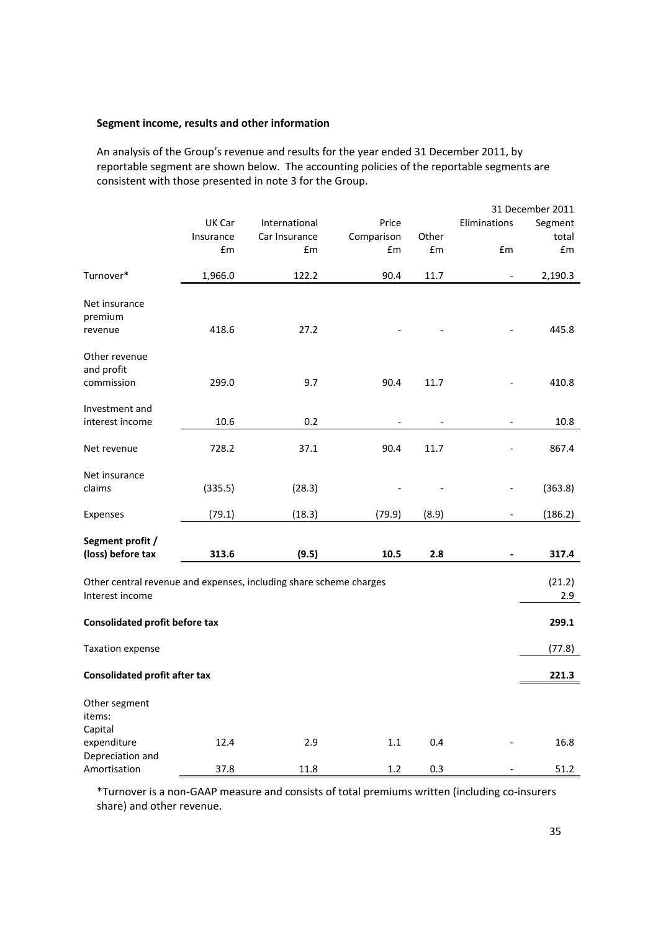#### **Segment income, results and other information**

An analysis of the Group's revenue and results for the year ended 31 December 2011, by reportable segment are shown below. The accounting policies of the reportable segments are consistent with those presented in note 3 for the Group.

|                                                                    |           |               |                |       |                              | 31 December 2011 |
|--------------------------------------------------------------------|-----------|---------------|----------------|-------|------------------------------|------------------|
|                                                                    | UK Car    | International | Price          |       | Eliminations                 | Segment          |
|                                                                    | Insurance | Car Insurance | Comparison     | Other |                              | total            |
|                                                                    | £m        | £m            | £m             | £m    | £m                           | £m               |
| Turnover*                                                          | 1,966.0   | 122.2         | 90.4           | 11.7  |                              | 2,190.3          |
| Net insurance                                                      |           |               |                |       |                              |                  |
| premium                                                            |           |               |                |       |                              |                  |
| revenue                                                            | 418.6     | 27.2          |                |       |                              | 445.8            |
| Other revenue                                                      |           |               |                |       |                              |                  |
| and profit                                                         |           |               |                |       |                              |                  |
| commission                                                         | 299.0     | 9.7           | 90.4           | 11.7  |                              | 410.8            |
| Investment and                                                     |           |               |                |       |                              |                  |
| interest income                                                    | 10.6      | 0.2           | $\overline{a}$ |       |                              | 10.8             |
| Net revenue                                                        | 728.2     | 37.1          | 90.4           | 11.7  |                              | 867.4            |
| Net insurance                                                      |           |               |                |       |                              |                  |
| claims                                                             | (335.5)   | (28.3)        |                |       |                              | (363.8)          |
| Expenses                                                           | (79.1)    | (18.3)        | (79.9)         | (8.9) | $\qquad \qquad \blacksquare$ | (186.2)          |
| Segment profit /                                                   |           |               |                |       |                              |                  |
| (loss) before tax                                                  | 313.6     | (9.5)         | 10.5           | 2.8   |                              | 317.4            |
| Other central revenue and expenses, including share scheme charges |           |               |                |       |                              | (21.2)           |
| Interest income                                                    |           |               |                |       |                              | 2.9              |
| <b>Consolidated profit before tax</b>                              |           |               |                |       |                              | 299.1            |
| <b>Taxation expense</b>                                            |           |               |                |       |                              | (77.8)           |
| <b>Consolidated profit after tax</b>                               |           |               |                |       |                              | 221.3            |
| Other segment                                                      |           |               |                |       |                              |                  |
| items:                                                             |           |               |                |       |                              |                  |
| Capital                                                            |           |               |                |       |                              |                  |
| expenditure                                                        | 12.4      | 2.9           | 1.1            | 0.4   |                              | 16.8             |
| Depreciation and                                                   |           |               |                |       |                              |                  |
| Amortisation                                                       | 37.8      | 11.8          | 1.2            | 0.3   |                              | 51.2             |

\*Turnover is a non‐GAAP measure and consists of total premiums written (including co‐insurers share) and other revenue.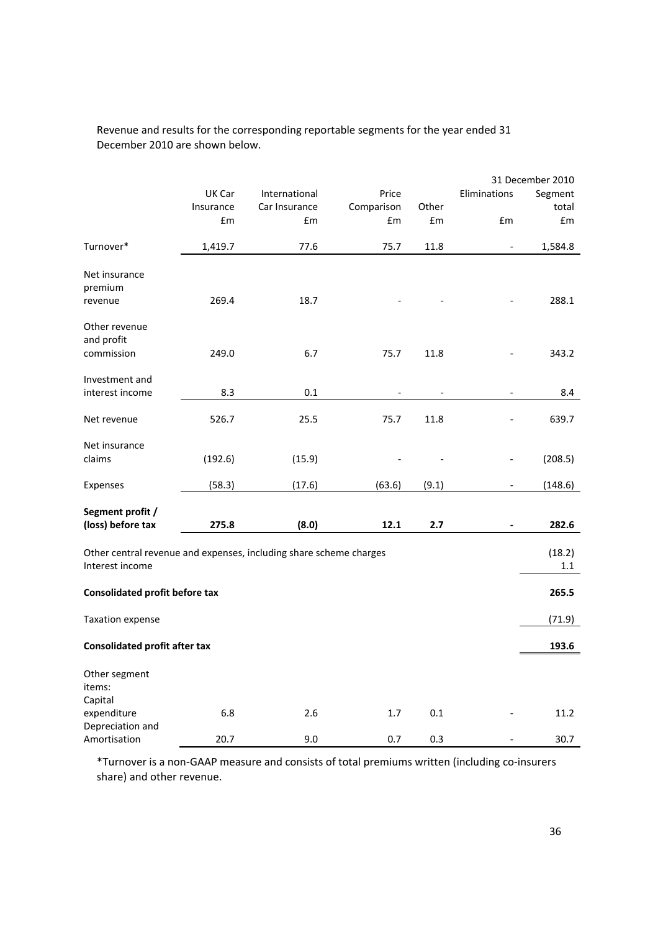|                                                                    |           |               |            |       |              | 31 December 2010 |
|--------------------------------------------------------------------|-----------|---------------|------------|-------|--------------|------------------|
|                                                                    | UK Car    | International | Price      |       | Eliminations | Segment          |
|                                                                    | Insurance | Car Insurance | Comparison | Other |              | total            |
|                                                                    | £m        | £m            | £m         | £m    | £m           | £m               |
| Turnover*                                                          | 1,419.7   | 77.6          | 75.7       | 11.8  |              | 1,584.8          |
| Net insurance                                                      |           |               |            |       |              |                  |
| premium                                                            |           |               |            |       |              |                  |
| revenue                                                            | 269.4     | 18.7          |            |       |              | 288.1            |
| Other revenue                                                      |           |               |            |       |              |                  |
| and profit                                                         |           |               |            |       |              |                  |
| commission                                                         | 249.0     | 6.7           | 75.7       | 11.8  |              | 343.2            |
| Investment and                                                     |           |               |            |       |              |                  |
| interest income                                                    | 8.3       | 0.1           |            |       |              | 8.4              |
| Net revenue                                                        | 526.7     | 25.5          | 75.7       | 11.8  |              | 639.7            |
| Net insurance                                                      |           |               |            |       |              |                  |
| claims                                                             | (192.6)   | (15.9)        |            |       |              | (208.5)          |
| Expenses                                                           | (58.3)    | (17.6)        | (63.6)     | (9.1) |              | (148.6)          |
| Segment profit /                                                   |           |               |            |       |              |                  |
| (loss) before tax                                                  | 275.8     | (8.0)         | 12.1       | 2.7   |              | 282.6            |
| Other central revenue and expenses, including share scheme charges |           |               |            |       |              | (18.2)           |
| Interest income                                                    |           |               |            |       |              | 1.1              |
| <b>Consolidated profit before tax</b>                              |           |               |            |       |              | 265.5            |
| <b>Taxation expense</b>                                            |           |               |            |       |              | (71.9)           |
| <b>Consolidated profit after tax</b>                               |           |               |            |       |              | 193.6            |
|                                                                    |           |               |            |       |              |                  |
| Other segment<br>items:                                            |           |               |            |       |              |                  |
| Capital                                                            |           |               |            |       |              |                  |
| expenditure                                                        | 6.8       | 2.6           | 1.7        | 0.1   |              | 11.2             |
| Depreciation and                                                   |           |               |            |       |              |                  |
| Amortisation                                                       | 20.7      | 9.0           | 0.7        | 0.3   |              | 30.7             |

Revenue and results for the corresponding reportable segments for the year ended 31 December 2010 are shown below.

\*Turnover is a non‐GAAP measure and consists of total premiums written (including co‐insurers share) and other revenue.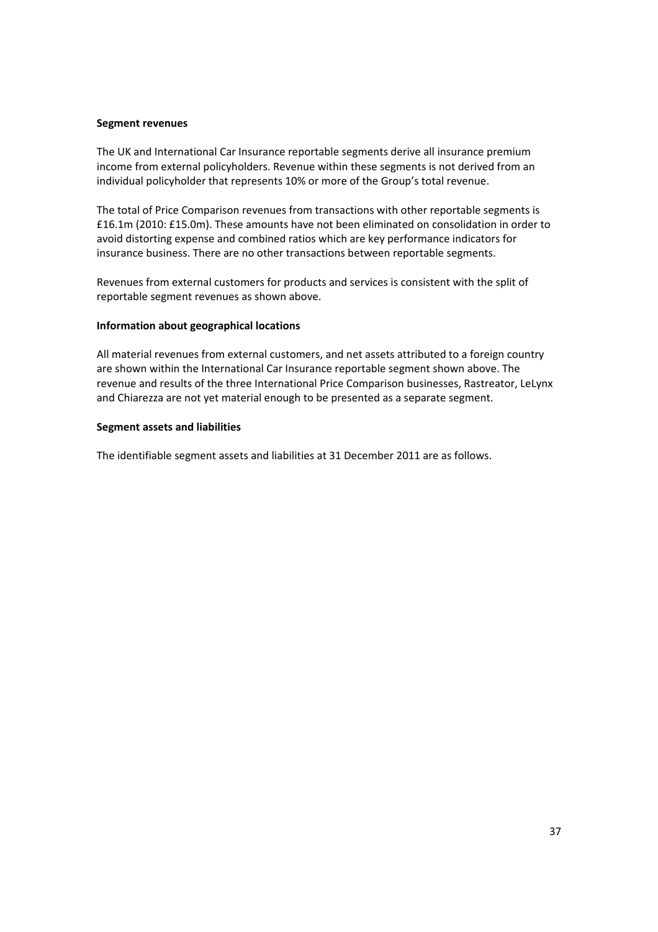#### **Segment revenues**

The UK and International Car Insurance reportable segments derive all insurance premium income from external policyholders. Revenue within these segments is not derived from an individual policyholder that represents 10% or more of the Group's total revenue.

The total of Price Comparison revenues from transactions with other reportable segments is £16.1m (2010: £15.0m). These amounts have not been eliminated on consolidation in order to avoid distorting expense and combined ratios which are key performance indicators for insurance business. There are no other transactions between reportable segments.

Revenues from external customers for products and services is consistent with the split of reportable segment revenues as shown above.

#### **Information about geographical locations**

All material revenues from external customers, and net assets attributed to a foreign country are shown within the International Car Insurance reportable segment shown above. The revenue and results of the three International Price Comparison businesses, Rastreator, LeLynx and Chiarezza are not yet material enough to be presented as a separate segment.

#### **Segment assets and liabilities**

The identifiable segment assets and liabilities at 31 December 2011 are as follows.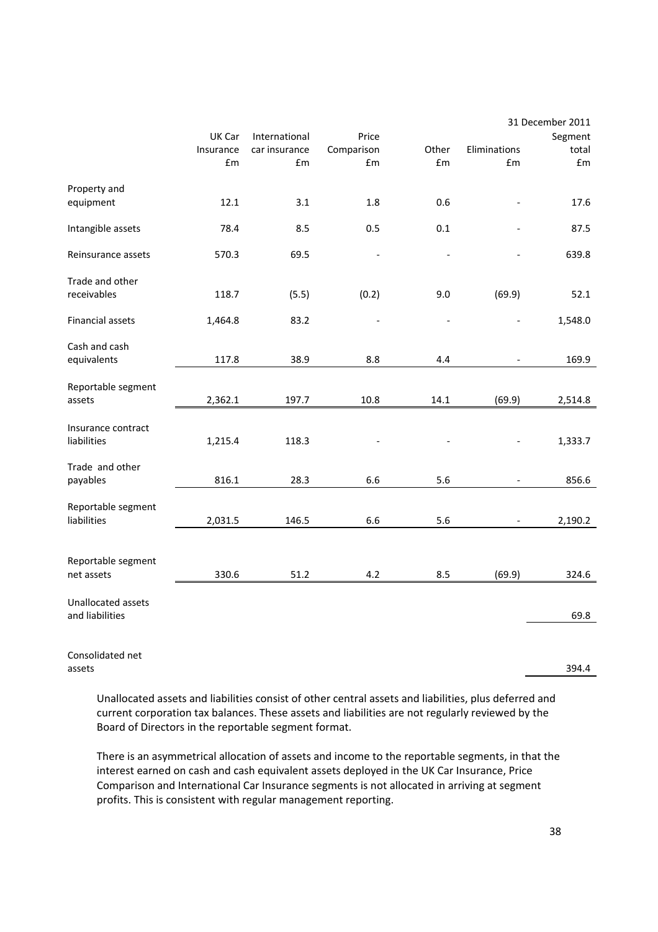|                         |           |               |            |       |              | 31 December 2011 |
|-------------------------|-----------|---------------|------------|-------|--------------|------------------|
|                         | UK Car    | International | Price      |       |              | Segment          |
|                         | Insurance | car insurance | Comparison | Other | Eliminations | total            |
|                         | £m        | £m            | £m         | £m    | £m           | £m               |
|                         |           |               |            |       |              |                  |
| Property and            |           |               |            |       |              |                  |
| equipment               | 12.1      | 3.1           | 1.8        | 0.6   |              | 17.6             |
|                         |           |               |            |       |              |                  |
| Intangible assets       | 78.4      | 8.5           | 0.5        | 0.1   |              | 87.5             |
|                         |           |               |            |       |              |                  |
| Reinsurance assets      | 570.3     | 69.5          |            |       |              | 639.8            |
| Trade and other         |           |               |            |       |              |                  |
| receivables             | 118.7     | (5.5)         | (0.2)      | 9.0   | (69.9)       | 52.1             |
|                         |           |               |            |       |              |                  |
| <b>Financial assets</b> | 1,464.8   | 83.2          |            |       |              | 1,548.0          |
|                         |           |               |            |       |              |                  |
| Cash and cash           |           |               |            |       |              |                  |
| equivalents             | 117.8     | 38.9          | 8.8        | 4.4   |              | 169.9            |
|                         |           |               |            |       |              |                  |
| Reportable segment      |           |               |            |       |              |                  |
| assets                  | 2,362.1   | 197.7         | 10.8       | 14.1  | (69.9)       | 2,514.8          |
|                         |           |               |            |       |              |                  |
| Insurance contract      |           |               |            |       |              |                  |
| liabilities             | 1,215.4   | 118.3         |            |       |              | 1,333.7          |
|                         |           |               |            |       |              |                  |
| Trade and other         |           |               |            |       |              |                  |
| payables                | 816.1     | 28.3          | 6.6        | 5.6   |              | 856.6            |
|                         |           |               |            |       |              |                  |
| Reportable segment      |           |               |            |       |              |                  |
| liabilities             | 2,031.5   | 146.5         | 6.6        | 5.6   |              | 2,190.2          |
|                         |           |               |            |       |              |                  |
| Reportable segment      |           |               |            |       |              |                  |
| net assets              | 330.6     | 51.2          | 4.2        | 8.5   | (69.9)       | 324.6            |
|                         |           |               |            |       |              |                  |
| Unallocated assets      |           |               |            |       |              |                  |
| and liabilities         |           |               |            |       |              | 69.8             |
|                         |           |               |            |       |              |                  |
|                         |           |               |            |       |              |                  |
| Consolidated net        |           |               |            |       |              |                  |

 $\overline{a}$  assets  $\overline{a}$  394.4  $\overline{a}$ 

Unallocated assets and liabilities consist of other central assets and liabilities, plus deferred and current corporation tax balances. These assets and liabilities are not regularly reviewed by the Board of Directors in the reportable segment format.

There is an asymmetrical allocation of assets and income to the reportable segments, in that the interest earned on cash and cash equivalent assets deployed in the UK Car Insurance, Price Comparison and International Car Insurance segments is not allocated in arriving at segment profits. This is consistent with regular management reporting.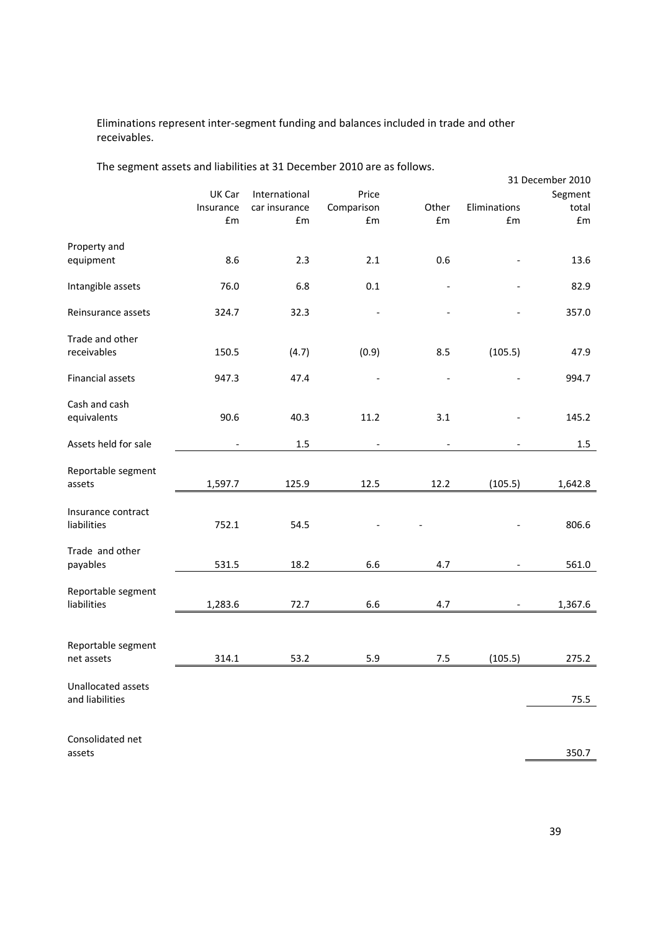Eliminations represent inter‐segment funding and balances included in trade and other receivables.

The segment assets and liabilities at 31 December 2010 are as follows.

| ັ                                            | UK Car          | International       | Price            |             |                    | 31 December 2010       |
|----------------------------------------------|-----------------|---------------------|------------------|-------------|--------------------|------------------------|
|                                              | Insurance<br>£m | car insurance<br>£m | Comparison<br>£m | Other<br>£m | Eliminations<br>£m | Segment<br>total<br>£m |
| Property and<br>equipment                    | 8.6             | 2.3                 | 2.1              | 0.6         |                    | 13.6                   |
| Intangible assets                            | 76.0            | 6.8                 | 0.1              |             |                    | 82.9                   |
| Reinsurance assets                           | 324.7           | 32.3                |                  |             |                    | 357.0                  |
| Trade and other<br>receivables               | 150.5           | (4.7)               | (0.9)            | 8.5         | (105.5)            | 47.9                   |
| <b>Financial assets</b>                      | 947.3           | 47.4                |                  |             |                    | 994.7                  |
| Cash and cash<br>equivalents                 | 90.6            | 40.3                | 11.2             | 3.1         |                    | 145.2                  |
| Assets held for sale                         |                 | 1.5                 |                  |             |                    | $1.5\,$                |
| Reportable segment<br>assets                 | 1,597.7         | 125.9               | 12.5             | 12.2        | (105.5)            | 1,642.8                |
| Insurance contract<br>liabilities            | 752.1           | 54.5                |                  |             |                    | 806.6                  |
| Trade and other<br>payables                  | 531.5           | 18.2                | 6.6              | 4.7         |                    | 561.0                  |
| Reportable segment<br>liabilities            | 1,283.6         | 72.7                | 6.6              | 4.7         |                    | 1,367.6                |
| Reportable segment<br>net assets             | 314.1           | 53.2                | 5.9              | 7.5         | (105.5)            | 275.2                  |
| <b>Unallocated assets</b><br>and liabilities |                 |                     |                  |             |                    | 75.5                   |
| Consolidated net<br>assets                   |                 |                     |                  |             |                    | 350.7                  |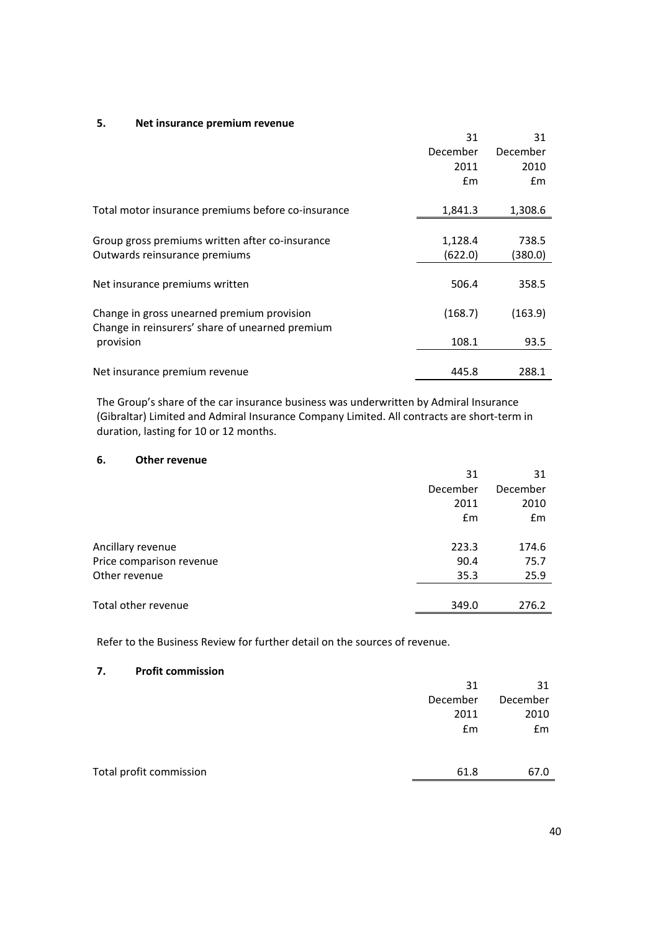## **5. Net insurance premium revenue**

|                                                    | 31       | 31            |
|----------------------------------------------------|----------|---------------|
|                                                    | December | December      |
|                                                    | 2011     | 2010          |
|                                                    | Em       | $\mathsf{fm}$ |
| Total motor insurance premiums before co-insurance | 1,841.3  | 1,308.6       |
|                                                    |          |               |
| Group gross premiums written after co-insurance    | 1,128.4  | 738.5         |
| Outwards reinsurance premiums                      | (622.0)  | (380.0)       |
|                                                    |          |               |
| Net insurance premiums written                     | 506.4    | 358.5         |
| Change in gross unearned premium provision         | (168.7)  | (163.9)       |
| Change in reinsurers' share of unearned premium    |          |               |
| provision                                          | 108.1    | 93.5          |
|                                                    |          |               |
| Net insurance premium revenue                      | 445.8    | 288.1         |

The Group's share of the car insurance business was underwritten by Admiral Insurance (Gibraltar) Limited and Admiral Insurance Company Limited. All contracts are short‐term in duration, lasting for 10 or 12 months.

#### **6. Other revenue**

|                          | 31       | 31             |
|--------------------------|----------|----------------|
|                          | December | December       |
|                          | 2011     | 2010           |
|                          | Em       | $\mathbf{f}$ m |
| Ancillary revenue        | 223.3    | 174.6          |
| Price comparison revenue | 90.4     | 75.7           |
| Other revenue            | 35.3     | 25.9           |
|                          |          |                |
| Total other revenue      | 349.0    | 276.2          |
|                          |          |                |

Refer to the Business Review for further detail on the sources of revenue.

#### **7. Profit commission**

|                         | 31       | 31       |
|-------------------------|----------|----------|
|                         | December | December |
|                         | 2011     | 2010     |
|                         | Em       | Em       |
|                         |          |          |
| Total profit commission | 61.8     | 67.0     |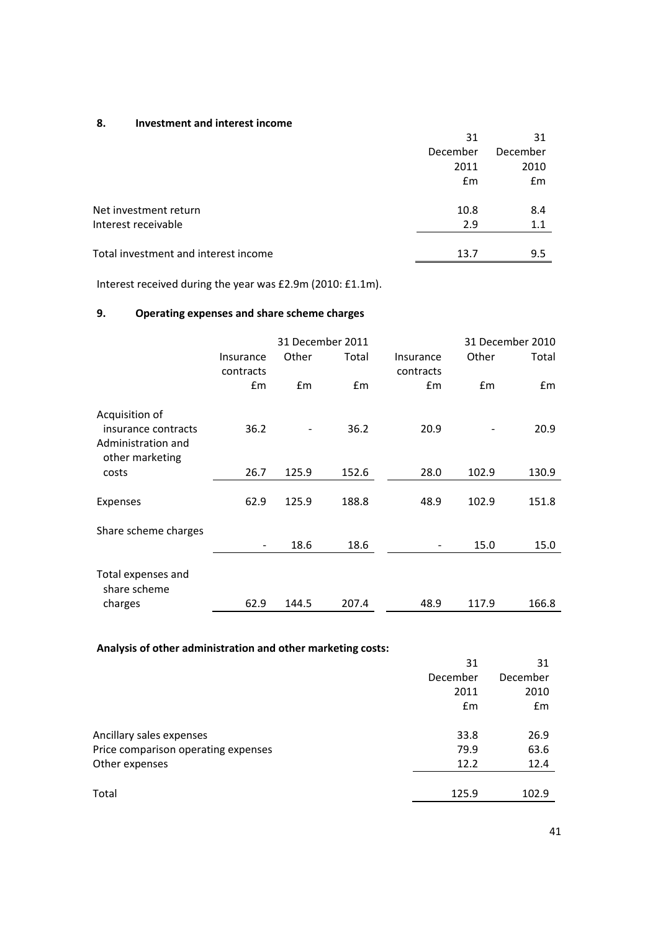## **8. Investment and interest income**

|                                      |          | 31       |
|--------------------------------------|----------|----------|
|                                      | December | December |
|                                      | 2011     | 2010     |
|                                      | Em       | Em       |
|                                      |          |          |
| Net investment return                | 10.8     | 8.4      |
| Interest receivable                  | 2.9      | 1.1      |
|                                      |          |          |
| Total investment and interest income | 13.7     | 9.5      |

Interest received during the year was £2.9m (2010: £1.1m).

## **9. Operating expenses and share scheme charges**

|                                                             |                        | 31 December 2011 |       |                        |       | 31 December 2010 |  |
|-------------------------------------------------------------|------------------------|------------------|-------|------------------------|-------|------------------|--|
|                                                             | Insurance<br>contracts | Other            | Total | Insurance<br>contracts | Other | Total            |  |
|                                                             | Em                     | Em               | Em    | £m                     | Em    | Em               |  |
| Acquisition of<br>insurance contracts<br>Administration and | 36.2                   |                  | 36.2  | 20.9                   |       | 20.9             |  |
| other marketing<br>costs                                    | 26.7                   | 125.9            | 152.6 | 28.0                   | 102.9 | 130.9            |  |
| Expenses                                                    | 62.9                   | 125.9            | 188.8 | 48.9                   | 102.9 | 151.8            |  |
| Share scheme charges                                        |                        |                  |       |                        |       |                  |  |
|                                                             |                        | 18.6             | 18.6  |                        | 15.0  | 15.0             |  |
| Total expenses and<br>share scheme                          |                        |                  |       |                        |       |                  |  |
| charges                                                     | 62.9                   | 144.5            | 207.4 | 48.9                   | 117.9 | 166.8            |  |

## **Analysis of other administration and other marketing costs:**

|                                     | 31       | 31       |
|-------------------------------------|----------|----------|
|                                     | December | December |
|                                     | 2011     | 2010     |
|                                     | Em       | Em       |
| Ancillary sales expenses            | 33.8     | 26.9     |
| Price comparison operating expenses | 79.9     | 63.6     |
| Other expenses                      | 12.2     | 12.4     |
| Total                               | 125.9    | 102.9    |
|                                     |          |          |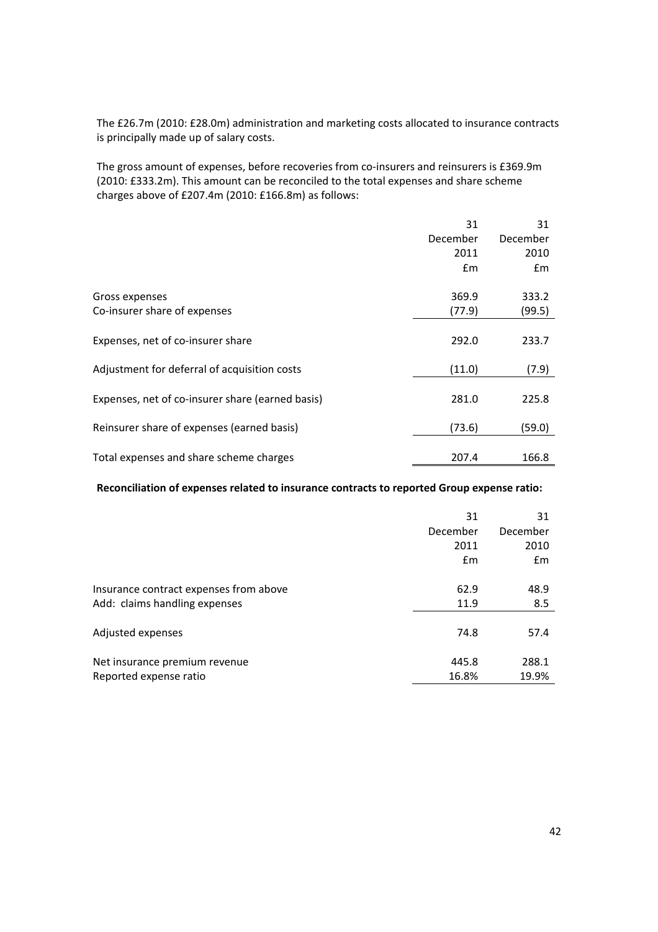The £26.7m (2010: £28.0m) administration and marketing costs allocated to insurance contracts is principally made up of salary costs.

The gross amount of expenses, before recoveries from co-insurers and reinsurers is £369.9m (2010: £333.2m). This amount can be reconciled to the total expenses and share scheme charges above of £207.4m (2010: £166.8m) as follows:

|                                                  | 31       | 31       |
|--------------------------------------------------|----------|----------|
|                                                  | December | December |
|                                                  | 2011     | 2010     |
|                                                  | Em       | Em       |
| Gross expenses                                   | 369.9    | 333.2    |
| Co-insurer share of expenses                     | (77.9)   | (99.5)   |
|                                                  |          |          |
| Expenses, net of co-insurer share                | 292.0    | 233.7    |
| Adjustment for deferral of acquisition costs     | (11.0)   | (7.9)    |
|                                                  |          |          |
| Expenses, net of co-insurer share (earned basis) | 281.0    | 225.8    |
| Reinsurer share of expenses (earned basis)       | (73.6)   | (59.0)   |
|                                                  |          |          |
| Total expenses and share scheme charges          | 207.4    | 166.8    |

**Reconciliation of expenses related to insurance contracts to reported Group expense ratio:**

|                                        | 31       | 31       |
|----------------------------------------|----------|----------|
|                                        | December | December |
|                                        | 2011     | 2010     |
|                                        | Em       | Em       |
|                                        |          |          |
| Insurance contract expenses from above | 62.9     | 48.9     |
| Add: claims handling expenses          | 11.9     | 8.5      |
|                                        |          |          |
| Adjusted expenses                      | 74.8     | 57.4     |
| Net insurance premium revenue          | 445.8    | 288.1    |
| Reported expense ratio                 | 16.8%    | 19.9%    |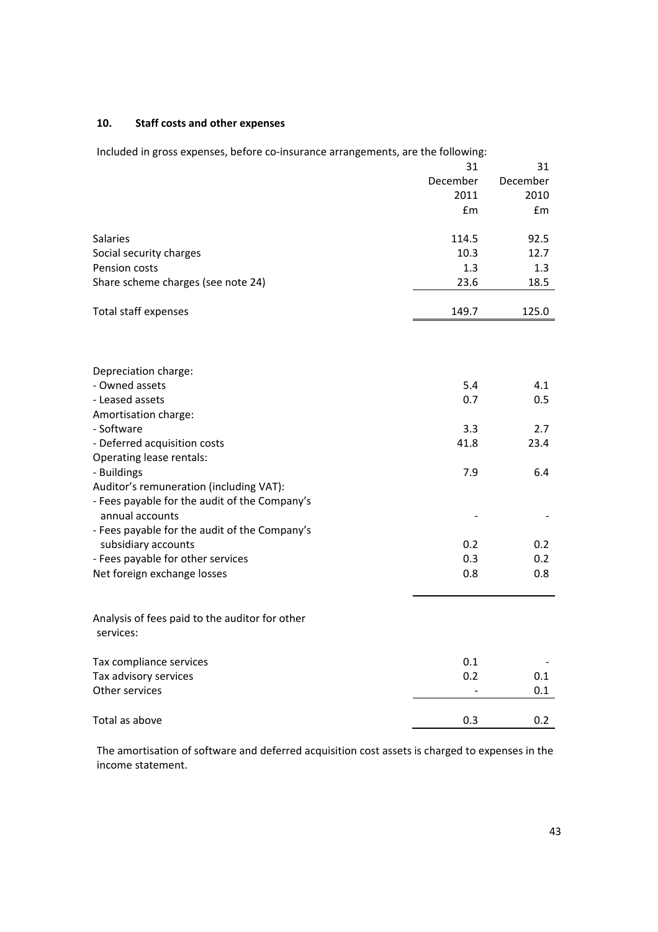## **10. Staff costs and other expenses**

Included in gross expenses, before co‐insurance arrangements, are the following:

|                                                | 31       | 31       |
|------------------------------------------------|----------|----------|
|                                                | December | December |
|                                                | 2011     | 2010     |
|                                                | £m       | Em       |
| <b>Salaries</b>                                | 114.5    | 92.5     |
| Social security charges                        | 10.3     | 12.7     |
| Pension costs                                  | 1.3      | 1.3      |
| Share scheme charges (see note 24)             | 23.6     | 18.5     |
| Total staff expenses                           | 149.7    | 125.0    |
|                                                |          |          |
| Depreciation charge:                           |          |          |
| - Owned assets                                 | 5.4      | 4.1      |
| - Leased assets                                | 0.7      | 0.5      |
| Amortisation charge:                           |          |          |
| - Software                                     | 3.3      | 2.7      |
| - Deferred acquisition costs                   | 41.8     | 23.4     |
| Operating lease rentals:                       |          |          |
| - Buildings                                    | 7.9      | 6.4      |
| Auditor's remuneration (including VAT):        |          |          |
| - Fees payable for the audit of the Company's  |          |          |
| annual accounts                                |          |          |
| - Fees payable for the audit of the Company's  |          |          |
| subsidiary accounts                            | 0.2      | 0.2      |
| - Fees payable for other services              | 0.3      | 0.2      |
| Net foreign exchange losses                    | 0.8      | 0.8      |
| Analysis of fees paid to the auditor for other |          |          |
| services:                                      |          |          |
| Tax compliance services                        | 0.1      |          |
| Tax advisory services                          | 0.2      | 0.1      |
| Other services                                 |          | 0.1      |
| Total as above                                 | 0.3      | 0.2      |

The amortisation of software and deferred acquisition cost assets is charged to expenses in the income statement.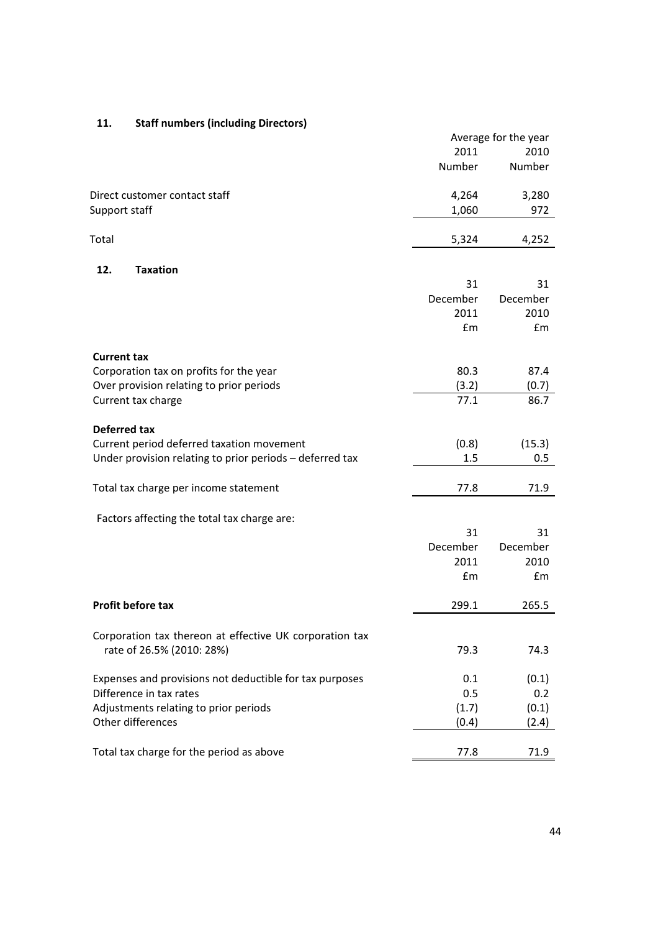| 11.<br><b>Staff numbers (including Directors)</b>        |          |                      |
|----------------------------------------------------------|----------|----------------------|
|                                                          |          | Average for the year |
|                                                          | 2011     | 2010                 |
|                                                          | Number   | Number               |
| Direct customer contact staff                            | 4,264    | 3,280                |
| Support staff                                            | 1,060    | 972                  |
| Total                                                    | 5,324    | 4,252                |
| <b>Taxation</b><br>12.                                   |          |                      |
|                                                          | 31       | 31                   |
|                                                          | December | December             |
|                                                          | 2011     | 2010                 |
|                                                          | £m       | £m                   |
| <b>Current tax</b>                                       |          |                      |
| Corporation tax on profits for the year                  | 80.3     | 87.4                 |
| Over provision relating to prior periods                 | (3.2)    | (0.7)                |
| Current tax charge                                       | 77.1     | 86.7                 |
| <b>Deferred tax</b>                                      |          |                      |
| Current period deferred taxation movement                | (0.8)    | (15.3)               |
| Under provision relating to prior periods - deferred tax | 1.5      | 0.5                  |
| Total tax charge per income statement                    | 77.8     | 71.9                 |
| Factors affecting the total tax charge are:              |          |                      |
|                                                          | 31       | 31                   |
|                                                          | December | December             |
|                                                          | 2011     | 2010                 |
|                                                          | £m       | Em                   |
| Profit before tax                                        | 299.1    | 265.5                |
| Corporation tax thereon at effective UK corporation tax  |          |                      |
| rate of 26.5% (2010: 28%)                                | 79.3     | 74.3                 |
| Expenses and provisions not deductible for tax purposes  | 0.1      | (0.1)                |
| Difference in tax rates                                  | 0.5      | 0.2                  |
| Adjustments relating to prior periods                    | (1.7)    | (0.1)                |
| Other differences                                        | (0.4)    | (2.4)                |
| Total tax charge for the period as above                 | 77.8     | 71.9                 |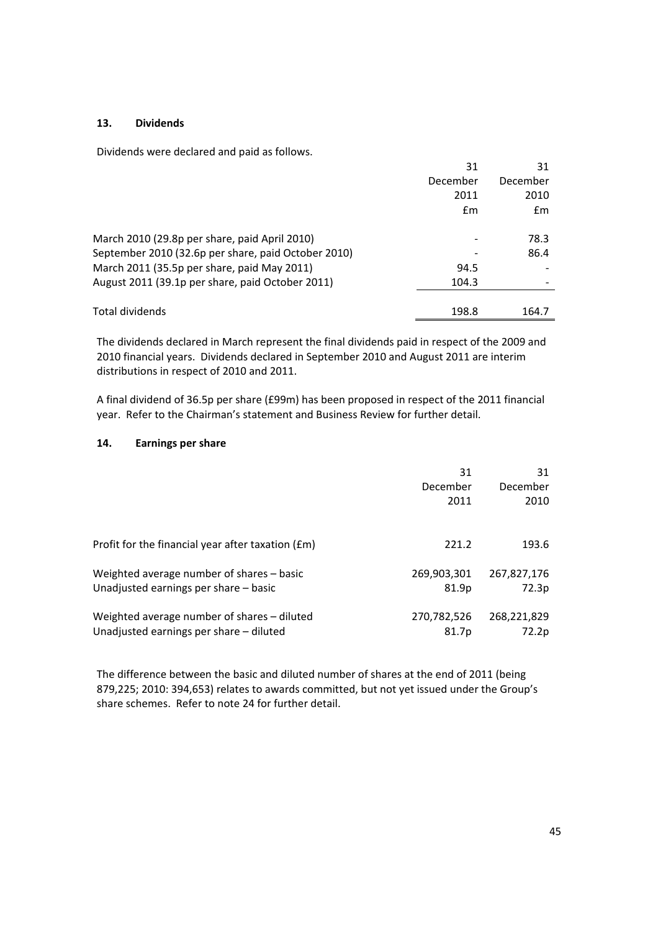#### **13. Dividends**

Dividends were declared and paid as follows.

|                                                     | 31       | 31       |
|-----------------------------------------------------|----------|----------|
|                                                     | December | December |
|                                                     | 2011     | 2010     |
|                                                     | £m       | Em       |
| March 2010 (29.8p per share, paid April 2010)       |          | 78.3     |
| September 2010 (32.6p per share, paid October 2010) |          | 86.4     |
| March 2011 (35.5p per share, paid May 2011)         | 94.5     |          |
| August 2011 (39.1p per share, paid October 2011)    | 104.3    |          |
|                                                     |          |          |
| Total dividends                                     | 198.8    | 164.7    |

The dividends declared in March represent the final dividends paid in respect of the 2009 and 2010 financial years. Dividends declared in September 2010 and August 2011 are interim distributions in respect of 2010 and 2011.

A final dividend of 36.5p per share (£99m) has been proposed in respect of the 2011 financial year. Refer to the Chairman's statement and Business Review for further detail.

#### **14. Earnings per share**

|                                                   | 31<br>December<br>2011 | 31<br>December<br>2010 |
|---------------------------------------------------|------------------------|------------------------|
| Profit for the financial year after taxation (£m) | 221.2                  | 193.6                  |
| Weighted average number of shares – basic         | 269.903.301            | 267,827,176            |
| Unadjusted earnings per share - basic             | 81.9p                  | 72.3p                  |
| Weighted average number of shares – diluted       | 270,782,526            | 268,221,829            |
| Unadjusted earnings per share - diluted           | 81.7p                  | 72.2p                  |

The difference between the basic and diluted number of shares at the end of 2011 (being 879,225; 2010: 394,653) relates to awards committed, but not yet issued under the Group's share schemes. Refer to note 24 for further detail.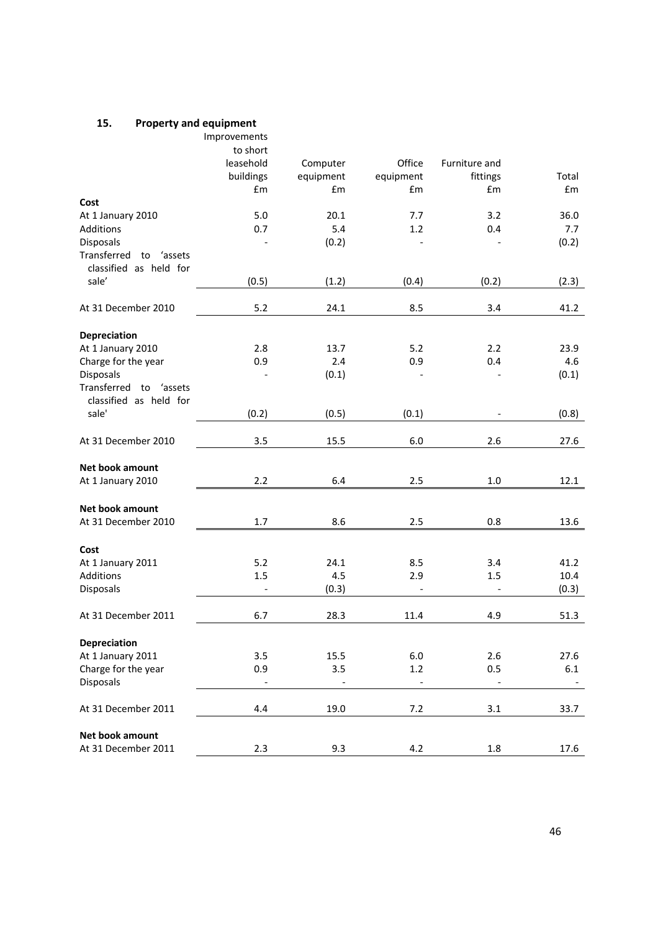#### **15. Property and equipment**

|                           | Improvements      |           |                |                          |                          |
|---------------------------|-------------------|-----------|----------------|--------------------------|--------------------------|
|                           | to short          |           |                |                          |                          |
|                           | leasehold         | Computer  | Office         | Furniture and            |                          |
|                           | buildings         | equipment | equipment      | fittings                 | Total                    |
|                           | £m                | £m        | £m             | £m                       | £m                       |
| Cost                      |                   |           |                |                          |                          |
| At 1 January 2010         | 5.0               | 20.1      | 7.7            | 3.2                      | 36.0                     |
| Additions                 | 0.7               | 5.4       | 1.2            | 0.4                      | 7.7                      |
| Disposals                 |                   | (0.2)     |                |                          | (0.2)                    |
| Transferred<br>to 'assets |                   |           |                |                          |                          |
| classified as held for    |                   |           |                |                          |                          |
| sale'                     | (0.5)             | (1.2)     | (0.4)          | (0.2)                    | (2.3)                    |
| At 31 December 2010       | 5.2               | 24.1      | 8.5            | 3.4                      | 41.2                     |
| <b>Depreciation</b>       |                   |           |                |                          |                          |
| At 1 January 2010         | 2.8               | 13.7      | 5.2            | 2.2                      | 23.9                     |
| Charge for the year       | 0.9               | 2.4       | 0.9            | 0.4                      | 4.6                      |
| <b>Disposals</b>          |                   | (0.1)     |                |                          | (0.1)                    |
| Transferred to 'assets    |                   |           |                |                          |                          |
| classified as held for    |                   |           |                |                          |                          |
| sale'                     | (0.2)             | (0.5)     | (0.1)          |                          | (0.8)                    |
|                           |                   |           |                |                          |                          |
| At 31 December 2010       | 3.5               | 15.5      | 6.0            | 2.6                      | 27.6                     |
| Net book amount           |                   |           |                |                          |                          |
| At 1 January 2010         | 2.2               | 6.4       | 2.5            | $1.0\,$                  | 12.1                     |
|                           |                   |           |                |                          |                          |
| Net book amount           |                   |           |                |                          |                          |
| At 31 December 2010       | 1.7               | 8.6       | 2.5            | 0.8                      | 13.6                     |
|                           |                   |           |                |                          |                          |
| Cost                      |                   |           |                |                          |                          |
| At 1 January 2011         | 5.2               | 24.1      | 8.5            | 3.4                      | 41.2                     |
| Additions                 | $1.5\,$           | 4.5       | 2.9            | 1.5                      | 10.4                     |
| Disposals                 | $\overline{a}$    | (0.3)     | $\overline{a}$ |                          | (0.3)                    |
|                           |                   |           |                |                          |                          |
| At 31 December 2011       | 6.7               | 28.3      | 11.4           | 4.9                      | 51.3                     |
| <b>Depreciation</b>       |                   |           |                |                          |                          |
| At 1 January 2011         | 3.5               | 15.5      | 6.0            | 2.6                      | 27.6                     |
| Charge for the year       | 0.9               | 3.5       | $1.2\,$        | 0.5                      | 6.1                      |
| Disposals                 | $\qquad \qquad -$ |           | $\overline{a}$ | $\overline{\phantom{a}}$ | $\overline{\phantom{a}}$ |
| At 31 December 2011       | 4.4               | 19.0      | 7.2            | 3.1                      | 33.7                     |
|                           |                   |           |                |                          |                          |
| Net book amount           |                   |           |                |                          |                          |
| At 31 December 2011       | 2.3               | 9.3       | 4.2            | $1.8\,$                  | 17.6                     |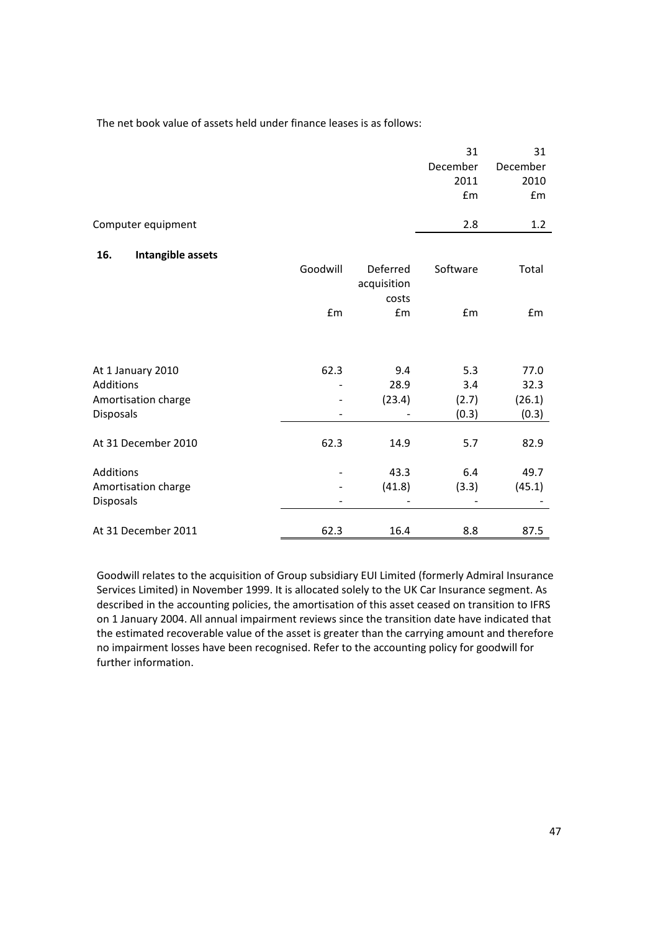The net book value of assets held under finance leases is as follows:

|                          |                          |                      | 31<br>December<br>2011<br>£m | 31<br>December<br>2010<br>£m |
|--------------------------|--------------------------|----------------------|------------------------------|------------------------------|
| Computer equipment       |                          |                      | 2.8                          | 1.2                          |
| 16.<br>Intangible assets | Goodwill                 | Deferred             | Software                     | Total                        |
|                          |                          | acquisition<br>costs |                              |                              |
|                          | £m                       | £m                   | £m                           | £m                           |
|                          |                          |                      |                              |                              |
| At 1 January 2010        | 62.3                     | 9.4                  | 5.3                          | 77.0                         |
| Additions                |                          | 28.9                 | 3.4                          | 32.3                         |
| Amortisation charge      |                          | (23.4)               | (2.7)                        | (26.1)                       |
| Disposals                | $\overline{\phantom{a}}$ |                      | (0.3)                        | (0.3)                        |
| At 31 December 2010      | 62.3                     | 14.9                 | 5.7                          | 82.9                         |
| Additions                |                          | 43.3                 | 6.4                          | 49.7                         |
| Amortisation charge      |                          | (41.8)               | (3.3)                        | (45.1)                       |
| Disposals                |                          |                      |                              |                              |
| At 31 December 2011      | 62.3                     | 16.4                 | 8.8                          | 87.5                         |

Goodwill relates to the acquisition of Group subsidiary EUI Limited (formerly Admiral Insurance Services Limited) in November 1999. It is allocated solely to the UK Car Insurance segment. As described in the accounting policies, the amortisation of this asset ceased on transition to IFRS on 1 January 2004. All annual impairment reviews since the transition date have indicated that the estimated recoverable value of the asset is greater than the carrying amount and therefore no impairment losses have been recognised. Refer to the accounting policy for goodwill for further information.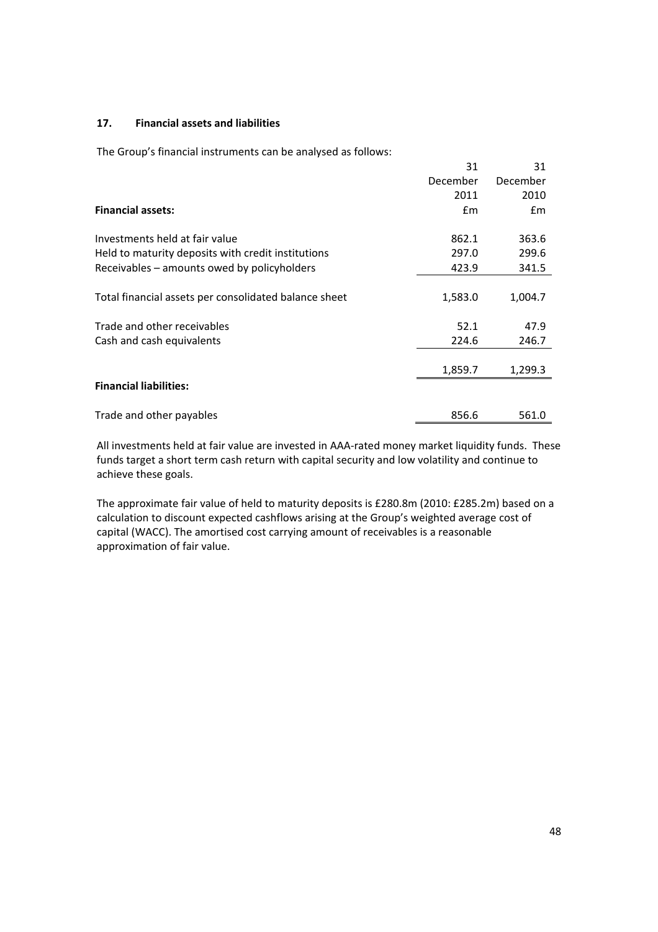#### **17. Financial assets and liabilities**

The Group's financial instruments can be analysed as follows:

|                                                       | 31            | 31       |
|-------------------------------------------------------|---------------|----------|
|                                                       | December      | December |
|                                                       | 2011          | 2010     |
| <b>Financial assets:</b>                              | $\mathsf{fm}$ | Em       |
| Investments held at fair value                        | 862.1         | 363.6    |
| Held to maturity deposits with credit institutions    | 297.0         | 299.6    |
| Receivables – amounts owed by policyholders           | 423.9         | 341.5    |
|                                                       |               |          |
| Total financial assets per consolidated balance sheet | 1,583.0       | 1,004.7  |
| Trade and other receivables                           | 52.1          | 47.9     |
| Cash and cash equivalents                             | 224.6         | 246.7    |
|                                                       |               |          |
|                                                       | 1,859.7       | 1,299.3  |
| <b>Financial liabilities:</b>                         |               |          |
| Trade and other payables                              | 856.6         | 561.0    |

All investments held at fair value are invested in AAA‐rated money market liquidity funds. These funds target a short term cash return with capital security and low volatility and continue to achieve these goals.

The approximate fair value of held to maturity deposits is £280.8m (2010: £285.2m) based on a calculation to discount expected cashflows arising at the Group's weighted average cost of capital (WACC). The amortised cost carrying amount of receivables is a reasonable approximation of fair value.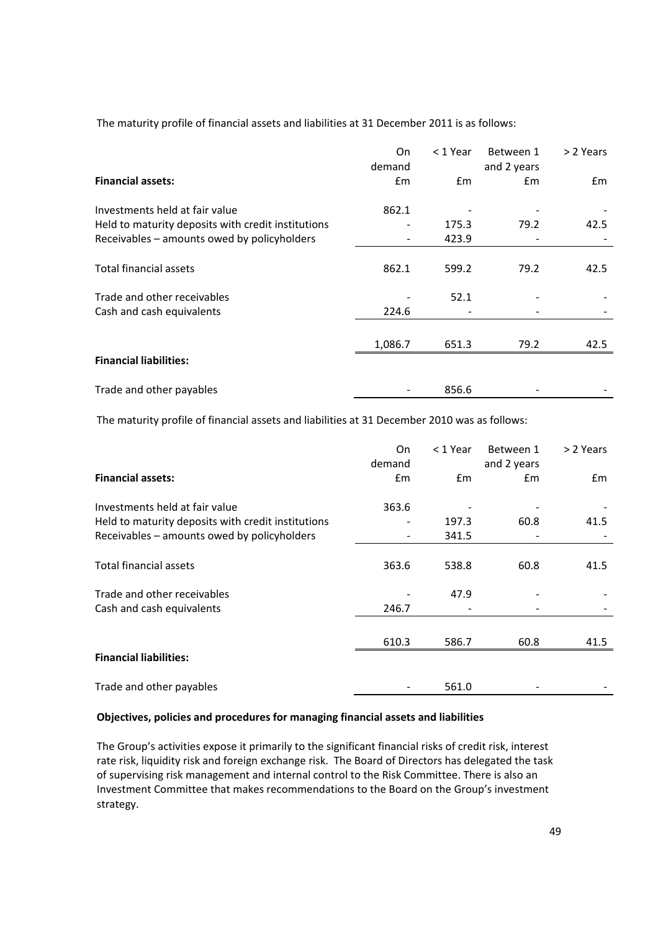The maturity profile of financial assets and liabilities at 31 December 2011 is as follows:

|                                                    | On<br>demand | $<$ 1 Year    | Between 1<br>and 2 years | > 2 Years |
|----------------------------------------------------|--------------|---------------|--------------------------|-----------|
| <b>Financial assets:</b>                           | Em           | $\mathsf{fm}$ | Em                       | Em        |
| Investments held at fair value                     | 862.1        |               |                          |           |
| Held to maturity deposits with credit institutions |              | 175.3         | 79.2                     | 42.5      |
| Receivables - amounts owed by policyholders        |              | 423.9         |                          |           |
|                                                    |              |               |                          |           |
| Total financial assets                             | 862.1        | 599.2         | 79.2                     | 42.5      |
| Trade and other receivables                        |              | 52.1          |                          |           |
| Cash and cash equivalents                          | 224.6        |               |                          |           |
|                                                    |              |               |                          |           |
|                                                    | 1,086.7      | 651.3         | 79.2                     | 42.5      |
| <b>Financial liabilities:</b>                      |              |               |                          |           |
| Trade and other payables                           |              | 856.6         |                          |           |

The maturity profile of financial assets and liabilities at 31 December 2010 was as follows:

|                                                    | On<br>demand | < 1 Year      | Between 1<br>and 2 years | > 2 Years |
|----------------------------------------------------|--------------|---------------|--------------------------|-----------|
| <b>Financial assets:</b>                           | Em           | $\mathsf{fm}$ | Em                       | Em        |
| Investments held at fair value                     | 363.6        |               |                          |           |
| Held to maturity deposits with credit institutions |              | 197.3         | 60.8                     | 41.5      |
| Receivables - amounts owed by policyholders        |              | 341.5         |                          |           |
|                                                    |              |               |                          |           |
| <b>Total financial assets</b>                      | 363.6        | 538.8         | 60.8                     | 41.5      |
| Trade and other receivables                        |              | 47.9          |                          |           |
| Cash and cash equivalents                          | 246.7        |               |                          |           |
|                                                    |              |               |                          |           |
|                                                    | 610.3        | 586.7         | 60.8                     | 41.5      |
| <b>Financial liabilities:</b>                      |              |               |                          |           |
| Trade and other payables                           |              | 561.0         |                          |           |

#### **Objectives, policies and procedures for managing financial assets and liabilities**

The Group's activities expose it primarily to the significant financial risks of credit risk, interest rate risk, liquidity risk and foreign exchange risk. The Board of Directors has delegated the task of supervising risk management and internal control to the Risk Committee. There is also an Investment Committee that makes recommendations to the Board on the Group's investment strategy.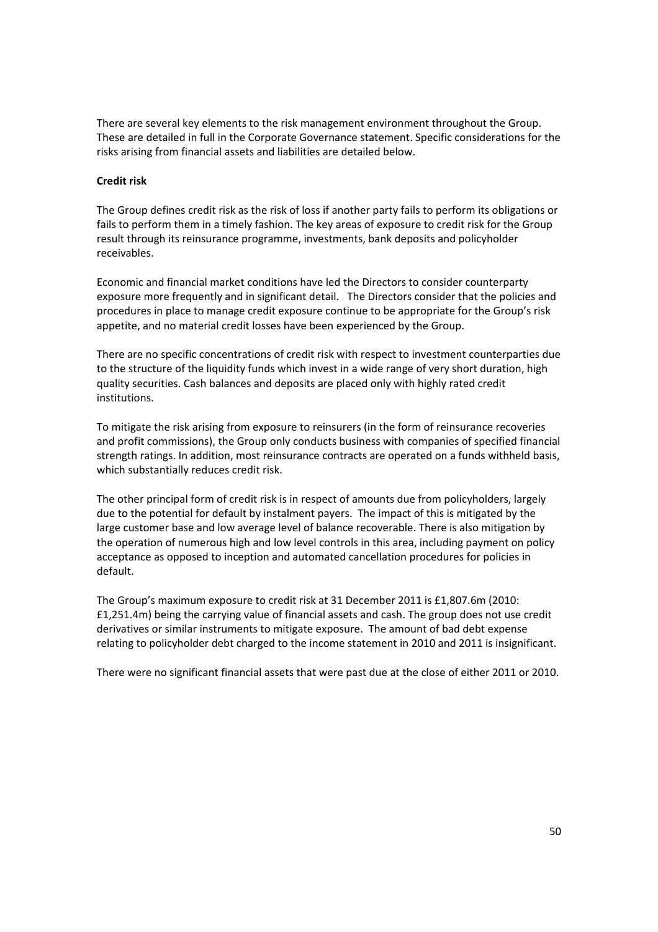There are several key elements to the risk management environment throughout the Group. These are detailed in full in the Corporate Governance statement. Specific considerations for the risks arising from financial assets and liabilities are detailed below.

#### **Credit risk**

The Group defines credit risk as the risk of loss if another party fails to perform its obligations or fails to perform them in a timely fashion. The key areas of exposure to credit risk for the Group result through its reinsurance programme, investments, bank deposits and policyholder receivables.

Economic and financial market conditions have led the Directors to consider counterparty exposure more frequently and in significant detail. The Directors consider that the policies and procedures in place to manage credit exposure continue to be appropriate for the Group's risk appetite, and no material credit losses have been experienced by the Group.

There are no specific concentrations of credit risk with respect to investment counterparties due to the structure of the liquidity funds which invest in a wide range of very short duration, high quality securities. Cash balances and deposits are placed only with highly rated credit institutions.

To mitigate the risk arising from exposure to reinsurers (in the form of reinsurance recoveries and profit commissions), the Group only conducts business with companies of specified financial strength ratings. In addition, most reinsurance contracts are operated on a funds withheld basis, which substantially reduces credit risk.

The other principal form of credit risk is in respect of amounts due from policyholders, largely due to the potential for default by instalment payers. The impact of this is mitigated by the large customer base and low average level of balance recoverable. There is also mitigation by the operation of numerous high and low level controls in this area, including payment on policy acceptance as opposed to inception and automated cancellation procedures for policies in default.

The Group's maximum exposure to credit risk at 31 December 2011 is £1,807.6m (2010: £1,251.4m) being the carrying value of financial assets and cash. The group does not use credit derivatives or similar instruments to mitigate exposure. The amount of bad debt expense relating to policyholder debt charged to the income statement in 2010 and 2011 is insignificant.

There were no significant financial assets that were past due at the close of either 2011 or 2010.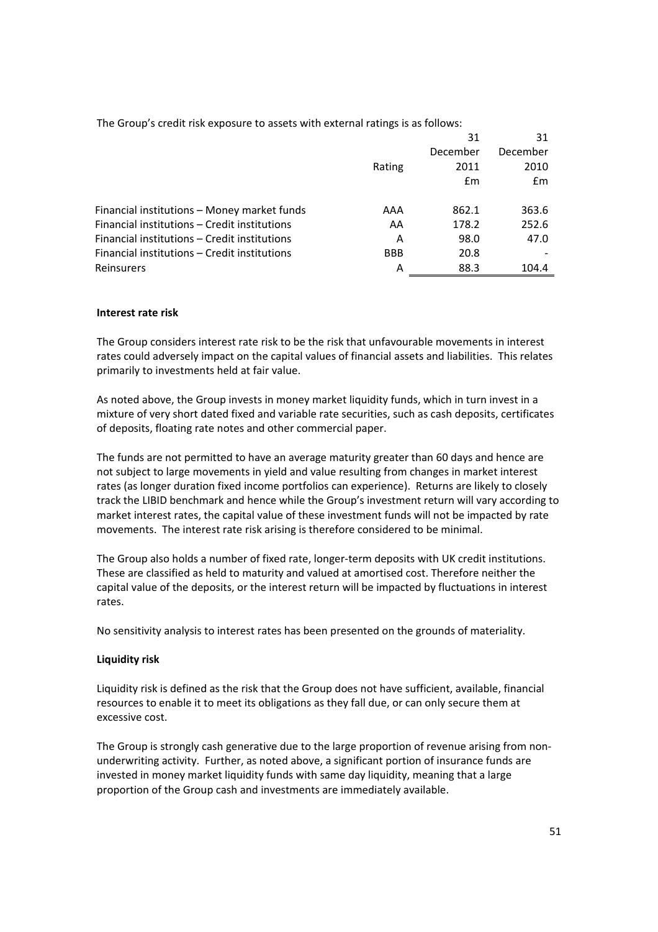|                                              |            | 31       | 31       |
|----------------------------------------------|------------|----------|----------|
|                                              |            | December | December |
|                                              | Rating     | 2011     | 2010     |
|                                              |            | Em       | Em       |
| Financial institutions - Money market funds  | AAA        | 862.1    | 363.6    |
| Financial institutions – Credit institutions | AA         | 178.2    | 252.6    |
| Financial institutions – Credit institutions | A          | 98.0     | 47.0     |
| Financial institutions – Credit institutions | <b>BBB</b> | 20.8     |          |
| Reinsurers                                   | А          | 88.3     | 104.4    |
|                                              |            |          |          |

The Group's credit risk exposure to assets with external ratings is as follows:

#### **Interest rate risk**

The Group considers interest rate risk to be the risk that unfavourable movements in interest rates could adversely impact on the capital values of financial assets and liabilities. This relates primarily to investments held at fair value.

As noted above, the Group invests in money market liquidity funds, which in turn invest in a mixture of very short dated fixed and variable rate securities, such as cash deposits, certificates of deposits, floating rate notes and other commercial paper.

The funds are not permitted to have an average maturity greater than 60 days and hence are not subject to large movements in yield and value resulting from changes in market interest rates (as longer duration fixed income portfolios can experience). Returns are likely to closely track the LIBID benchmark and hence while the Group's investment return will vary according to market interest rates, the capital value of these investment funds will not be impacted by rate movements. The interest rate risk arising is therefore considered to be minimal.

The Group also holds a number of fixed rate, longer‐term deposits with UK credit institutions. These are classified as held to maturity and valued at amortised cost. Therefore neither the capital value of the deposits, or the interest return will be impacted by fluctuations in interest rates.

No sensitivity analysis to interest rates has been presented on the grounds of materiality.

#### **Liquidity risk**

Liquidity risk is defined as the risk that the Group does not have sufficient, available, financial resources to enable it to meet its obligations as they fall due, or can only secure them at excessive cost.

The Group is strongly cash generative due to the large proportion of revenue arising from nonunderwriting activity. Further, as noted above, a significant portion of insurance funds are invested in money market liquidity funds with same day liquidity, meaning that a large proportion of the Group cash and investments are immediately available.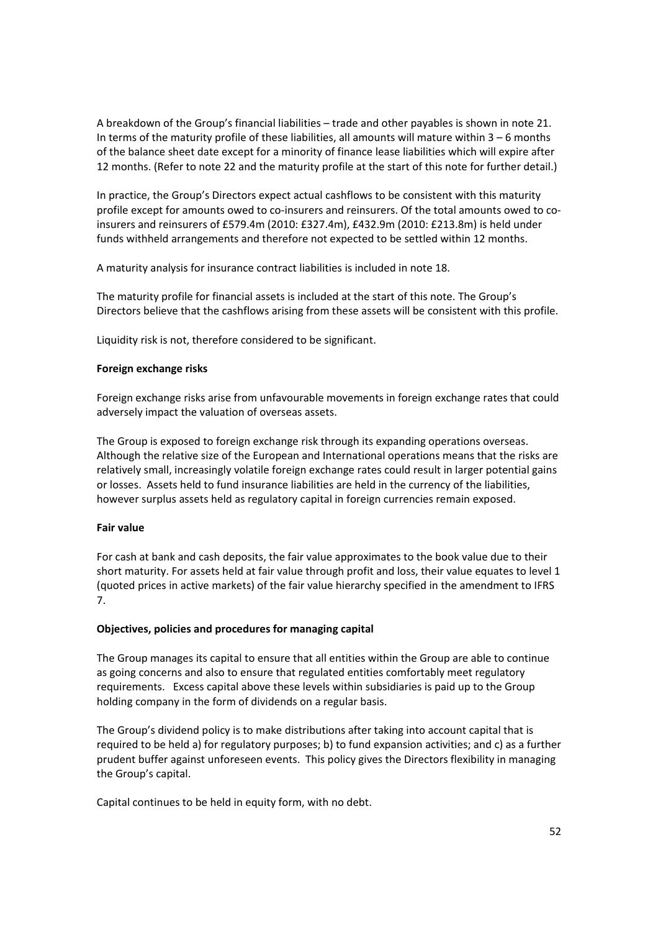A breakdown of the Group's financial liabilities – trade and other payables is shown in note 21. In terms of the maturity profile of these liabilities, all amounts will mature within 3 – 6 months of the balance sheet date except for a minority of finance lease liabilities which will expire after 12 months. (Refer to note 22 and the maturity profile at the start of this note for further detail.)

In practice, the Group's Directors expect actual cashflows to be consistent with this maturity profile except for amounts owed to co-insurers and reinsurers. Of the total amounts owed to coinsurers and reinsurers of £579.4m (2010: £327.4m), £432.9m (2010: £213.8m) is held under funds withheld arrangements and therefore not expected to be settled within 12 months.

A maturity analysis for insurance contract liabilities is included in note 18.

The maturity profile for financial assets is included at the start of this note. The Group's Directors believe that the cashflows arising from these assets will be consistent with this profile.

Liquidity risk is not, therefore considered to be significant.

#### **Foreign exchange risks**

Foreign exchange risks arise from unfavourable movements in foreign exchange rates that could adversely impact the valuation of overseas assets.

The Group is exposed to foreign exchange risk through its expanding operations overseas. Although the relative size of the European and International operations means that the risks are relatively small, increasingly volatile foreign exchange rates could result in larger potential gains or losses. Assets held to fund insurance liabilities are held in the currency of the liabilities, however surplus assets held as regulatory capital in foreign currencies remain exposed.

#### **Fair value**

For cash at bank and cash deposits, the fair value approximates to the book value due to their short maturity. For assets held at fair value through profit and loss, their value equates to level 1 (quoted prices in active markets) of the fair value hierarchy specified in the amendment to IFRS 7.

#### **Objectives, policies and procedures for managing capital**

The Group manages its capital to ensure that all entities within the Group are able to continue as going concerns and also to ensure that regulated entities comfortably meet regulatory requirements. Excess capital above these levels within subsidiaries is paid up to the Group holding company in the form of dividends on a regular basis.

The Group's dividend policy is to make distributions after taking into account capital that is required to be held a) for regulatory purposes; b) to fund expansion activities; and c) as a further prudent buffer against unforeseen events. This policy gives the Directors flexibility in managing the Group's capital.

Capital continues to be held in equity form, with no debt.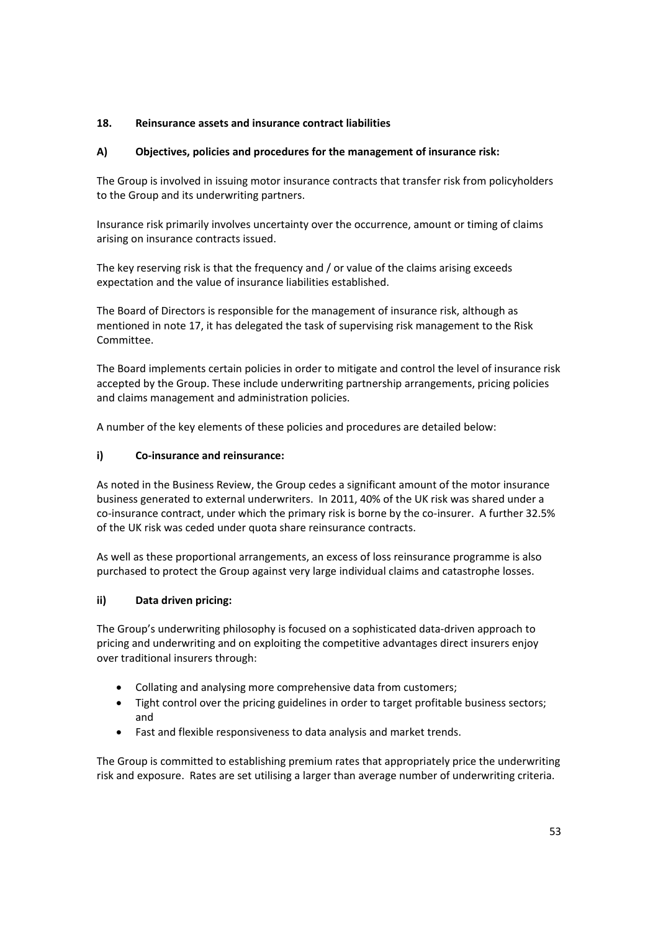## **18. Reinsurance assets and insurance contract liabilities**

#### **A) Objectives, policies and procedures for the management of insurance risk:**

The Group is involved in issuing motor insurance contracts that transfer risk from policyholders to the Group and its underwriting partners.

Insurance risk primarily involves uncertainty over the occurrence, amount or timing of claims arising on insurance contracts issued.

The key reserving risk is that the frequency and / or value of the claims arising exceeds expectation and the value of insurance liabilities established.

The Board of Directors is responsible for the management of insurance risk, although as mentioned in note 17, it has delegated the task of supervising risk management to the Risk Committee.

The Board implements certain policies in order to mitigate and control the level of insurance risk accepted by the Group. These include underwriting partnership arrangements, pricing policies and claims management and administration policies.

A number of the key elements of these policies and procedures are detailed below:

## **i) Co‐insurance and reinsurance:**

As noted in the Business Review, the Group cedes a significant amount of the motor insurance business generated to external underwriters. In 2011, 40% of the UK risk was shared under a co-insurance contract, under which the primary risk is borne by the co-insurer. A further 32.5% of the UK risk was ceded under quota share reinsurance contracts.

As well as these proportional arrangements, an excess of loss reinsurance programme is also purchased to protect the Group against very large individual claims and catastrophe losses.

#### **ii) Data driven pricing:**

The Group's underwriting philosophy is focused on a sophisticated data‐driven approach to pricing and underwriting and on exploiting the competitive advantages direct insurers enjoy over traditional insurers through:

- Collating and analysing more comprehensive data from customers;
- Tight control over the pricing guidelines in order to target profitable business sectors; and
- Fast and flexible responsiveness to data analysis and market trends.

The Group is committed to establishing premium rates that appropriately price the underwriting risk and exposure. Rates are set utilising a larger than average number of underwriting criteria.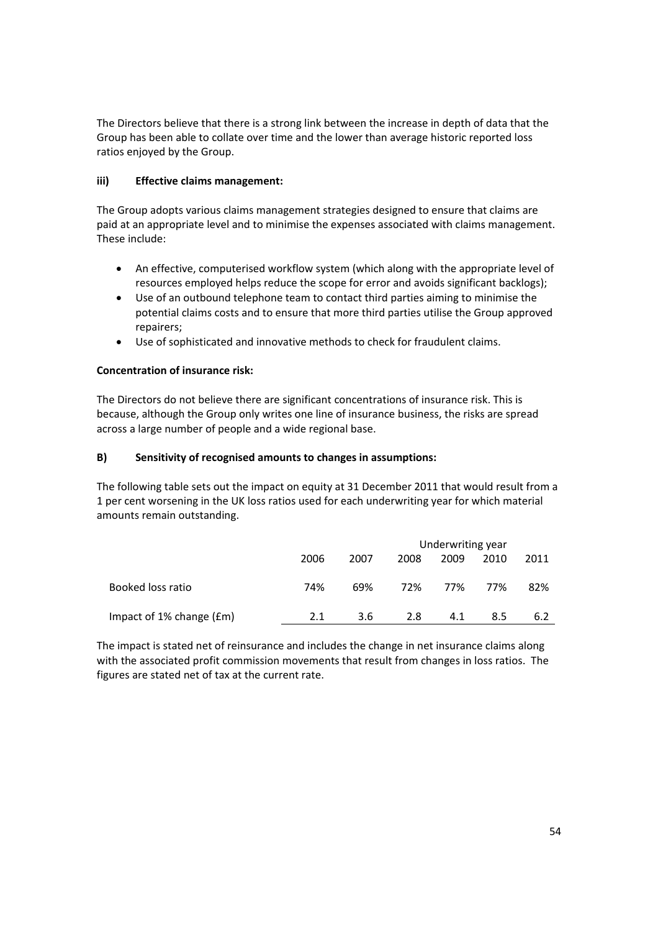The Directors believe that there is a strong link between the increase in depth of data that the Group has been able to collate over time and the lower than average historic reported loss ratios enjoyed by the Group.

## **iii) Effective claims management:**

The Group adopts various claims management strategies designed to ensure that claims are paid at an appropriate level and to minimise the expenses associated with claims management. These include:

- An effective, computerised workflow system (which along with the appropriate level of resources employed helps reduce the scope for error and avoids significant backlogs);
- Use of an outbound telephone team to contact third parties aiming to minimise the potential claims costs and to ensure that more third parties utilise the Group approved repairers;
- Use of sophisticated and innovative methods to check for fraudulent claims.

## **Concentration of insurance risk:**

The Directors do not believe there are significant concentrations of insurance risk. This is because, although the Group only writes one line of insurance business, the risks are spread across a large number of people and a wide regional base.

#### **B) Sensitivity of recognised amounts to changes in assumptions:**

The following table sets out the impact on equity at 31 December 2011 that would result from a 1 per cent worsening in the UK loss ratios used for each underwriting year for which material amounts remain outstanding.

|                          |      |      |      | Underwriting year |      |      |
|--------------------------|------|------|------|-------------------|------|------|
|                          | 2006 | 2007 | 2008 | 2009              | 2010 | 2011 |
| Booked loss ratio        | 74%  | 69%  | 72%  | 77%               | 77%  | 82%  |
| Impact of 1% change (£m) | 2.1  | 3.6  | 2.8  | 4.1               | 8.5  | 6.2  |

The impact is stated net of reinsurance and includes the change in net insurance claims along with the associated profit commission movements that result from changes in loss ratios. The figures are stated net of tax at the current rate.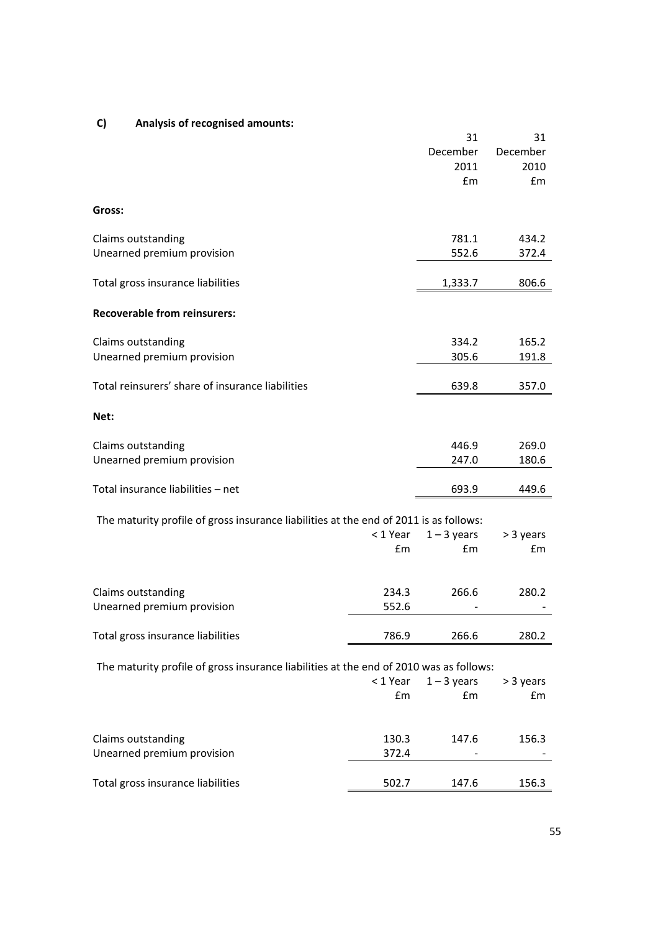| C)<br>Analysis of recognised amounts:                                                  |                | 31<br>December<br>2011<br>£m | 31<br>December<br>2010<br>£m |
|----------------------------------------------------------------------------------------|----------------|------------------------------|------------------------------|
| Gross:                                                                                 |                |                              |                              |
| Claims outstanding<br>Unearned premium provision                                       |                | 781.1<br>552.6               | 434.2<br>372.4               |
| Total gross insurance liabilities                                                      |                | 1,333.7                      | 806.6                        |
| <b>Recoverable from reinsurers:</b>                                                    |                |                              |                              |
| Claims outstanding<br>Unearned premium provision                                       |                | 334.2<br>305.6               | 165.2<br>191.8               |
| Total reinsurers' share of insurance liabilities                                       |                | 639.8                        | 357.0                        |
| Net:                                                                                   |                |                              |                              |
| Claims outstanding<br>Unearned premium provision                                       |                | 446.9<br>247.0               | 269.0<br>180.6               |
| Total insurance liabilities - net                                                      |                | 693.9                        | 449.6                        |
| The maturity profile of gross insurance liabilities at the end of 2011 is as follows:  |                |                              |                              |
|                                                                                        | < 1 Year<br>£m | $1 - 3$ years<br>£m          | > 3 years<br>$\mathsf{fm}$   |
| Claims outstanding<br>Unearned premium provision                                       | 234.3<br>552.6 | 266.6                        | 280.2                        |
| Total gross insurance liabilities                                                      | 786.9          | 266.6                        | 280.2                        |
| The maturity profile of gross insurance liabilities at the end of 2010 was as follows: | < 1 Year<br>£m | $1 - 3$ years<br>£m          | > 3 years<br>£m              |
| Claims outstanding<br>Unearned premium provision                                       | 130.3<br>372.4 | 147.6                        | 156.3                        |
| Total gross insurance liabilities                                                      | 502.7          | 147.6                        | 156.3                        |

# **C) Analysis of recognised amounts:**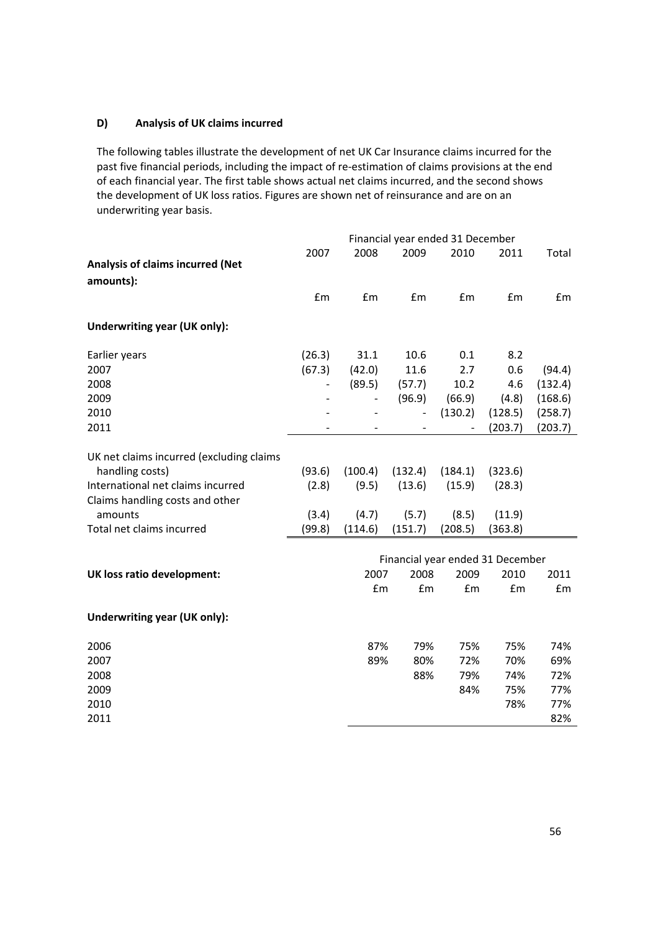## **D) Analysis of UK claims incurred**

The following tables illustrate the development of net UK Car Insurance claims incurred for the past five financial periods, including the impact of re-estimation of claims provisions at the end of each financial year. The first table shows actual net claims incurred, and the second shows the development of UK loss ratios. Figures are shown net of reinsurance and are on an underwriting year basis.

|                                          | Financial year ended 31 December |         |                                  |         |         |         |  |
|------------------------------------------|----------------------------------|---------|----------------------------------|---------|---------|---------|--|
|                                          | 2007                             | 2008    | 2009                             | 2010    | 2011    | Total   |  |
| <b>Analysis of claims incurred (Net</b>  |                                  |         |                                  |         |         |         |  |
| amounts):                                |                                  |         |                                  |         |         |         |  |
|                                          | £m                               | £m      | £m                               | £m      | £m      | £m      |  |
|                                          |                                  |         |                                  |         |         |         |  |
| <b>Underwriting year (UK only):</b>      |                                  |         |                                  |         |         |         |  |
| Earlier years                            | (26.3)                           | 31.1    | 10.6                             | 0.1     | 8.2     |         |  |
| 2007                                     | (67.3)                           | (42.0)  | 11.6                             | 2.7     | 0.6     | (94.4)  |  |
| 2008                                     |                                  | (89.5)  | (57.7)                           | 10.2    | 4.6     | (132.4) |  |
| 2009                                     |                                  |         | (96.9)                           | (66.9)  | (4.8)   | (168.6) |  |
| 2010                                     |                                  |         | $\overline{\phantom{0}}$         | (130.2) | (128.5) | (258.7) |  |
| 2011                                     |                                  |         |                                  |         | (203.7) | (203.7) |  |
|                                          |                                  |         |                                  |         |         |         |  |
| UK net claims incurred (excluding claims |                                  |         |                                  |         |         |         |  |
| handling costs)                          | (93.6)                           | (100.4) | (132.4)                          | (184.1) | (323.6) |         |  |
| International net claims incurred        | (2.8)                            | (9.5)   | (13.6)                           | (15.9)  | (28.3)  |         |  |
| Claims handling costs and other          |                                  |         |                                  |         |         |         |  |
| amounts                                  | (3.4)                            | (4.7)   | (5.7)                            | (8.5)   | (11.9)  |         |  |
| Total net claims incurred                | (99.8)                           | (114.6) | (151.7)                          | (208.5) | (363.8) |         |  |
|                                          |                                  |         |                                  |         |         |         |  |
|                                          |                                  |         | Financial year ended 31 December |         |         |         |  |
| UK loss ratio development:               |                                  | 2007    | 2008                             | 2009    | 2010    | 2011    |  |
|                                          |                                  | £m      | £m                               | £m      | £m      | £m      |  |
|                                          |                                  |         |                                  |         |         |         |  |
| <b>Underwriting year (UK only):</b>      |                                  |         |                                  |         |         |         |  |
| 2006                                     |                                  | 87%     | 79%                              | 75%     | 75%     | 74%     |  |
| 2007                                     |                                  | 89%     | 80%                              | 72%     | 70%     | 69%     |  |
| 2008                                     |                                  |         | 88%                              | 79%     | 74%     | 72%     |  |
| 2009                                     |                                  |         |                                  | 84%     | 75%     | 77%     |  |
| 2010                                     |                                  |         |                                  |         | 78%     | 77%     |  |
| 2011                                     |                                  |         |                                  |         |         | 82%     |  |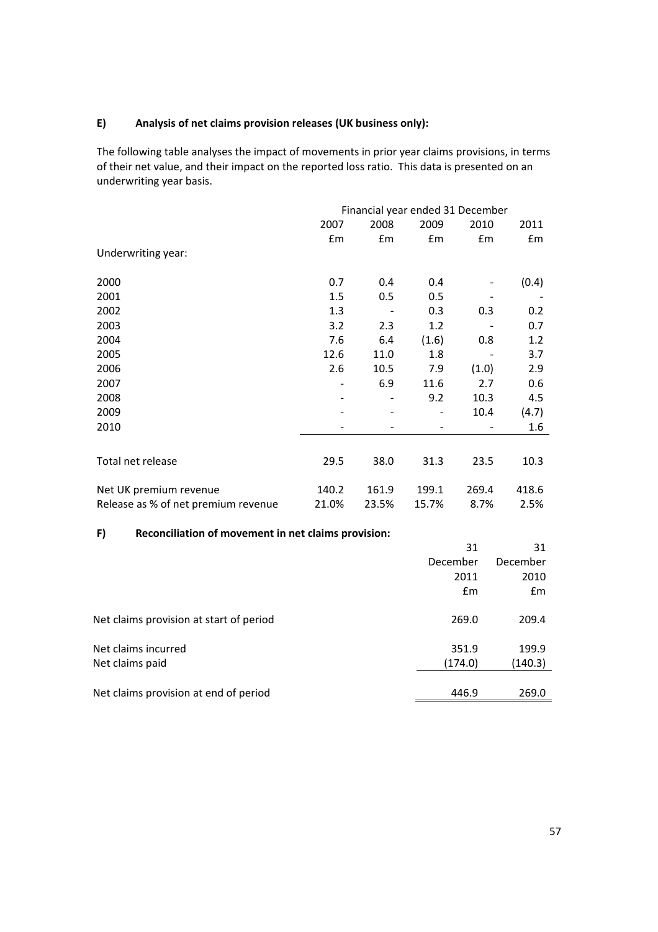#### **E) Analysis of net claims provision releases (UK business only):**

The following table analyses the impact of movements in prior year claims provisions, in terms of their net value, and their impact on the reported loss ratio. This data is presented on an underwriting year basis.

|                                     |       | Financial year ended 31 December |       |       |       |  |
|-------------------------------------|-------|----------------------------------|-------|-------|-------|--|
|                                     | 2007  | 2008                             | 2009  | 2010  | 2011  |  |
|                                     | £m    | £m                               | £m    | £m    | £m    |  |
| Underwriting year:                  |       |                                  |       |       |       |  |
| 2000                                | 0.7   | 0.4                              | 0.4   |       | (0.4) |  |
| 2001                                | 1.5   | 0.5                              | 0.5   |       |       |  |
| 2002                                | 1.3   |                                  | 0.3   | 0.3   | 0.2   |  |
| 2003                                | 3.2   | 2.3                              | 1.2   |       | 0.7   |  |
| 2004                                | 7.6   | 6.4                              | (1.6) | 0.8   | 1.2   |  |
| 2005                                | 12.6  | 11.0                             | 1.8   |       | 3.7   |  |
| 2006                                | 2.6   | 10.5                             | 7.9   | (1.0) | 2.9   |  |
| 2007                                |       | 6.9                              | 11.6  | 2.7   | 0.6   |  |
| 2008                                | -     |                                  | 9.2   | 10.3  | 4.5   |  |
| 2009                                |       |                                  |       | 10.4  | (4.7) |  |
| 2010                                |       |                                  |       |       | 1.6   |  |
|                                     |       |                                  |       |       |       |  |
| Total net release                   | 29.5  | 38.0                             | 31.3  | 23.5  | 10.3  |  |
| Net UK premium revenue              | 140.2 | 161.9                            | 199.1 | 269.4 | 418.6 |  |
| Release as % of net premium revenue | 21.0% | 23.5%                            | 15.7% | 8.7%  | 2.5%  |  |

## **F) Reconciliation of movement in net claims provision:**

|                                         | 31       | 31            |
|-----------------------------------------|----------|---------------|
|                                         | December | December      |
|                                         | 2011     | 2010          |
|                                         | Em       | $\mathsf{fm}$ |
| Net claims provision at start of period | 269.0    | 209.4         |
| Net claims incurred                     | 351.9    | 199.9         |
| Net claims paid                         | (174.0)  | (140.3)       |
|                                         |          |               |
| Net claims provision at end of period   | 446.9    | 269.0         |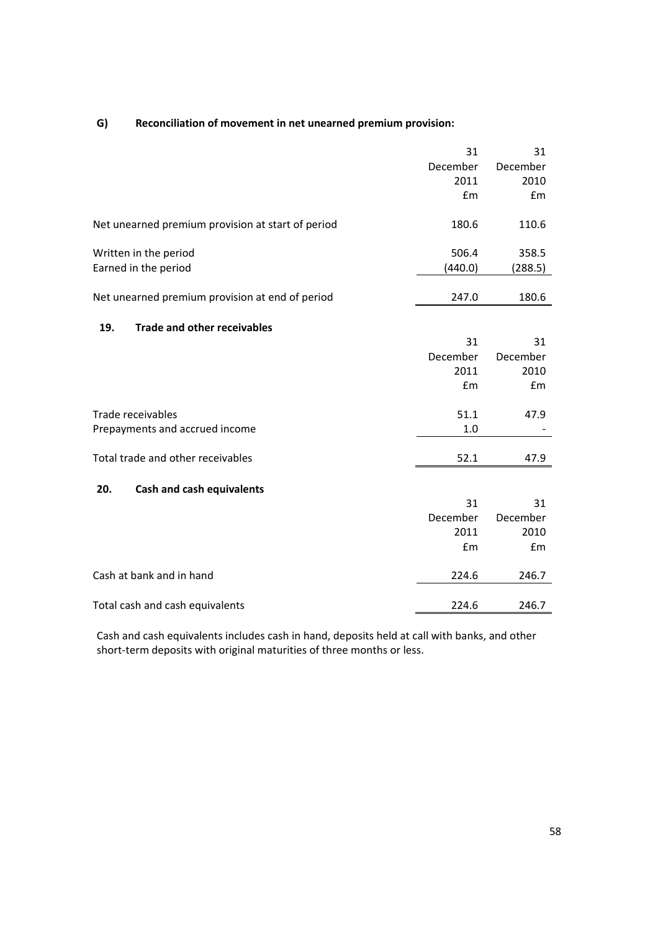|                                                     | 31<br>December<br>2011<br>£m | 31<br>December<br>2010<br>£m |
|-----------------------------------------------------|------------------------------|------------------------------|
| Net unearned premium provision at start of period   | 180.6                        | 110.6                        |
| Written in the period<br>Earned in the period       | 506.4<br>(440.0)             | 358.5<br>(288.5)             |
| Net unearned premium provision at end of period     | 247.0                        | 180.6                        |
| <b>Trade and other receivables</b><br>19.           | 31                           | 31                           |
|                                                     | December<br>2011             | December<br>2010             |
|                                                     | £m                           | £m                           |
| Trade receivables<br>Prepayments and accrued income | 51.1<br>1.0                  | 47.9                         |
| Total trade and other receivables                   | 52.1                         | 47.9                         |
| 20.<br><b>Cash and cash equivalents</b>             | 31                           | 31                           |
|                                                     | December<br>2011             | December<br>2010             |
|                                                     | £m                           | £m                           |
| Cash at bank and in hand                            | 224.6                        | 246.7                        |
| Total cash and cash equivalents                     | 224.6                        | 246.7                        |

## **G) Reconciliation of movement in net unearned premium provision:**

Cash and cash equivalents includes cash in hand, deposits held at call with banks, and other short-term deposits with original maturities of three months or less.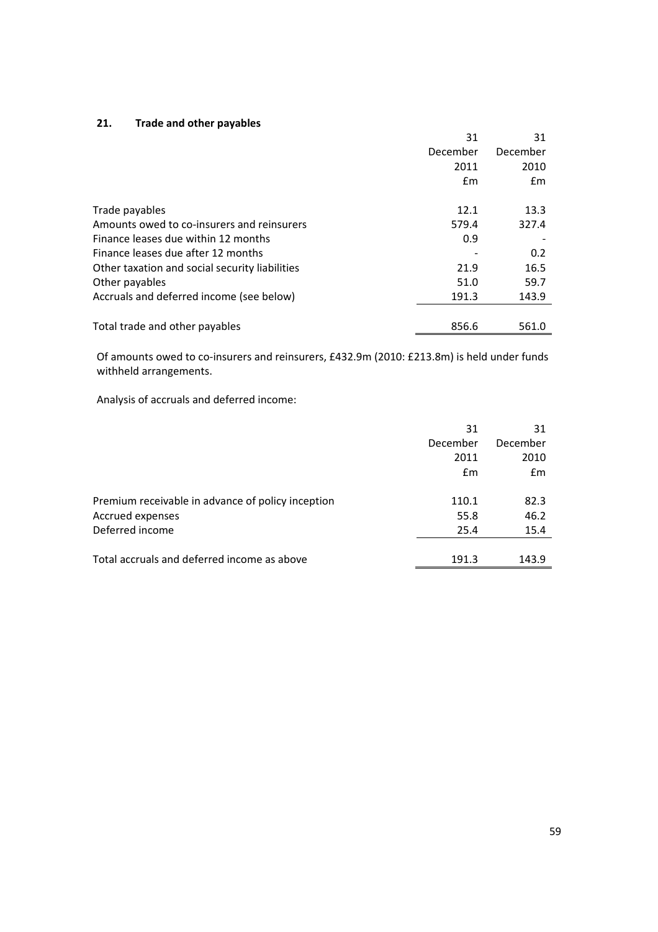## **21. Trade and other payables**

|          | 31       |
|----------|----------|
| December | December |
| 2011     | 2010     |
| Em       | Em       |
| 12.1     | 13.3     |
| 579.4    | 327.4    |
| 0.9      |          |
|          | 0.2      |
| 21.9     | 16.5     |
| 51.0     | 59.7     |
| 191.3    | 143.9    |
|          | 561.0    |
|          | 856.6    |

Of amounts owed to co-insurers and reinsurers, £432.9m (2010: £213.8m) is held under funds withheld arrangements.

Analysis of accruals and deferred income:

|                                                   | 31       | 31       |
|---------------------------------------------------|----------|----------|
|                                                   | December | December |
|                                                   | 2011     | 2010     |
|                                                   | £m       | Em       |
| Premium receivable in advance of policy inception | 110.1    | 82.3     |
| Accrued expenses                                  | 55.8     | 46.2     |
| Deferred income                                   | 25.4     | 15.4     |
|                                                   |          |          |
| Total accruals and deferred income as above       | 191.3    | 143.9    |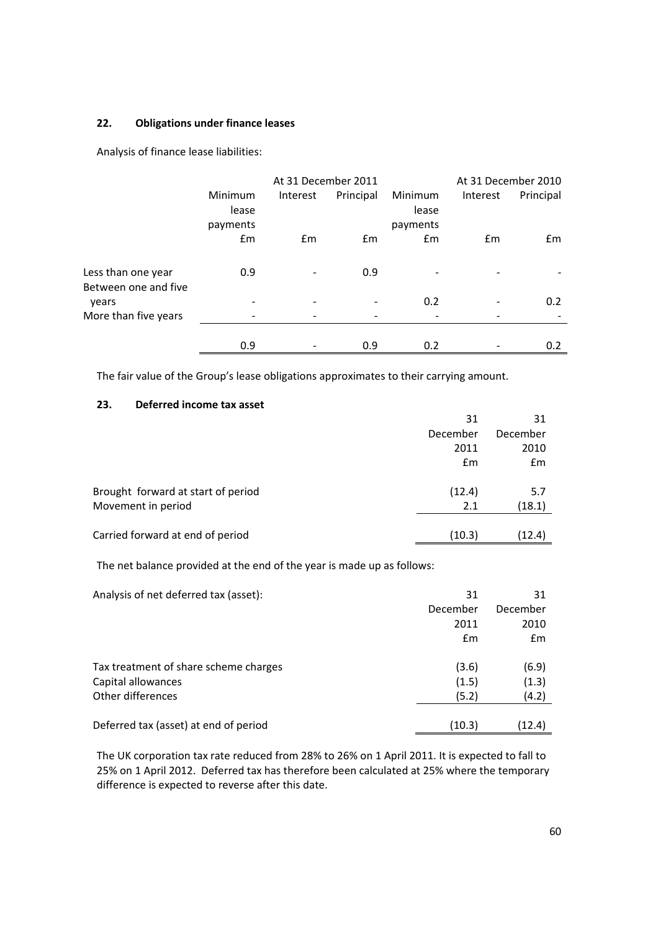## **22. Obligations under finance leases**

Analysis of finance lease liabilities:

|                                            |                              | At 31 December 2011 |           |                              |          | At 31 December 2010 |
|--------------------------------------------|------------------------------|---------------------|-----------|------------------------------|----------|---------------------|
|                                            | Minimum<br>lease<br>payments | Interest            | Principal | Minimum<br>lease<br>payments | Interest | Principal           |
|                                            | Em                           | Em                  | Em        | Em                           | Em       | £m                  |
| Less than one year<br>Between one and five | 0.9                          |                     | 0.9       |                              |          |                     |
| years<br>More than five years              |                              |                     |           | 0.2                          |          | 0.2                 |
|                                            | 0.9                          |                     | 0.9       | 0.2                          |          | 0.2                 |

The fair value of the Group's lease obligations approximates to their carrying amount.

#### **23. Deferred income tax asset**

|                                    | 31       | 31       |
|------------------------------------|----------|----------|
|                                    | December | December |
|                                    | 2011     | 2010     |
|                                    | £m       | Em       |
| Brought forward at start of period | (12.4)   | 5.7      |
| Movement in period                 | 2.1      | (18.1)   |
|                                    |          |          |
| Carried forward at end of period   | (10.3)   | (12.4)   |

The net balance provided at the end of the year is made up as follows:

| Analysis of net deferred tax (asset): | 31       | 31       |
|---------------------------------------|----------|----------|
|                                       | December | December |
|                                       | 2011     | 2010     |
|                                       | Em       | £m       |
| Tax treatment of share scheme charges | (3.6)    | (6.9)    |
| Capital allowances                    | (1.5)    | (1.3)    |
| Other differences                     | (5.2)    | (4.2)    |
|                                       |          |          |
| Deferred tax (asset) at end of period | (10.3)   | (12.4)   |

The UK corporation tax rate reduced from 28% to 26% on 1 April 2011. It is expected to fall to 25% on 1 April 2012. Deferred tax has therefore been calculated at 25% where the temporary difference is expected to reverse after this date.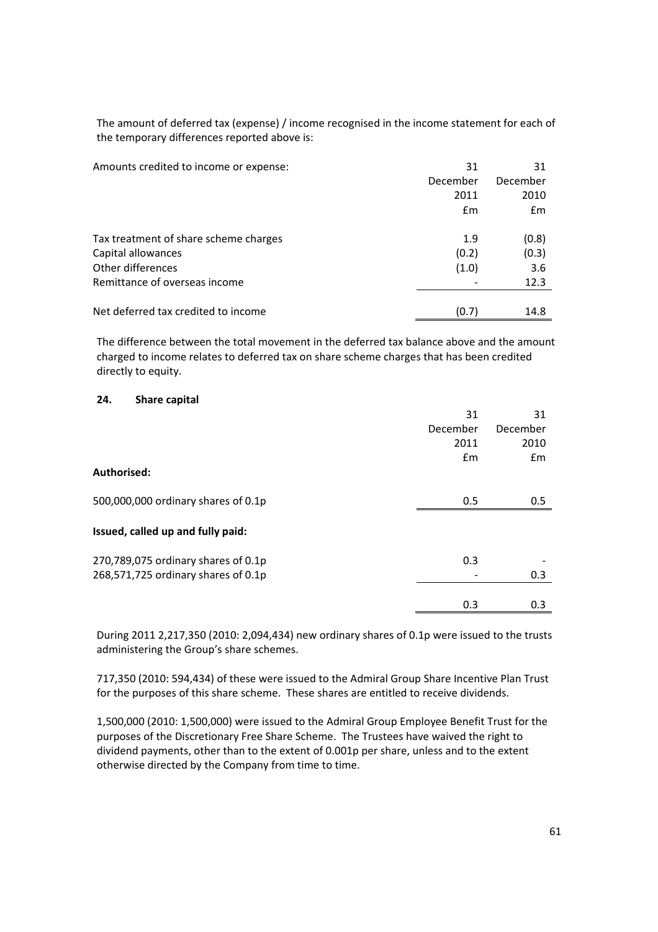The amount of deferred tax (expense) / income recognised in the income statement for each of the temporary differences reported above is:

| Amounts credited to income or expense: | 31       | 31       |
|----------------------------------------|----------|----------|
|                                        | December | December |
|                                        | 2011     | 2010     |
|                                        | £m       | £m       |
| Tax treatment of share scheme charges  | 1.9      | (0.8)    |
| Capital allowances                     | (0.2)    | (0.3)    |
| Other differences                      | (1.0)    | 3.6      |
| Remittance of overseas income          |          | 12.3     |
|                                        |          |          |
| Net deferred tax credited to income    | (0.7)    | 14.8     |

The difference between the total movement in the deferred tax balance above and the amount charged to income relates to deferred tax on share scheme charges that has been credited directly to equity.

#### **24. Share capital**

|                                     | 31       | 31       |
|-------------------------------------|----------|----------|
|                                     | December | December |
|                                     | 2011     | 2010     |
|                                     | Em       | Em       |
| <b>Authorised:</b>                  |          |          |
| 500,000,000 ordinary shares of 0.1p | 0.5      | 0.5      |
| Issued, called up and fully paid:   |          |          |
| 270,789,075 ordinary shares of 0.1p | 0.3      |          |
| 268,571,725 ordinary shares of 0.1p |          | 0.3      |
|                                     |          |          |
|                                     | 0.3      | 0.3      |

During 2011 2,217,350 (2010: 2,094,434) new ordinary shares of 0.1p were issued to the trusts administering the Group's share schemes.

717,350 (2010: 594,434) of these were issued to the Admiral Group Share Incentive Plan Trust for the purposes of this share scheme. These shares are entitled to receive dividends.

1,500,000 (2010: 1,500,000) were issued to the Admiral Group Employee Benefit Trust for the purposes of the Discretionary Free Share Scheme. The Trustees have waived the right to dividend payments, other than to the extent of 0.001p per share, unless and to the extent otherwise directed by the Company from time to time.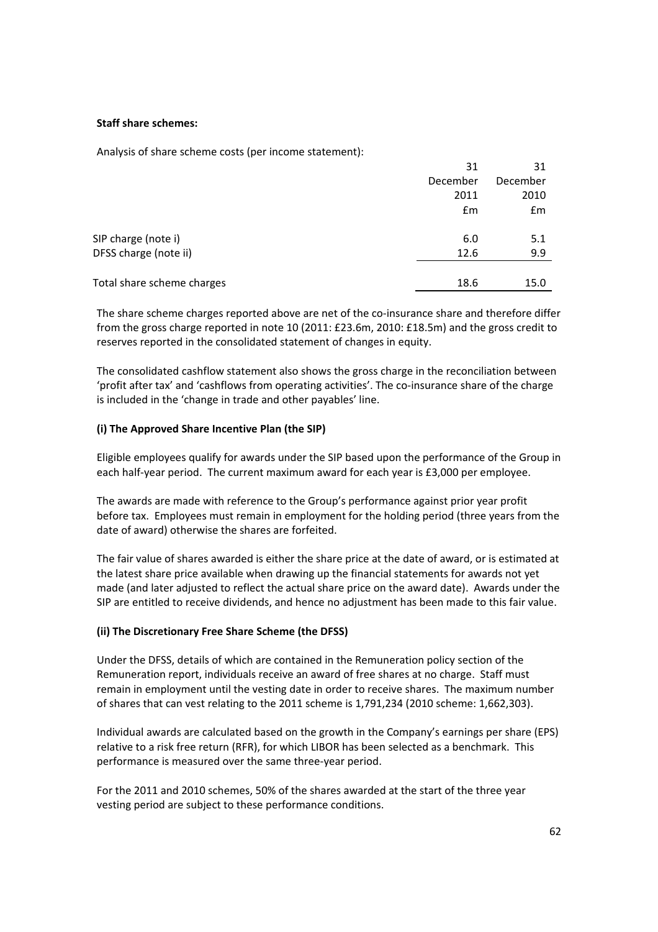#### **Staff share schemes:**

Analysis of share scheme costs (per income statement):

|                            | 31       | 31       |
|----------------------------|----------|----------|
|                            | December | December |
|                            | 2011     | 2010     |
|                            | Em       | Em       |
|                            |          |          |
| SIP charge (note i)        | 6.0      | 5.1      |
| DFSS charge (note ii)      | 12.6     | 9.9      |
|                            |          |          |
| Total share scheme charges | 18.6     | 15.0     |

The share scheme charges reported above are net of the co-insurance share and therefore differ from the gross charge reported in note 10 (2011: £23.6m, 2010: £18.5m) and the gross credit to reserves reported in the consolidated statement of changes in equity.

The consolidated cashflow statement also shows the gross charge in the reconciliation between 'profit after tax' and 'cashflows from operating activities'. The co‐insurance share of the charge is included in the 'change in trade and other payables' line.

#### **(i) The Approved Share Incentive Plan (the SIP)**

Eligible employees qualify for awards under the SIP based upon the performance of the Group in each half-year period. The current maximum award for each year is £3,000 per employee.

The awards are made with reference to the Group's performance against prior year profit before tax. Employees must remain in employment for the holding period (three years from the date of award) otherwise the shares are forfeited.

The fair value of shares awarded is either the share price at the date of award, or is estimated at the latest share price available when drawing up the financial statements for awards not yet made (and later adjusted to reflect the actual share price on the award date). Awards under the SIP are entitled to receive dividends, and hence no adjustment has been made to this fair value.

#### **(ii) The Discretionary Free Share Scheme (the DFSS)**

Under the DFSS, details of which are contained in the Remuneration policy section of the Remuneration report, individuals receive an award of free shares at no charge. Staff must remain in employment until the vesting date in order to receive shares. The maximum number of shares that can vest relating to the 2011 scheme is 1,791,234 (2010 scheme: 1,662,303).

Individual awards are calculated based on the growth in the Company's earnings per share (EPS) relative to a risk free return (RFR), for which LIBOR has been selected as a benchmark. This performance is measured over the same three‐year period.

For the 2011 and 2010 schemes, 50% of the shares awarded at the start of the three year vesting period are subject to these performance conditions.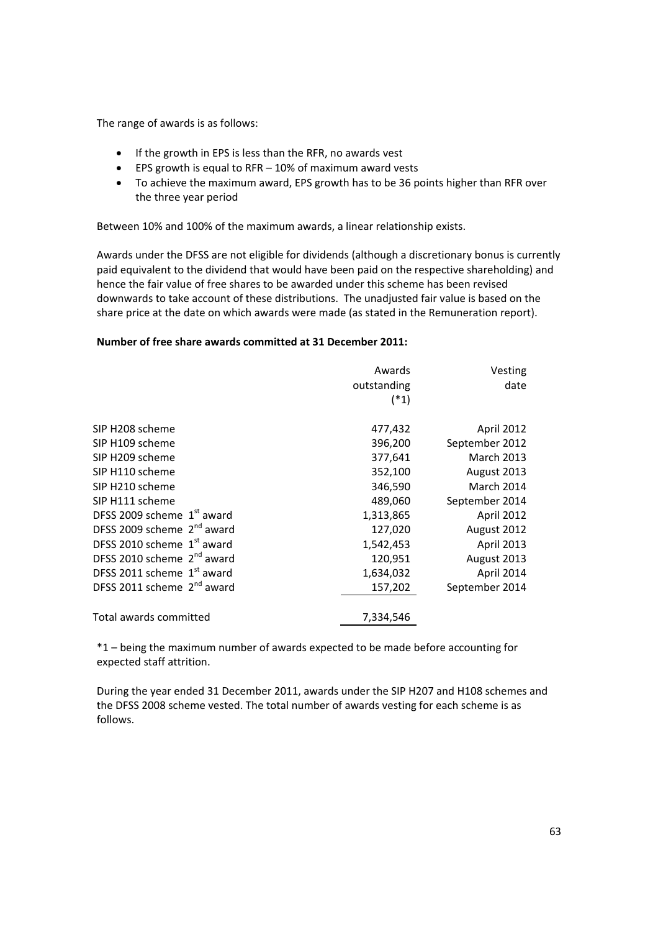The range of awards is as follows:

- If the growth in EPS is less than the RFR, no awards vest
- EPS growth is equal to RFR 10% of maximum award vests
- To achieve the maximum award, EPS growth has to be 36 points higher than RFR over the three year period

Between 10% and 100% of the maximum awards, a linear relationship exists.

Awards under the DFSS are not eligible for dividends (although a discretionary bonus is currently paid equivalent to the dividend that would have been paid on the respective shareholding) and hence the fair value of free shares to be awarded under this scheme has been revised downwards to take account of these distributions. The unadjusted fair value is based on the share price at the date on which awards were made (as stated in the Remuneration report).

#### **Number of free share awards committed at 31 December 2011:**

|                                 | Awards<br>outstanding | Vesting<br>date   |
|---------------------------------|-----------------------|-------------------|
|                                 | $(*1)$                |                   |
| SIP H208 scheme                 | 477,432               | April 2012        |
| SIP H109 scheme                 | 396,200               | September 2012    |
| SIP H209 scheme                 | 377,641               | <b>March 2013</b> |
| SIP H110 scheme                 | 352,100               | August 2013       |
| SIP H210 scheme                 | 346,590               | March 2014        |
| SIP H111 scheme                 | 489,060               | September 2014    |
| DFSS 2009 scheme $1st$ award    | 1,313,865             | April 2012        |
| DFSS 2009 scheme $2^{nd}$ award | 127,020               | August 2012       |
| DFSS 2010 scheme $1st$ award    | 1,542,453             | April 2013        |
| DFSS 2010 scheme $2^{nd}$ award | 120,951               | August 2013       |
| DFSS 2011 scheme $1st$ award    | 1,634,032             | April 2014        |
| DFSS 2011 scheme $2^{nd}$ award | 157,202               | September 2014    |
| Total awards committed          | 7,334,546             |                   |

\*1 – being the maximum number of awards expected to be made before accounting for expected staff attrition.

During the year ended 31 December 2011, awards under the SIP H207 and H108 schemes and the DFSS 2008 scheme vested. The total number of awards vesting for each scheme is as follows.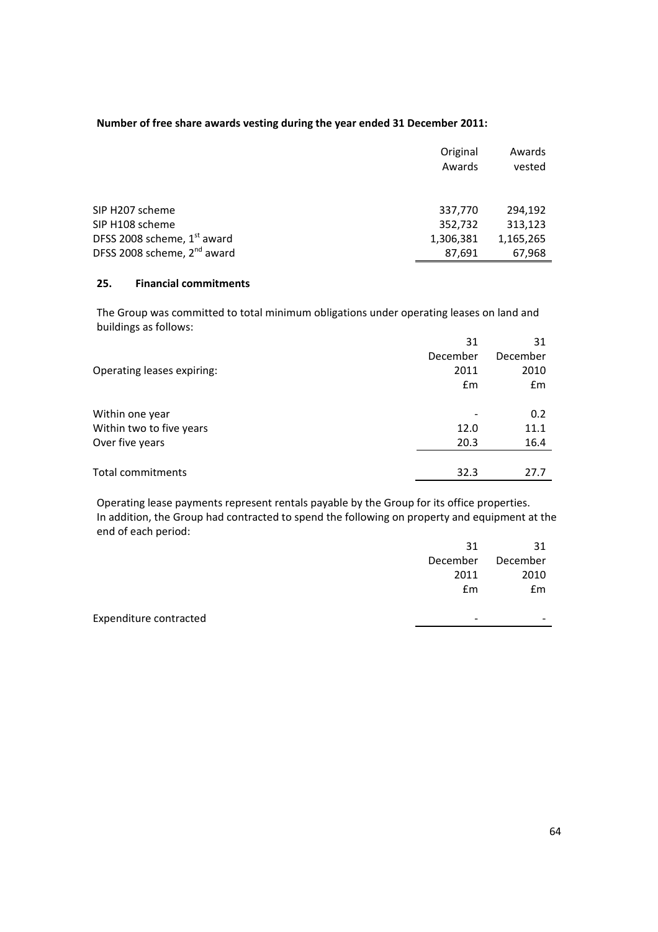| Number of free share awards vesting during the year ended 31 December 2011: |
|-----------------------------------------------------------------------------|
|-----------------------------------------------------------------------------|

|                                         | Original  | Awards    |
|-----------------------------------------|-----------|-----------|
|                                         | Awards    | vested    |
|                                         |           |           |
|                                         |           |           |
| SIP H207 scheme                         | 337,770   | 294.192   |
| SIP H108 scheme                         | 352,732   | 313,123   |
| DFSS 2008 scheme, 1 <sup>st</sup> award | 1,306,381 | 1,165,265 |
| DFSS 2008 scheme, 2 <sup>nd</sup> award | 87,691    | 67.968    |

#### **25. Financial commitments**

The Group was committed to total minimum obligations under operating leases on land and buildings as follows:

|                            | 31       | 31       |
|----------------------------|----------|----------|
|                            | December | December |
| Operating leases expiring: | 2011     | 2010     |
|                            | Em       | Em       |
| Within one year            |          | 0.2      |
| Within two to five years   | 12.0     | 11.1     |
| Over five years            | 20.3     | 16.4     |
|                            |          |          |
| <b>Total commitments</b>   | 32.3     | 27.7     |

Operating lease payments represent rentals payable by the Group for its office properties. In addition, the Group had contracted to spend the following on property and equipment at the end of each period:

|                        | 31       | 31            |
|------------------------|----------|---------------|
|                        | December | December      |
|                        | 2011     | 2010          |
|                        | £m       | $\mathsf{fm}$ |
|                        |          |               |
| Expenditure contracted | -        | -             |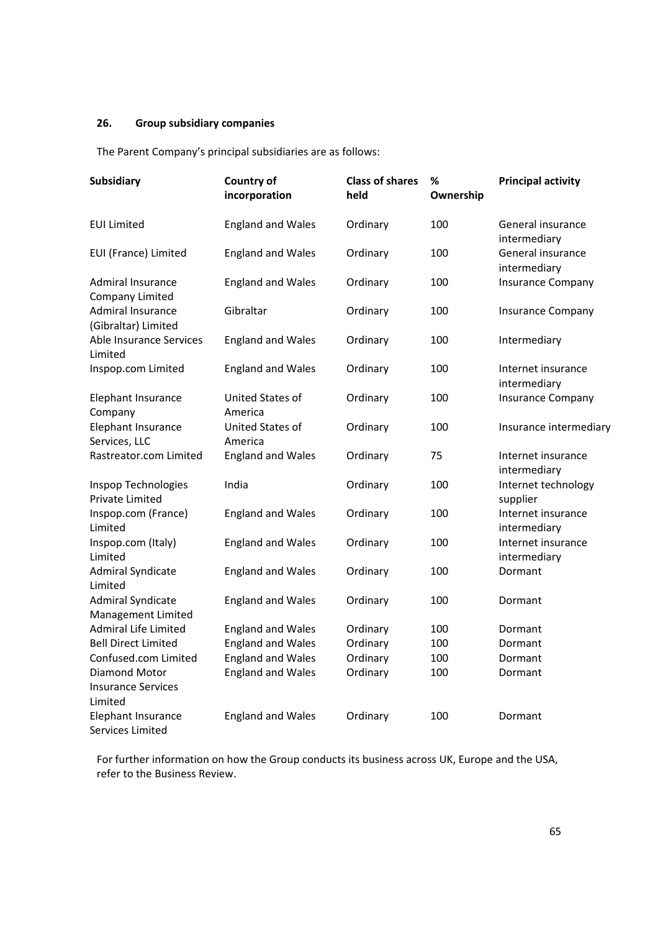## **26. Group subsidiary companies**

The Parent Company's principal subsidiaries are as follows:

| <b>Subsidiary</b>                                            | <b>Country of</b><br>incorporation | <b>Class of shares</b><br>held | ℅<br>Ownership | <b>Principal activity</b>          |
|--------------------------------------------------------------|------------------------------------|--------------------------------|----------------|------------------------------------|
| <b>EUI Limited</b>                                           | <b>England and Wales</b>           | Ordinary                       | 100            | General insurance<br>intermediary  |
| EUI (France) Limited                                         | <b>England and Wales</b>           | Ordinary                       | 100            | General insurance<br>intermediary  |
| <b>Admiral Insurance</b><br><b>Company Limited</b>           | <b>England and Wales</b>           | Ordinary                       | 100            | <b>Insurance Company</b>           |
| Admiral Insurance<br>(Gibraltar) Limited                     | Gibraltar                          | Ordinary                       | 100            | <b>Insurance Company</b>           |
| Able Insurance Services<br>Limited                           | <b>England and Wales</b>           | Ordinary                       | 100            | Intermediary                       |
| Inspop.com Limited                                           | <b>England and Wales</b>           | Ordinary                       | 100            | Internet insurance<br>intermediary |
| Elephant Insurance<br>Company                                | United States of<br>America        | Ordinary                       | 100            | <b>Insurance Company</b>           |
| Elephant Insurance<br>Services, LLC                          | United States of<br>America        | Ordinary                       | 100            | Insurance intermediary             |
| Rastreator.com Limited                                       | <b>England and Wales</b>           | Ordinary                       | 75             | Internet insurance<br>intermediary |
| Inspop Technologies<br>Private Limited                       | India                              | Ordinary                       | 100            | Internet technology<br>supplier    |
| Inspop.com (France)<br>Limited                               | <b>England and Wales</b>           | Ordinary                       | 100            | Internet insurance<br>intermediary |
| Inspop.com (Italy)<br>Limited                                | <b>England and Wales</b>           | Ordinary                       | 100            | Internet insurance<br>intermediary |
| <b>Admiral Syndicate</b><br>Limited                          | <b>England and Wales</b>           | Ordinary                       | 100            | Dormant                            |
| <b>Admiral Syndicate</b><br>Management Limited               | <b>England and Wales</b>           | Ordinary                       | 100            | Dormant                            |
| <b>Admiral Life Limited</b>                                  | <b>England and Wales</b>           | Ordinary                       | 100            | Dormant                            |
| <b>Bell Direct Limited</b>                                   | <b>England and Wales</b>           | Ordinary                       | 100            | Dormant                            |
| Confused.com Limited                                         | <b>England and Wales</b>           | Ordinary                       | 100            | Dormant                            |
| <b>Diamond Motor</b><br><b>Insurance Services</b><br>Limited | <b>England and Wales</b>           | Ordinary                       | 100            | Dormant                            |
| Elephant Insurance<br>Services Limited                       | <b>England and Wales</b>           | Ordinary                       | 100            | Dormant                            |

For further information on how the Group conducts its business across UK, Europe and the USA, refer to the Business Review.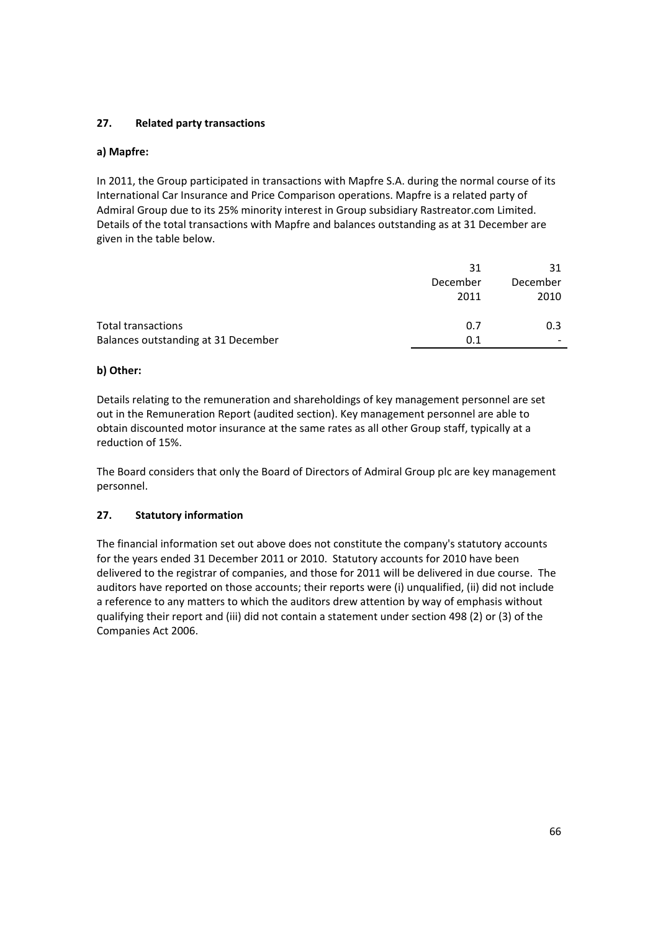## **27. Related party transactions**

## **a) Mapfre:**

In 2011, the Group participated in transactions with Mapfre S.A. during the normal course of its International Car Insurance and Price Comparison operations. Mapfre is a related party of Admiral Group due to its 25% minority interest in Group subsidiary Rastreator.com Limited. Details of the total transactions with Mapfre and balances outstanding as at 31 December are given in the table below.

|                                     | 31       | 31       |
|-------------------------------------|----------|----------|
|                                     | December | December |
|                                     | 2011     | 2010     |
| Total transactions                  | 0.7      | 0.3      |
| Balances outstanding at 31 December | 0.1      | -        |

## **b) Other:**

Details relating to the remuneration and shareholdings of key management personnel are set out in the Remuneration Report (audited section). Key management personnel are able to obtain discounted motor insurance at the same rates as all other Group staff, typically at a reduction of 15%.

The Board considers that only the Board of Directors of Admiral Group plc are key management personnel.

## **27. Statutory information**

The financial information set out above does not constitute the company's statutory accounts for the years ended 31 December 2011 or 2010. Statutory accounts for 2010 have been delivered to the registrar of companies, and those for 2011 will be delivered in due course. The auditors have reported on those accounts; their reports were (i) unqualified, (ii) did not include a reference to any matters to which the auditors drew attention by way of emphasis without qualifying their report and (iii) did not contain a statement under section 498 (2) or (3) of the Companies Act 2006.